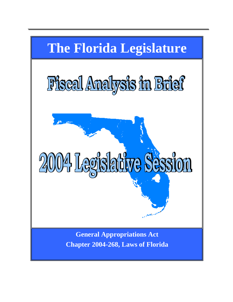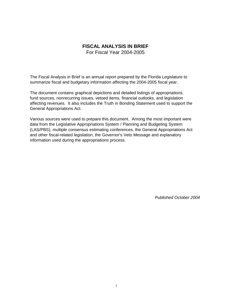#### **FISCAL ANALYSIS IN BRIEF** For Fiscal Year 2004-2005

The Fiscal Analysis in Brief is an annual report prepared by the Florida Legislature to summarize fiscal and budgetary information affecting the 2004-2005 fiscal year.

The document contains graphical depictions and detailed listings of appropriations, fund sources, nonrecurring issues, vetoed items, financial outlooks, and legislation affecting revenues. It also includes the Truth in Bonding Statement used to support the General Appropriations Act.

Various sources were used to prepare this document. Among the most important were data from the Legislative Appropriations System / Planning and Budgeting System (LAS/PBS), multiple consensus estimating conferences, the General Appropriations Act and other fiscal-related legislation, the Governor's Veto Message and explanatory information used during the appropriations process.

*Published October 2004*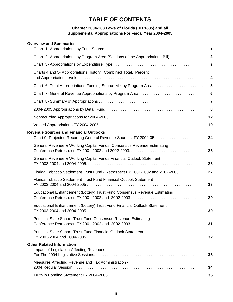# **TABLE OF CONTENTS**

#### **Chapter 2004-268 Laws of Florida (HB 1835) and all Supplemental Appropriations For Fiscal Year 2004-2005**

| <b>Overview and Summaries</b>                                                                                      |                 |
|--------------------------------------------------------------------------------------------------------------------|-----------------|
|                                                                                                                    | 1               |
| Chart 2- Appropriations by Program Area (Sections of the Appropriations Bill)                                      | $\mathbf{2}$    |
|                                                                                                                    | 3               |
| Charts 4 and 5- Appropriations History: Combined Total, Percent                                                    | 4               |
| Chart 6- Total Appropriations Funding Source Mix by Program Area                                                   | 5               |
|                                                                                                                    | $6\phantom{1}6$ |
|                                                                                                                    | 7               |
|                                                                                                                    | 8               |
|                                                                                                                    | 12              |
|                                                                                                                    | 19              |
| <b>Revenue Sources and Financial Outlooks</b><br>Chart 9- Projected Recurring General Revenue Sources, FY 2004-05. | 24              |
| General Revenue & Working Capital Funds, Consensus Revenue Estimating                                              | 25              |
| General Revenue & Working Capital Funds Financial Outlook Statement                                                | 26              |
| Florida Tobacco Settlement Trust Fund - Retrospect FY 2001-2002 and 2002-2003.                                     | 27              |
| Florida Tobacco Settlement Trust Fund Financial Outlook Statement                                                  | 28              |
| Educational Enhancement (Lottery) Trust Fund Consensus Revenue Estimating                                          | 29              |
| Educational Enhancement (Lottery) Trust Fund Financial Outlook Statement                                           | 30              |
| Principal State School Trust Fund Consensus Revenue Estimating                                                     | 31              |
| Principal State School Trust Fund Financial Outlook Statement                                                      | 32              |
| <b>Other Related Information</b><br><b>Impact of Legislation Affecting Revenues</b>                                | 33              |
| Measures Affecting Revenue and Tax Administration -                                                                | 34              |
|                                                                                                                    | 35              |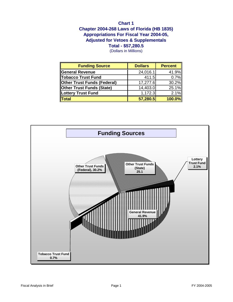## **Chapter 2004-268 Laws of Florida (HB 1835) Chart 1** (Dollars in Millions) **Total - \$57,280.5 Appropriations For Fiscal Year 2004-05, Adjusted for Vetoes & Supplementals**

| <b>Funding Source</b>              | <b>Dollars</b> | <b>Percent</b> |
|------------------------------------|----------------|----------------|
| General Revenue                    | 24,016.1       | 41.9%          |
| <b>Tobacco Trust Fund</b>          | 411.5          | 0.7%           |
| <b>Other Trust Funds (Federal)</b> | 17,277.6       | 30.2%          |
| <b>Other Trust Funds (State)</b>   | 14,403.0       | 25.1%          |
| Lottery Trust Fund                 | 1,172.3        | 2.1%           |
| <b>Total</b>                       | 57,280.5       | 100.0%         |

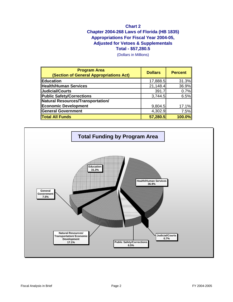## **Appropriations For Fiscal Year 2004-05, Adjusted for Vetoes & Supplementals Total - \$57,280.5 Chart 2 Chapter 2004-268 Laws of Florida (HB 1835)**

(Dollars in Millions)

| <b>Program Area</b><br>(Section of General Appropriations Act) | <b>Dollars</b> | <b>Percent</b> |
|----------------------------------------------------------------|----------------|----------------|
| Education                                                      | 17,888.5       | 31.3%          |
| <b>Health/Human Services</b>                                   | 21,148.4       | 36.9%          |
| Judicial/Courts                                                | 391.7          | 0.7%           |
| <b>Public Safety/Corrections</b>                               | 3,744.5        | 6.5%           |
| Natural Resources/Transportation/                              |                |                |
| <b>Economic Development</b>                                    | 9,804.5        | 17.1%          |
| General Government                                             | 4,302.9        | 7.5%           |
| Total All Funds                                                | 57,280.5       | 100.0%         |

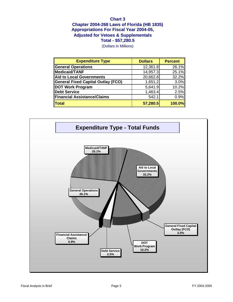## **Chart 3 Chapter 2004-268 Laws of Florida (HB 1835) Total - \$57,280.5 Appropriations For Fiscal Year 2004-05, Adjusted for Vetoes & Supplementals**

(Dollars in Millions)

| <b>Expenditure Type</b>            | <b>Dollars</b> | <b>Percent</b> |
|------------------------------------|----------------|----------------|
| <b>General Operations</b>          | 12,361.8       | 26.1%          |
| Medicaid/TANF                      | 14,957.3       | 25.1%          |
| Aid to Local Governments           | 20,662.8       | 32.2%          |
| General Fixed Capital Outlay (FCO) | 1,651.2        | 3.0%           |
| DOT Work Program                   | 5,641.9        | 10.2%          |
| Debt Service                       | 1,463.4        | 2.5%           |
| Financial Assistance/Claims        | 542.1          | 0.9%           |
| <b>Total</b>                       | 57,280.5       | 100.0%         |

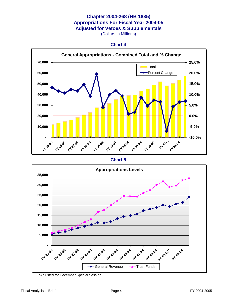## **Chapter 2004-268 (HB 1835) Appropriations For Fiscal Year 2004-05 Adjusted for Vetoes & Supplementals**

(Dollars in Millions)





**Chart 5**



\*Adjusted for December Special Session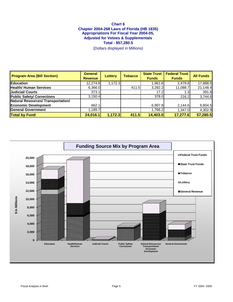## **Chart 6 Chapter 2004-268 Laws of Florida (HB 1835) Appropriations For Fiscal Year 2004-05, Adjusted for Vetoes & Supplementals Total - \$57,280.5**

(Dollars displayed in Millions)

| <b>Program Area (Bill Section)</b> | <b>General</b><br><b>Revenue</b> | <b>Lottery</b> | <b>Tobacco</b> | <b>State Trust</b><br><b>Funds</b> | <b>Federal Trust</b><br><b>Funds</b> | <b>All Funds</b> |
|------------------------------------|----------------------------------|----------------|----------------|------------------------------------|--------------------------------------|------------------|
| <b>Education</b>                   | 12,274.8                         | 1,172.3        |                | 1,961.6 $\vert$                    | 2,479.8                              | 17,888.5         |
| Health/ Human Services             | 6,366.0                          |                | 411.5          | 3,282.2                            | 11,088.7                             | 21,148.4         |
| Judicial/ Courts                   | 373.1                            |                |                | 17.2                               | 1.3 <sub>l</sub>                     | 391.6            |
| Public Safety/ Corrections         | 3,150.4                          |                |                | 378.0                              | 216.2                                | 3,744.6          |
| Natural Resources/ Transportation/ |                                  |                |                |                                    |                                      |                  |
| Economic Development               | 662.1                            |                |                | 6,997.8                            | 2,144.6                              | 9,804.5          |
| General Government                 | ,189.7                           |                |                | 1,766.2                            | 1,347.0                              | 4,302.9          |
| <b>Total by Fund</b>               | 24,016.1                         | 1,172.3        | 411.5          | 14,403.0                           | 17,277.6                             | 57,280.5         |

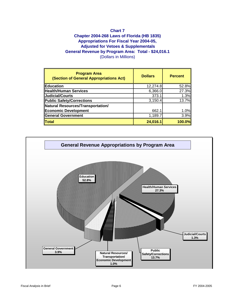## **Chart 7**

## **Chapter 2004-268 Laws of Florida (HB 1835) Appropriations For Fiscal Year 2004-05, Adjusted for Vetoes & Supplementals General Revenue by Program Area: Total - \$24,016.1** (Dollars in Millions)

| <b>Program Area</b><br>(Section of General Appropriations Act) | <b>Dollars</b> | <b>Percent</b> |
|----------------------------------------------------------------|----------------|----------------|
| <b>Education</b>                                               | 12,274.8       | 52.8%          |
| Health/Human Services                                          | 6,366.0        | 27.3%          |
| Judicial/Courts                                                | 373.1          | 1.3%           |
| Public Safety/Corrections                                      | 3,150.4        | 13.7%          |
| Natural Resources/Transportation/                              |                |                |
| Economic Development                                           | 662.1          | 1.0%           |
| <b>General Government</b>                                      | 1,189.7        | 3.9%           |
| Total                                                          | 24,016.1       | 100.0%         |

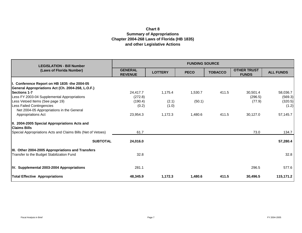# **Chart 8 Summary of Appropriations Chapter 2004-268 Laws of Florida (HB 1835) and other Legislative Actions**

| <b>LEGISLATION - Bill Number</b>                                     | <b>FUNDING SOURCE</b>            |                |             |                |                                    |                  |  |
|----------------------------------------------------------------------|----------------------------------|----------------|-------------|----------------|------------------------------------|------------------|--|
| (Laws of Florida Number)                                             | <b>GENERAL</b><br><b>REVENUE</b> | <b>LOTTERY</b> | <b>PECO</b> | <b>TOBACCO</b> | <b>OTHER TRUST</b><br><b>FUNDS</b> | <b>ALL FUNDS</b> |  |
| I. Conference Report on HB 1835 - the 2004-05                        |                                  |                |             |                |                                    |                  |  |
| General Appropriations Act (Ch. 2004-268, L.O.F.)                    |                                  |                |             |                |                                    |                  |  |
| <b>Sections 1-7</b>                                                  | 24,417.7                         | 1,175.4        | 1,530.7     | 411.5          | 30,501.4                           | 58,036.7         |  |
| Less FY 2003-04 Supplemental Appropriations                          | (272.8)                          |                |             |                | (296.5)                            | (569.3)          |  |
| Less Vetoed Items (See page 19)                                      | (190.4)                          | (2.1)          | (50.1)      |                | (77.9)                             | (320.5)          |  |
| Less Failed Contingencies                                            | (0.2)                            | (1.0)          |             |                |                                    | (1.2)            |  |
| Net 2004-05 Appropriations in the General                            |                                  |                |             |                |                                    |                  |  |
| <b>Appropriations Act</b>                                            | 23,954.3                         | 1,172.3        | 1,480.6     | 411.5          | 30,127.0                           | 57,145.7         |  |
| II. 2004-2005 Special Appropriations Acts and<br><b>Claims Bills</b> |                                  |                |             |                |                                    |                  |  |
| Special Appropriations Acts and Claims Bills (Net of Vetoes)         | 61.7                             |                |             |                | 73.0                               | 134.7            |  |
| <b>SUBTOTAL</b>                                                      |                                  |                |             |                |                                    |                  |  |
|                                                                      | 24,016.0                         |                |             |                |                                    | 57,280.4         |  |
| <b>III. Other 2004-2005 Appropriations and Transfers</b>             |                                  |                |             |                |                                    |                  |  |
| Transfer to the Budget Stabilization Fund                            | 32.8                             |                |             |                |                                    | 32.8             |  |
|                                                                      |                                  |                |             |                |                                    |                  |  |
| IV. Supplemental 2003-2004 Appropriations                            | 281.1                            |                |             |                | 296.5                              | 577.6            |  |
| <b>Total Effective Appropriations</b>                                | 48,345.9                         | 1,172.3        | 1,480.6     | 411.5          | 30,496.5                           | 115,171.2        |  |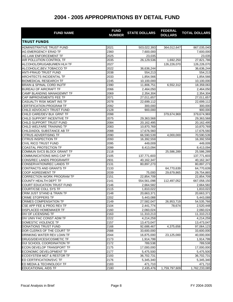| <b>FUND NAME</b>                      | <b>FUND</b><br><b>NUMBER</b> | <b>STATE DOLLARS</b> | <b>FEDERAL</b><br><b>DOLLARS</b> | <b>TOTAL DOLLARS</b> |
|---------------------------------------|------------------------------|----------------------|----------------------------------|----------------------|
| <b>TRUST FUNDS</b>                    |                              |                      |                                  |                      |
| ADMINISTRATIVE TRUST FUND             | 2021                         | 503,022,393          | 364,012,647                      | 867,035,040          |
| AG EMERGENCY ERAD TF                  | 2360                         | 7,600,000            |                                  | 7,600,000            |
| AG LAW ENFORCEMENT TF                 | 2025                         | 23,035               |                                  | 23,035               |
| AIR POLLUTION CONTROL TF              | 2035                         | 26,129,536           | 1,692,250                        | 27,821,786           |
| ALCOHOL/DRUGABU/MEN HLH TF            | 2027                         |                      | 126,226,070                      | 126,226,070          |
| ALCOHOLIC, BEV, TOBACCO TF            | 2022                         | 36,636,244           |                                  | 36,636,244           |
| <b>ANTI-FRAUD TRUST FUND</b>          | 2038                         | 554,213              |                                  | 554,213              |
| <b>ARCHITECTS INCIDENTAL TF</b>       | 2033                         | 1,854,566            |                                  | 1,854,566            |
| <b>BIOMEDICAL RESEARCH TF</b>         | 2245                         | 10,100,000           |                                  | 10,100,000           |
| <b>BRAIN &amp; SPINAL CORD INJ/TF</b> | 2390                         | 11,806,751           | 6,552,312                        | 18,359,063           |
| <b>BUREAU OF AIRCRAFT TF</b>          | 2066                         | 2,464,050            |                                  | 2,464,050            |
| CAMP BLANDING MANAGEMNT TF            | 2069                         | 2,354,304            |                                  | 2,354,304            |
| CAP IMPROVEMENTS FEE TF               | 2071                         | 27,011,657           |                                  | 27,011,657           |
| <b>CASUALTY RISK MGMT INS TF</b>      | 2078                         | 22,699,112           |                                  | 22,699,112           |
| <b>CERTIFICATION PROGRAM TF</b>       | 2092                         | 300,000              |                                  | 300,000              |
| CHILD ADVOCACY TRUST FUND             | 2128                         | 900,000              |                                  | 900,000              |
| CHILD CARE/DEV BLK GRNT TF            | 2098                         |                      | 379,674,969                      | 379,674,969          |
| CHILD SUPPORT INCENTIVE TF            | 2075                         | 29,363,568           |                                  | 29,363,568           |
| CHILD SUPPORT TRUST FUND              | 2084                         | 20,162,495           |                                  | 20,162,495           |
| CHILD WELFARE TRAINING TF             | 2083                         | 10,870,769           |                                  | 10,870,769           |
| CHILD/ADOL SUBSTANCE AB TF            | 2088                         | 17,676,560           |                                  | 17,676,560           |
| <b>CITRUS ADVERTISING TF</b>          | 2090                         | 66,590,539           | 4,000,000                        | 70,590,539           |
| <b>CITRUS INSPECTION TF</b>           | 2093                         | 16,392,559           |                                  | 16,392,559           |
| CIVIL RICO TRUST FUND                 | 2095                         | 449,009              |                                  | 449,009              |
| <b>COASTAL PROTECTION TF</b>          | 2099                         | 8,413,094            |                                  | 8,413,094            |
| COMMUN SVCS BLOCK GRANT TF            | 2118                         |                      | 25,586,289                       | 25,586,289           |
| <b>COMMUNICATIONS WKG CAP TF</b>      | 2105                         | 137,771,603          |                                  | 137,771,603          |
| CONS/REC LANDS PROGRAMTF              | 2931                         | 40,162,347           |                                  | 40,162,347           |
| CONSERVATION/REC LANDS TF             | 2131                         | 80,897,273           |                                  | 80,897,273           |
| CONTRACTS AND GRANTS TF               | 2133                         |                      | 64,770,639                       | 64,770,639           |
| <b>COOP AGREEMENT TF</b>              | 2039                         | 75,000               | 29,679,865                       | 29,754,865           |
| <b>CORRECTION WORK PROGRAM TF</b>     | 2151                         | 22,854,709           |                                  | 22,854,709           |
| <b>COUNTY HEALTH DEPT TF</b>          | 2141                         | 554,561,098          | 112,497,052                      | 667,058,150          |
| COURT EDUCATION TRUST FUND            | 2146                         | 2,664,582            |                                  | 2,664,582            |
| COURT/CSE COLL SYS TF                 | 2115                         | 1,810,022            |                                  | 1,810,022            |
| CRIM JUST STAND & TRAIN TF            | 2148                         | 20,663,371           |                                  | 20,663,371           |
| <b>CRIME STOPPERS TF</b>              | 2202                         | 5,443,088            |                                  | 5,443,088            |
| <b>CRIMES COMPENSATION TF</b>         | 2149                         | 27,582,047           | 26,953,719                       | 54,535,766           |
| CSE APP FEE & PROG REV TF             | 2104                         | 2,441,774            | 78,674                           | 2,520,448            |
| <b>DISPLACED HOMEMAKER TF</b>         | 2160                         | 2,060,024            |                                  | 2,060,024            |
| DIV OF LICENSING TF                   | 2163                         | 11,310,213           |                                  | 11,310,213           |
| DIV UNIV FAC CONST ADM TF             | 2222                         | 4,214,259            |                                  | 4,214,259            |
| DOMESTIC VIOLENCE TF                  | 2157                         | 13,473,047           |                                  | 13,473,047           |
| <b>DONATIONS TRUST FUND</b>           | 2168                         | 92,688,467           | 4,375,656                        | 97,064,123           |
| DOR CLERKS OF THE COURT TF            | 2588                         | 33,600,000           |                                  | 33,600,000           |
| DRINKING WATER REV LOAN TF            | 2044                         | 16,875,000           | 23,125,000                       | 40,000,000           |
| DRUGS/DEVICES/COSMETIC TF             | 2173                         | 1,914,799            |                                  | 1,914,799            |
| DUI SCHOOL COORDINATION TF            | 2172                         | 789,538              |                                  | 789,538              |
| <b>ECON DEVELOP TRANSPORT TF</b>      | 2175                         | 17,000,000           |                                  | 17,000,000           |
| ECONOMIC DEVELOPMENT TF               | 2177                         | 5,475,500            |                                  | 5,475,500            |
| <b>ECOSYSTEM MGT &amp; RESTOR TF</b>  | 2193                         | 36,702,731           |                                  | 36,702,731           |
| ED CERTIFICATION/SVC TF               | 2176                         | 5,345,340            |                                  | 5,345,340            |
| ED MEDIA & TECHNOLOGY TF              | 2183                         | 471,710              |                                  | 471,710              |
| <b>EDUCATIONAL AIDS TF</b>            | 2180                         | 2,435,476            | 1,759,797,609                    | 1,762,233,085        |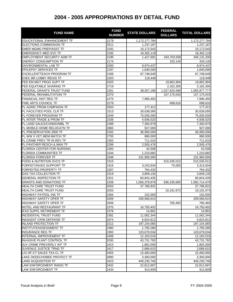| <b>FUND NAME</b>                    | <b>FUND</b><br><b>NUMBER</b> | <b>STATE DOLLARS</b> | <b>FEDERAL</b><br><b>DOLLARS</b> | <b>TOTAL DOLLARS</b> |
|-------------------------------------|------------------------------|----------------------|----------------------------------|----------------------|
| <b>EDUCATIONAL ENHANCEMENT TF</b>   | 2178                         | 1,172,277,784        |                                  | 1,172,277,784        |
| ELECTIONS COMMISSION TF             | 2511                         | 1,237,187            |                                  | 1,237,187            |
| <b>EMER MGMG PREP/ASST TF</b>       | 2191                         | 15,172,542           |                                  | 15,172,542           |
| <b>EMERGENCY MED SVC TF</b>         | 2192                         | 16,302,118           |                                  | 16,302,118           |
| <b>EMPLOYMENT SECURITY ADM TF</b>   | 2195                         | 1,427,691            | 343,703,509                      | 345,131,200          |
| <b>ENERGY CONSUMPTION TF</b>        | 2174                         |                      | 333,145                          | 333,145              |
| <b>ENVIRONMENTAL LAB TF</b>         | 2050                         | 8,974,437            |                                  | 8,974,437            |
| <b>EPILEPSY SERVICES TF</b>         | 2197                         | 1,640,000            |                                  | 1,640,000            |
| <b>EXCELLENTTEACH PROGRAM TF</b>    | 2206                         | 67,748,649           |                                  | 67,748,649           |
| <b>EXEC BR LOBBY REGIS TF</b>       | 2203                         | 119,448              |                                  | 119,448              |
| FED EM MGT PROG SUPT TF             | 2525                         |                      | 19,802,904                       | 19,802,904           |
| FED EQUITABLE SHARING TF            | 2719                         |                      | 2,162,305                        | 2,162,305            |
| FEDERAL GRANTS TRUST FUND           | 2261                         | 38,057,189           | 1,027,820,588                    | 1,065,877,777        |
| FEDERAL REHABILITATION TF           | 2270                         |                      | 157, 175, 043                    | 157, 175, 043        |
| FINANCIAL INST REG TF               | 2275                         | 7,990,450            |                                  | 7,990,450            |
| FINE ARTS COUNCIL TF                | 2279                         |                      | 698,616                          | 698,616              |
| FL AGRIC PROM CAMPAIGN TF           | 2920                         | 177,412              |                                  | 177,412              |
| FL FACILITIES POOL CLR TF           | 2313                         | 30,638,095           |                                  | 30,638,095           |
| FL FOREVER PROGRAM TF               | 2349                         | 75,000,000           |                                  | 75,000,000           |
| FL INTER TRADE & PROM TF            | 2338                         | 4,936,525            |                                  | 4,936,525            |
| FL LAND SALES/CONDO/MBL TF          | 2289                         | 7,350,979            |                                  | 7,350,979            |
| FL MOBILE HOME RELOCATN TF          | 2865                         | 927,000              |                                  | 927,000              |
| FL PRESERVATION 2000 TF             | 2332                         | 36,900,000           |                                  | 36,900,000           |
| FL WW II VET MEM MATCH TF           | 2755                         | 880,000              |                                  | 880,000              |
| FL.CRIME PREV TR IN REV TF          | 2302                         | 711,015              |                                  | 711,015              |
| FL.PANTHER RESCH & MAN TF           | 2299                         | 2,505,476            |                                  | 2,505,476            |
| FLORIDA CENTER FOR NURSING          | 2283                         | 42,506               |                                  | 42,506               |
| <b>FLORIDA COMMUNITIES TF</b>       | 2244                         | 1,210,682            |                                  | 1,210,682            |
| <b>FLORIDA FOREVER TF</b>           | 2348                         | 231,900,000          |                                  | 231,900,000          |
| <b>FOOD &amp; NUTRITION SVCS TF</b> | 2315                         |                      | 515,535,012                      | 515,535,012          |
| FORFEIT/INVES SUPPORT TF            | 2316                         | 3,243,934            | 70,000                           | 3,313,934            |
| FORFEITED PROPERTY TF               | 2267                         | 764,432              |                                  | 764,432              |
| <b>GAS TAX COLLECTION TF</b>        | 2319                         | 3,849,135            |                                  | 3,849,135            |
| <b>GENERAL INSPECTION TF</b>        | 2321                         | 60,843,435           |                                  | 60,843,435           |
| <b>GRANTS AND DONATIONS TF</b>      | 2339                         | 1,056,378,879        | 836,335,600                      | 1,892,714,479        |
| <b>HEALTH CARE TRUST FUND</b>       | 2003                         | 37,786,831           |                                  | 37,786,831           |
| HEALTH CARE TRUST FUND              | 2003                         |                      | 19,191,973                       | 19,191,973           |
| <b>HIGHWAY PATROL INS TF</b>        | 2364                         | 152,000              |                                  | 152,000              |
| <b>HIGHWAY SAFETY OPER TF</b>       | 2009                         | 209,566,615          |                                  | 209,566,615          |
| <b>HIGHWAY SAFETY OPER TF</b>       | 2009                         |                      | 765,483                          | 765,483              |
| HOTEL AND RESTAURANT TF             | 2375                         | 16,750,402           |                                  | 16,750,402           |
| <b>IFAS SUPPL RETIREMENT TF</b>     | 2379                         | 14,991               |                                  | 14,991               |
| <b>INCIDENTAL TRUST FUND</b>        | 2381                         | 11,062,344           |                                  | 11,062,344           |
| INDIGENT CRIM DEFENSE TF            | 2974                         | 6,824,812            |                                  | 6,824,812            |
| <b>INLAND PROTECTION TF</b>         | 2212                         | 197,154,065          |                                  | 197, 154, 065        |
| <b>INSTITUTEASSESSMENT TF</b>       | 2380                         | 1,700,280            |                                  | 1,700,280            |
| <b>INSURANCE REG TF</b>             | 2393                         | 120,679,034          |                                  | 120,679,034          |
| INTERNAL IMPROVEMENT TF             | 2408                         | 12,163,516           |                                  | 12,163,516           |
| INVASIVE PLANT CONTROL TF           | 2030                         | 43,731,792           |                                  | 43,731,792           |
| JUV CRIME PREV/ERLY INT TF          | 2415                         | 1,802,000            |                                  | 1,802,000            |
| JUVENILE JUSTICE TRNG TF            | 2417                         | 2,686,610            |                                  | 2,686,610            |
| L/G HF-CT SALES TAX CL TF           | 2455                         | 15,400,000           |                                  | 15,400,000           |
| LAKE OKEECHOBEE PROTECT TF          | 2890                         | 3,300,000            |                                  | 3,300,000            |
| <b>LAND ACQUISITION TF</b>          | 2423                         | 449,230,746          |                                  | 449,230,746          |
| LAW ENFORCEMENT RADIO TF            | 2432                         | 22,812,697           |                                  | 22,812,697           |
| <b>LAW ENFORCEMENT TF</b>           | 2434                         | 913,605              |                                  | 913,605              |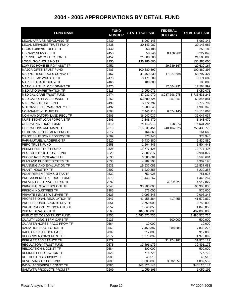| <b>FUND NAME</b>                 | <b>FUND</b><br><b>NUMBER</b> | <b>STATE DOLLARS</b> | <b>FEDERAL</b><br><b>DOLLARS</b> | <b>TOTAL DOLLARS</b> |
|----------------------------------|------------------------------|----------------------|----------------------------------|----------------------|
| LEGAL AFFAIRS REVOLVING TF       | 2439                         | 8,967,145            |                                  | 8,967,145            |
| LEGAL SERVICES TRUST FUND        | 2438                         | 30,143,987           |                                  | 30,143,987           |
| <b>LEGIS LOBBYIST REGIS TF</b>   | 2442                         | 253,188              |                                  | 253,188              |
| <b>LIBRARY SERVICES TF</b>       | 2450                         | 50,946               | 8,176,902                        | 8,227,848            |
| LICENSE TAX COLLECTION TF        | 2452                         | 21,500,000           |                                  | 21,500,000           |
| <b>LOCAL GOV HOUSING TF</b>      | 2250                         | 136,986,000          |                                  | 136,986,000          |
| LOW INC HOME ENRGY ASST TF       | 2451                         |                      | 29,639,167                       | 29,639,167           |
| <b>MAJOR GIFTS TRUST FUND</b>    | 2483                         | 100,880,397          |                                  | 100,880,397          |
| MARINE RESOURCES CONSV TF        | 2467                         | 41,469,839           | 17,327,588                       | 58,797,427           |
| <b>MARKET IMP WKG CAP TF</b>     | 2473                         | 3,171,689            |                                  | 3,171,689            |
| <b>MARKET TRADE SHOW TF</b>      | 2466                         | 180,000              |                                  | 180,000              |
| MAT/CH HLTH BLOCK GRANT TF       | 2475                         |                      | 17,564,992                       | 17,564,992           |
| <b>MEDIATION/ARBITRATION TF</b>  | 2213                         | 3,050,071            |                                  | 3,050,071            |
| MEDICAL CARE TRUST FUND          | 2474                         | 447,932,970          | 8,287,598,275                    | 8,735,531,245        |
| MEDICAL QLTY ASSURANCE TF        | 2352                         | 53,589,524           | 257,357                          | 53,846,881           |
| <b>MINERALS TRUST FUND</b>       | 2499                         | 5,772,792            |                                  | 5,772,792            |
| MOTORVEHICLE WARRANTY TF         | 2492                         | 1,903,345            |                                  | 1,903,345            |
| NON-GAME WILDLIFE TF             | 2504                         | 7,443,918            | 6,674,145                        | 14,118,063           |
| NON-MANDATORY LAND RECL TF       | 2506                         | 36,047,037           |                                  | 36,047,037           |
| NURS STDNT LOAN FORGIVE TF       | 2505                         | 3,348,479            |                                  | 3,348,479            |
| <b>OPERATING TRUST FUND</b>      | 2510                         | 74,113,013           | 418,273                          | 74,531,286           |
| OPERATIONS AND MAINT TF          | 2516                         | 516,331,451          | 240,104,325                      | 756,435,776          |
| OPTIONAL RETIREMENT PRG TF       | 2517                         | 164,668              |                                  | 164,668              |
| ORG/TISSUE DONR ED/PROC TF       | 2509                         | 373,940              |                                  | 373,940              |
| PARI-MUTUEL WAGERING TF          | 2520                         | 9,430,880            |                                  | 9,430,880            |
| PERC TRUST FUND                  | 2558                         | 1,504,443            |                                  | 1,504,443            |
| PERMIT FEE TRUST FUND            | 2526                         | 12,777,426           |                                  | 12,777,426           |
| PEST CONTROL TRUST FUND          | 2528                         | 2,981,877            |                                  | 2,981,877            |
| PHOSPHATE RESEARCH TF            | 2530                         | 6,583,684            |                                  | 6,583,684            |
| PLAN AND BUDGET SYSTEM TF        | 2535                         | 4,902,198            |                                  | 4,902,198            |
| PLANNING AND EVALUATION TF       | 2531                         | 19,537,081           |                                  | 19,537,081           |
| PLANT INDUSTRY TF                | 2507                         | 6,220,356            |                                  | 6,220,356            |
| POL/FIREMEN PREMIUM TAX TF       | 2532                         | 751,926              |                                  | 751,926              |
| PRETAX BENEFITS TRUST FUND       | 2570                         | 1,443,267            |                                  | 1,443,267            |
| PREVENT HLTH SVCS BL GR TF       | 2539                         |                      | 4,512,027                        | 4,512,027            |
| PRINCIPAL STATE SCHOOL TF        | 2543                         | 90,900,000           |                                  | 90,900,000           |
| <b>PRISON INDUSTRIES TF</b>      | 2385                         | 575,000              |                                  | 575,000              |
| PRIVATE INMATE WELFARE TF        | 2623                         | 2,093,348            |                                  | 2,093,348            |
| PROFESSIONAL REGULATION TF       | 2547                         | 41,155,384           | 417,455                          | 41,572,839           |
| PROFESSIONAL SPORTS DEV TF       | 2551                         | 2,750,000            |                                  | 2,750,000            |
| PROJCTS/CONTRCTS/GRANTS TF       | 2552                         | 1,845,858            |                                  | 1,845,858            |
| PUB MEDICAL ASST TF              | 2565                         | 407,800,000          |                                  | 407,800,000          |
| PUBLIC ED CO&DS TRUST FUND       | 2555                         | 1,480,570,735        |                                  | 1,480,570,735        |
| <b>QUALITY LONG-TERM CARE TF</b> | 2126                         |                      | 500,000                          | 500,000              |
| QUARTER HORSE RACG PROM TF       | 2564                         | 10,000               |                                  | 10,000               |
| RADIATION PROTECTION TF          | 2569                         | 7,450,387            | 388,888                          | 7,839,275            |
| RAPE CRISIS PROGRAM TF           | 2089                         | 917,000              |                                  | 917,000              |
| <b>RECORDS MANAGEMENT TF</b>     | 2572                         | 1,970,099            |                                  | 1,970,099            |
| REFUGEE ASSISTANCE TF            | 2579                         |                      | 31,974,187                       | 31,974,187           |
| <b>REGULATORY TRUST FUND</b>     | 2573                         | 39,491,176           |                                  | 39,491,176           |
| <b>RELOCATION &amp; CONST TF</b> | 2584                         | 500,000              |                                  | 500,000              |
| <b>RESIDENT PROTECTION TF</b>    | 2522                         | 776,720              |                                  | 776,720              |
| RET HLTH INS SUBSIDY TF          | 2583                         | 48,510               |                                  |                      |
|                                  |                              |                      |                                  | 48,510               |
| REVOLVING TRUST FUND             | 2600                         | 1,000,000            | 3,832,559                        | 4,832,559            |
| R-O-W ACQ/BRIDGE CONST TF        | 2586                         | 348,126,143          |                                  | 348,126,143          |
| <b>SALTWTR PRODUCTS PROM TF</b>  | 2609                         | 1,059,195            |                                  | 1,059,195            |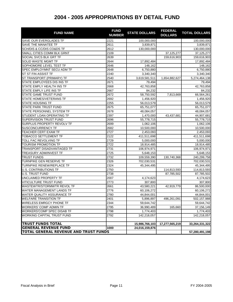| <b>FUND NAME</b>                      | <b>FUND</b><br><b>NUMBER</b> | <b>STATE DOLLARS</b> | <b>FEDERAL</b><br><b>DOLLARS</b> | <b>TOTAL DOLLARS</b> |
|---------------------------------------|------------------------------|----------------------|----------------------------------|----------------------|
| <b>SAVE OUR EVERGLADES TF</b>         | 2221                         | 100,000,000          |                                  | 100,000,000          |
| <b>SAVE THE MANATEE TF</b>            | 2611                         | 3,839,871            |                                  | 3,839,871            |
| SCH/DIS & CC/DIS CO&DS TF             | 2612                         | 130,000,000          |                                  | 130,000,000          |
| SMALL CITIES COMM BLK GRNT            | 2109                         |                      | 37, 125, 277                     | 37, 125, 277         |
| SOCIAL SVCS BLK GRT TF                | 2639                         |                      | 159,616,903                      | 159,616,903          |
| <b>SOLID WASTE MGMT TF</b>            | 2644                         | 17,892,484           |                                  | 17,892,484           |
| SOPHOMORE LEVEL TEST TF               | 2646                         | 148,162              |                                  | 148,162              |
| SPEC EMPLOYMNT SECU ADM TF            | 2648                         | 6,750,880            |                                  | 6,750,880            |
| <b>ST ST FIN ASSIST TF</b>            | 2240                         | 3,340,340            |                                  | 3,340,340            |
| ST TRANSPORT (PRIMARY) TF             | 2540                         | 3,619,581,511        | 1,654,882,627                    | 5,274,464,138        |
| STATE EMPLOYEES DIS INS TF            | 2671                         | 79,494               |                                  | 79,494               |
| STATE EMPLY HEALTH INS TF             | 2668                         | 42,763,858           |                                  | 42,763,858           |
| STATE EMPLY LIFE INS TF               | 2667                         | 84,232               |                                  | 84,232               |
| STATE GAME TRUST FUND                 | 2672                         | 58,750,592           | 7,813,669                        | 66,564,261           |
| STATE HOMES/VETERANS TF               | 2692                         | 1,456,920            |                                  | 1,456,920            |
| <b>STATE HOUSING TF</b>               | 2255                         | 56,013,579           |                                  | 56,013,579           |
| <b>STATE PARK TRUST FUND</b>          | 2675                         | 65,751,077           |                                  | 65,751,077           |
| STATE PERSONNEL SYSTEM TF             | 2678                         | 48,084,057           |                                  | 48,084,057           |
| STUDENT LOAN OPERATING TF             | 2397                         | 1,470,000            | 43,437,681                       | 44,907,681           |
| SUPERVISION TRUST FUND                | 2696                         | 55,778,715           |                                  | 55,778,715           |
| SURPLUS PROPERTY REVOLV TF            | 2699                         | 1,062,106            |                                  | 1,062,106            |
| <b>SUSCONCURRENCY TF</b>              | 2682                         | 10,500,000           |                                  | 10,500,000           |
| TEACHER CERT EXAM TF                  | 2727                         | 2,453,093            |                                  | 2,453,093            |
| TOBACCO SETTLEMENT TF                 | 2122                         | 411,511,698          |                                  | 411,511,698          |
| TOLL FAC REVOLVING TF                 | 2729                         | 5,000,000            |                                  | 5,000,000            |
| TOURISM PROMOTION TF                  | 2722                         | 18,914,485           |                                  | 18,914,485           |
| TRANSPORT DISADVANTAGED TF            | 2731                         | 106,974,971          |                                  | 106,974,971          |
| <b>TREASURY ADM/INVEST TF</b>         | 2725                         | 5,648,153            |                                  | 5,648,153            |
| <b>TRUST FUNDS</b>                    | 2732                         | 109,559,390          | 130,740,368                      | 240,299,758          |
| TURNPIKE GEN RESERVE TF               | 2326                         | 702,030,531          |                                  | 702,030,531          |
| TURNPIKE RENEW/REPLACE TF             | 2324                         | 45,344,495           |                                  | 45,344,495           |
| <b>U.S. CONTRIBUTIONS TF</b>          | 2750                         |                      | 114,813,593                      | 114,813,593          |
| <b>U.S. TRUST FUND</b>                | 2738                         |                      | 87,785,502                       | 87,785,502           |
| UNCLAIMED PROPERTY TF                 | 2007                         | 4,174,623            |                                  | 4,174,623            |
| <b>VITICULTURE TRUST FUND</b>         | 2773                         | 307,800              |                                  | 307,800              |
| WASTEWTR/STORMWTR REVOL TF            | 2661                         | 43,580,221           | 42,919,779                       | 86,500,000           |
| WATER MANAGEMENT LANDS TF             | 2776                         | 60,106,272           |                                  | 60,106,272           |
| WATER QUALITY ASSURANCE TF            | 2780                         | 44,844,001           |                                  | 44,844,001           |
| <b>WELFARE TRANSITION TF</b>          | 2401                         | 5,896,897            | 496,261,091                      | 502,157,988          |
| <b>WIRELESS EMRGCY PHONE TF</b>       | 2344                         | 59,644,742           |                                  | 59,644,742           |
| <b>WORKERS' COMP ADMIN TF</b>         | 2795                         | 36,990,489           | 165,660                          | 37, 156, 149         |
| <b>WORKERS'COMP SPEC DISAB TF</b>     | 2798                         | 1,774,403            |                                  | 1,774,403            |
| WORKING CAPITAL TRUST FUND            | 2792                         | 142,218,057          |                                  | 142,218,057          |
| <b>TRUST FUNDS TOTAL</b>              |                              | 15,986,766,103       | 17,277,565,219                   | 33,264,331,322       |
| <b>GENERAL REVENUE FUND</b>           | 1000                         | 24,016,159,876       |                                  |                      |
| TOTAL GENERAL REVENUE AND TRUST FUNDS |                              |                      |                                  | 57,280,491,198       |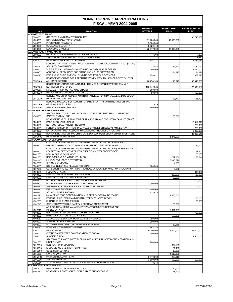| <b>Issue</b>                               | <b>Issue Title</b>                                                                          | <b>GENERAL</b><br><b>REVENUE</b> | <b>STATE TRUST</b><br><b>FUND</b> | <b>FEDERAL TRUST</b><br><b>FUND</b> |
|--------------------------------------------|---------------------------------------------------------------------------------------------|----------------------------------|-----------------------------------|-------------------------------------|
| <b>ADMINISTERED FUNDS</b>                  |                                                                                             |                                  |                                   |                                     |
| 3960000                                    | <b>STRENGTHENING DOMESTIC SECURITY</b>                                                      |                                  |                                   | 130,740,368                         |
| 4800000                                    | <b>STATEWIDE SALARY INCREASES</b>                                                           | $\overline{9}1,200,000$          | 49,900,000                        |                                     |
| 5408000                                    | <b>INVESTMENT PROJECTS</b>                                                                  | 5,000,000                        |                                   |                                     |
| 7600000                                    | <b>HOMELAND SECURITY</b>                                                                    | 8,922,748                        |                                   |                                     |
| 8600000<br><b>AGENCY/HEALTH CARE ADMIN</b> | <b>ECONOMIC STIMULUS</b>                                                                    | 72,377,000                       | 37,000,000                        |                                     |
| 3000020                                    | MANAGED CARE MONITORING STAFF INCREASE                                                      | 7,393                            |                                   | 7,393                               |
| 3000040                                    | STAFF INCREASE FOR LONG-TERM CARE WAIVERS                                                   | 1,311                            |                                   | 1,312                               |
| 4101220                                    | <b>RESTORATION OF ADULT DENTURES</b>                                                        | 3,845,311                        |                                   | 5,664,950                           |
|                                            | FUNDING FOR HEALTH INSURANCE PORTABILITY AND ACCOUNTABILITY ACT (HIPAA)                     |                                  |                                   |                                     |
| 4102080                                    | <b>SECURITY COMPLIANCE</b>                                                                  | 34,042                           | 86,653                            | 34,042                              |
| 4200100                                    | WIRELESS HANDHELD DRUG INFORMATION DATABASE PROGRAM                                         | 2,250,000                        |                                   | 2,250,000                           |
| 4204400                                    | ADDITIONAL RESOURCES FOR FRAUD AND ABUSE PREVENTION                                         |                                  | 24,875                            | 24,874                              |
| 5000010                                    | <b>PRIOR YEAR SUPPLEMENTAL FUNDING FOR MEDICAID SERVICES</b>                                | 858,621                          |                                   | 858,620                             |
| 33N0400                                    | RESTORE COVERAGE FOR PREGNANT WOMEN 150% TO 185% OF POVERTY LEVEL<br><b>AS NONRECURRING</b> | 20,758,168                       | 143,977                           | 30,340,353                          |
|                                            | RESTORE COVERAGE FOR ADULTS IN THE MEDICALLY NEEDY PROGRAM WITH<br>NONRECURRING FUNDS       |                                  |                                   |                                     |
| 33N0500<br>33V4281                         | LIFESAVER RX PROGRAM ADJUSTMENT                                                             | 120,242,364<br>500,000           |                                   | 172,566,585                         |
| 36308C0                                    | MEDICAID ENCOUNTER DATA SYSTEM (MEDS)                                                       | 50,000                           |                                   | 450,000                             |
|                                            | SURVEY AND ENFORCEMENT ADMINISTRATIVE ACTIONS DATABASE AND DOCUMENT                         |                                  |                                   |                                     |
| 36312C0                                    | <b>MANAGEMENT SYSTEM</b>                                                                    |                                  | 28,777                            | 55,723                              |
|                                            | REPLACE TOBACCO SETTLEMENT FUNDING SHORTFALL WITH NONRECURRING                              |                                  |                                   |                                     |
| 76D0100                                    | <b>GENERAL REVENUE FUNDS</b>                                                                | 12,271,979                       |                                   |                                     |
| 9A00110                                    | <b>AFFORDABLE HEALTH CARE</b>                                                               | 650,000                          |                                   |                                     |
|                                            | <b>AGENCY/WORKFORCE INNOVATN</b>                                                            |                                  |                                   |                                     |
|                                            | SPECIAL EMPLOYMENT SECURITY ADMINISTRATION TRUST FUND - OPERATING                           |                                  |                                   |                                     |
| 4500060                                    | CAPITAL OUTLAY (OCO)<br>RESTORE NONRECURRING TEMPORARY ASSISTANCE FOR NEEDY FAMILIES (TANF) |                                  | 100,000                           |                                     |
| 5000100                                    | PASS-THROUGH FUNDING                                                                        |                                  |                                   | 12,817,319                          |
| 5000120                                    | NON CUSTODIAL PARENT PROGRAM                                                                |                                  |                                   | 750,000                             |
| 5000125                                    | FUNDING TO SUPPORT TEMPORARY ASSISTANCE FOR NEEDY FAMILIES (TANF)                           |                                  |                                   | 750,000                             |
| 5100000                                    | EXTENSION OF THE PASSPORT TO ECONOMIC PROGRESS PROGRAM                                      |                                  |                                   | 2,200,000                           |
| 5400170                                    | RESTORE NONRECURRING CHILD CARE DEVELOPMENT BLOCK GRANT TRUST FUND                          |                                  |                                   | 32,839,545                          |
| 990M000                                    | MAINTENANCE AND REPAIR<br><b>AGRIC/CONSUMER SVCS/COMMR</b>                                  |                                  | 1,275,000                         |                                     |
|                                            | CONTINUATION OF BUDGET AMENDMENT DOMESTIC SECURITY IMPROVED                                 |                                  |                                   |                                     |
| 1602800                                    | PROTECTION/FOOD CONTAMINANTS/ ZOONOTIC DISEASES EOG-097                                     |                                  |                                   | 153,000                             |
|                                            | CONTINUATION OF BUDGET AMENDMENT DOMESTIC SECURITY EQUIP FOR ANIMAL                         |                                  |                                   |                                     |
| 1603900                                    | PROTECTION SERVICES FOR FOR EMERGENCY RESPONSE EOG-097                                      |                                  |                                   | 53,600                              |
| 2401000                                    | <b>REPLACEMENT EQUIPMENT</b>                                                                |                                  |                                   | 155,000                             |
| 2401500                                    | <b>REPLACEMENT OF MOTOR VEHICLES</b>                                                        |                                  | 772,858                           | 138,544                             |
| 3002140                                    | LAKE OKEECHOBEE RESTORATION                                                                 |                                  | 5,045,629                         |                                     |
| 3002300                                    | <b>CITRUS GERMPLASM</b>                                                                     |                                  | 4,561                             |                                     |
| 3006100                                    | STERILE INSECT FLY RELEASE PROGRAM                                                          | 1,000,000                        |                                   |                                     |
| 3007100<br>4900180                         | CONSUMER PROTECTION - STAFF TO REGULATE GAME PROMOTION PROGRAMS<br><b>FEDERAL GRANTS</b>    |                                  | 6,122                             |                                     |
| 4900400                                    | <b>FARMERS MARKET NUTRITION PROGRAM</b>                                                     |                                  | 220,000                           | 805,000<br>510,000                  |
| 4900570                                    | FARM TO SCHOOL ALLIANCE PROGRAM                                                             |                                  | 50,000                            |                                     |
| 4900620                                    | FLORIDA SHRIMP PROMOTIONAL MARKETING PROGRAM                                                |                                  |                                   | 500,000                             |
| 4900700                                    | <b>FLORIDA AGRICULTURE PROMOTION CAMPAIGN</b>                                               | 2,000,000                        |                                   |                                     |
| 4900710                                    | STAFFING FOR ORAL RABIES VACCINATION PROGRAM                                                |                                  |                                   | 6,000                               |
| 4900730                                    | <b>FARM SHARE PROGRAM</b>                                                                   | 300,000                          |                                   |                                     |
| 4900750                                    | <b>AQUACULTURE PROGRAM</b>                                                                  | 678,675                          |                                   |                                     |
| 4902570                                    | MANAGEMENT OF CONSERVATION AND RECREATION LANDS (CARL)                                      |                                  | 1,660,060                         |                                     |
| 4902590                                    | FOREST HEALTH/WILDLAND URBAN INTERFACE INTEGRATION                                          |                                  |                                   | 50,000                              |
| 4902600                                    | <b>ENDANGERED PLANT SPECIES</b><br>OFF-HIGHWAY VEHICLE SAFETY & RECREATIONPROGRAM           |                                  |                                   | 26,000                              |
| 4902640                                    | AGRICULTURAL BEST MANAGEMENT PRACTICES DEVELOPMENT AND                                      |                                  | 26,000                            |                                     |
| 4902810                                    | <b>IMPLEMENTATION</b>                                                                       |                                  | 5,301,001                         |                                     |
| 4903900                                    | RECOVERY LAND ACQUISITION GRANT PROGRAM                                                     |                                  |                                   | 720,000                             |
| 4903950                                    | HARDLOCK COTTON RESEARCH-IFAS                                                               |                                  | 150,000                           |                                     |
| 4903960                                    | AQUACULTURE DEVELOPMENT EXPENSE INCREASE                                                    | 250,000                          |                                   |                                     |
| 4904007                                    | <b>SUPPORT FOR FOOD BANK</b>                                                                | 300,000                          |                                   |                                     |
| 4908800                                    | INDUSTRY SUPPORTED PROMOTIONAL ACTIVITIES                                                   |                                  | 13,865                            |                                     |
| 5200010                                    | <b>FORESTRY WILDFIRE EQUIPMENT</b>                                                          | 852,325                          |                                   |                                     |
| 6201000                                    | <b>ERADICATION</b>                                                                          | 19,700,000                       | 7,600,000                         | 27,300,000                          |
| 6204000                                    | <b>CITRUS CANKER TREE COMPENSATION PROGRAM</b>                                              | 600,000                          |                                   |                                     |
| 6208000                                    | <b>SHADE FLORIDA</b>                                                                        |                                  |                                   | 3,000,000                           |
| 6601050                                    | STAFFING FOR NORTHWEST FLORIDA AGRICULTURAL INTERDICTION STATION AND<br><b>MOBILE UNITS</b> | 900,000                          |                                   |                                     |
| 36220C0                                    | <b>SUN PLATFORM UPGRADE</b>                                                                 |                                  | 604,198                           |                                     |
| 36240C0                                    | E-COMMERCE ONE-STOP PERMITTING                                                              |                                  | 71,400                            |                                     |
| 990C000                                    | <b>CODE CORRECTIONS</b>                                                                     |                                  | 18,000                            |                                     |
| 990L000                                    | <b>LAND ACQUISITION</b>                                                                     |                                  | 4,610,000                         |                                     |
| 990M000                                    | MAINTENANCE AND REPAIR                                                                      | 3,479,000                        | 255,013                           |                                     |
| 990S000                                    | <b>SPECIAL PURPOSE</b>                                                                      | 1,500,000                        | 600,000                           | 100,000                             |
| 9A00050                                    | AGRICULTURAL AND MIGRANT LABOR HB 1307 CHAPTER 2004-64                                      | 78,244                           |                                   |                                     |
| <b>BUSINESS/PROFESSIONAL REG</b>           |                                                                                             |                                  |                                   |                                     |
| 2401500                                    | <b>REPLACEMENT OF MOTOR VEHICLES</b>                                                        |                                  | 159,000                           |                                     |
| 3001410                                    | RESTORE SUPPORT STAFF - REAL ESTATE ENFORCEMENT                                             |                                  | 13,767                            |                                     |

Fiscal Analysis in Brief **Fiscal Analysis in Brief** Page 12 FY 2004-2005

### **NONRECURRING APPROPRIATIONS FISCAL YEAR 2004-2005**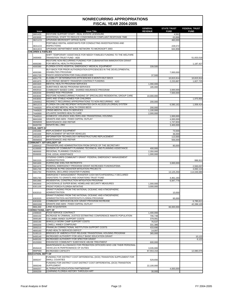|                                  |                                                                                                                               | <b>GENERAL</b>         | <b>STATE TRUST</b>     | <b>FEDERAL TRUST</b>   |
|----------------------------------|-------------------------------------------------------------------------------------------------------------------------------|------------------------|------------------------|------------------------|
| <b>Issue</b>                     | <b>Issue Title</b>                                                                                                            | <b>REVENUE</b>         | <b>FUND</b>            | <b>FUND</b>            |
| 3001420                          | RESTORE SUPPORT STAFF - REAL ESTATE LICENSURE                                                                                 |                        | 4,561                  |                        |
| 4003000<br>36211C0               | ADDITIONAL STAFF TO REDUCE CONDOMINIUM COMPLAINT RESPONSE TIME<br>UPGRADE MICROSOFT OFFICE SUITE                              |                        | 63,896<br>460,000      |                        |
|                                  | PORTABLE DIGITAL ASSISTANTS FOR CONDUCTING INVESTIGATIONS AND                                                                 |                        |                        |                        |
| 36311C0                          | <b>INSPECTIONS</b>                                                                                                            |                        | 228,572                |                        |
| 36313C0                          | UPGRADE DEPARTMENT-WIDE NETWORK TO MICROSOFT 2003                                                                             |                        | 644,958                |                        |
| <b>CHILDREN &amp; FAMILIES</b>   |                                                                                                                               |                        |                        |                        |
| 3400400                          | SHIFT TEMPORARY ASSISTANCE FOR NEEDY FAMILIES FUNDING TO THE WELFARE<br><b>TRANSITION TRUST FUND - ADD</b>                    |                        |                        | 51,833,018             |
|                                  | RESTORE NON-RECURRING FUNDING FOR CUBAN/HAITIAN IMMIGRATION GRANT                                                             |                        |                        |                        |
| 4000280                          | FOR MENTAL HEALTH PROGRAMS                                                                                                    |                        |                        | 1,187,427              |
| 4000380                          | FLORIDA STATE HOSPITAL EMERGENCY MEDICAL EQUIPMENT                                                                            | 339,500                |                        |                        |
|                                  | BUY-BACK FOR PRIOR AUTHORIZATION EFFICIENCIES IN THE DEVELOPMENTAL<br><b>DISABILITIES PROGRAM</b>                             |                        |                        |                        |
| 4000390<br>4001720               | PASCO ASSOCIATION FOR CHALLEGED KIDS                                                                                          | 37,500                 | 7,000,000              |                        |
| 4001770                          | ELIGIBILITY DETERMINATION EFFICIENCIES 9 MONTH BUY-BACK                                                                       |                        | 10,815,914             | 10,815,914             |
| 4001870                          | ELECTRONIC BENEFIT TRANSFER CONTRACT FUNDING                                                                                  |                        | 2,233,887              | 1,827,725              |
| 4001920                          | MENTAL HEALTH PROGRAM SERVICES<br><b>SUBSTANCE ABUSE PROGRAM SERVICES</b>                                                     | 1,090,000              |                        |                        |
| 4001930<br>4002010               | COMMUNITY BASED CARE - SHARED INSURANCE PROGRAM                                                                               | 185,000                | 3,000,000              |                        |
| 4002030                          | <b>SHARED RISK PROGRAM</b>                                                                                                    |                        | 7,500,000              |                        |
| 4003040                          | RESTORE NONRECURRING FUNDING OF SPECIALIZED RESIDENTIAL GROUP CARE                                                            | 10,000,000             |                        |                        |
| 4403050                          | SAFE AND STABLE HOMES FOR CHILDREN                                                                                            |                        |                        | 1,970,956              |
| 33N0002                          | REDIRECT RECURRING APPROPRIATIONS TO NON-RECURRING - ADD<br>FLORIDA ON-LINE RECIPIENT INTEGRATED DATA ACCESS (FLORIDA) SYSTEM | 200,000                |                        |                        |
| 36012C0<br>74A0020               | APALACHEE MENTAL HEALTH CRISIS BEDS                                                                                           | 200,000                | 6,580,162              | 1,009,414              |
| 74A0620                          | <b>CRISIS MENTAL HEALTH SERVICES</b>                                                                                          | 1,100,000              |                        |                        |
| 74A0690                          | ATLANTIC SHORES HEALTH CARE                                                                                                   | 2,000,000              |                        |                        |
| 75A0010                          | DOMESTIC VIOLENCE SHELTERS AND TRANSITIONAL HOUSING<br><b>GRANTS AND AIDS - FIXED CAPITAL OUTLAY</b>                          |                        | 1,000,000              |                        |
| 990G000<br>990M000               | MAINTENANCE AND REPAIR                                                                                                        |                        | 4,000,000<br>1,747,604 |                        |
| 9A00700                          | SENATE BILL 2962                                                                                                              |                        | 3,400,000              |                        |
| <b>CITRUS, DEPT OF</b>           |                                                                                                                               |                        |                        |                        |
| 2401000                          | <b>REPLACEMENT EQUIPMENT</b>                                                                                                  |                        | 73,500                 |                        |
| 2401500<br>24010C0               | <b>REPLACEMENT OF MOTOR VEHICLES</b><br>INFORMATION TECHNOLOGY INFRASTRUCTURE REPLACEMENT                                     |                        | 36,000<br>113,000      |                        |
| 990M000                          | MAINTENANCE AND REPAIR                                                                                                        |                        | 556,000                |                        |
| <b>COMMUNITY AFFAIRS.DEPT OF</b> |                                                                                                                               |                        |                        |                        |
| 1800410                          | TRANSFERLAND ADMINISTRATION FROM OFFICE OF THE SECRETARY                                                                      |                        | 80,000                 |                        |
| 4100000                          | DIVISION OF COMMUNITY PLANNING TECHNICAL AND PLANNING ASSISTANCE<br><b>REGIONAL PLANNING COUNCILS</b>                         | 400.000                |                        |                        |
| 4800000<br>5506000               | <b>CIVIL LEGAL ASSISTANCE</b>                                                                                                 | 2,350,000<br>1,000,000 |                        |                        |
|                                  | CITIZENS CORPS COMMUNITY GRANT- FEDERAL EMERGENCY MANAGEMENT                                                                  |                        |                        |                        |
| 5901520                          | <b>ADMINISTRATION</b>                                                                                                         |                        |                        | 996,912                |
| 5901600                          | HURRICANE SHELTER RETROFITS                                                                                                   |                        | 3,000,000              |                        |
| 5901670<br>5901700               | FEDERAL EMERGENCY PROGRAM GRANT-INCREASED FUNDING/FEMA<br>INCREASE IN PRE-DISASTER MITIGATION PROJECTS                        |                        |                        | 2,593,037<br>4,692,114 |
| 5901750                          | FEDERAL DECLARED DISASTER FUNDING                                                                                             |                        | 13,125,250             | 114,049,089            |
|                                  | EMERGENCY MANAGEMENT-TRANSFER CASH MATCH/FEDERALLY DECLARED                                                                   |                        |                        |                        |
| 5901760                          | DISASTERS TO GRANTS AND DONATIONS TRUST FUND                                                                                  |                        | 4,461,193              |                        |
| 5901990<br>5902600               | RESIDENTIAL CONSTRUCTION MITIGATION PROGRAM<br>JACKSONVILLE SUPER BOWL HOMELAND SECURITY MEASURES                             | 1,000,000              | 6,947,779              |                        |
| 6301100                          | <b>FRONT PORCH FLORIDA INITIATIVE</b>                                                                                         | 3,000,000              |                        |                        |
|                                  | GRANT FUNDING FROM THE NATIONAL OCEANIC AND ATMOSPHERIC                                                                       |                        |                        |                        |
| 6302010                          | <b>ADMINISTRATION</b>                                                                                                         |                        | 10,000                 |                        |
|                                  | GRANT FUNDING FROM THE NATIONAL OCEANIC AND ATMOSPHERIC<br>ADMINISTRATION-WATERFRONTS FLORIDA PROGRAM                         |                        |                        |                        |
| 6302020<br>6303200               | COMMUNITY SERVICES BLOCK GRANT PROGRAM INCREASE                                                                               |                        | 95,000                 | 6,785,611              |
| 990G000                          | <b>GRANTS AND AIDS - FIXED CAPITAL OUTLAY</b>                                                                                 |                        |                        | 42,289,120             |
| 990L000                          | <b>LAND ACQUISITION</b>                                                                                                       |                        | 66,000,000             |                        |
| <b>CORRECTIONS, DEPT OF</b>      | <b>FOOD SERVICE CONTRACT</b>                                                                                                  |                        |                        |                        |
| 2300020<br>3000150               | INCREASE IN CRIMINAL JUSTICE ESTIMATING CONFERENCE INMATE POPULATION                                                          | 1,400,000<br>706,748   |                        |                        |
| 3000180                          | <b>COLUMBIA ANNEX SUPPORT COSTS</b>                                                                                           | 379,091                |                        |                        |
| 3000190                          | WAKULLA WORK CAMP SUPPORT COSTS                                                                                               | 76,537                 |                        |                        |
| 3000200                          | LOWELL ANNEX COMPOUND                                                                                                         | 331,386                |                        |                        |
| 3000210<br>4800160               | FRANKLIN CORRECTIONAL INSTITUTION SUPPORT COSTS<br><b>FUND HEALTH SERVICES DEFICIT</b>                                        | 433,690<br>14,097      |                        |                        |
| 5100110                          | BRIDGES OF AMERICA POST-RELEASE TRANSITIONAL HOUSING PROGRAM                                                                  | 365,000                |                        |                        |
| 6400140                          | INCREASED AUTHORITY FOR ADULT BASIC EDUCATION GRANT                                                                           |                        |                        | 10,122                 |
| 6400150                          | <b>INCREASED AUTHORITY FOR SPECTOR GRANT</b>                                                                                  |                        |                        | 6,122                  |
| 6S20000                          | ENHANCED COMMUNITY SUBSTANCE ABUSE TREATMENT                                                                                  | 600,000                |                        |                        |
| 8500A30                          | MAINTENANCE ALLOWANCE FOR PROBATION OFFICERS WHO USE THEIR PERSONAL<br><b>VEHICLES IN PERFROMANCE OF DUTIES</b>               | 3,035,000              |                        |                        |
| 990P000                          | <b>INCREASED CAPACITY</b>                                                                                                     | 87,553,154             |                        | 12,080,075             |
| <b>EDUCATION, DEPT OF</b>        |                                                                                                                               |                        |                        |                        |
|                                  | FUNDING FOR DISTRICT COST DIFFERENTIAL (DCD) TRANSITION SUPPLEMENT FOR                                                        |                        |                        |                        |
| 3000247                          | <b>SMALL COUNTIES</b><br>FUNDING FOR DISTRICT COST DISTRICT COST DIFFERENTIAL (DCD) TRANSITION                                | 529,656                |                        |                        |
| 3000249                          | <b>SUPPLEMENT</b>                                                                                                             | 22,100,000             |                        |                        |
| 3000257                          | <b>ALTERNATIVE EDUCATION PARTNERSHIP</b>                                                                                      |                        | 4,000,000              |                        |
| 3000259                          | LEARNING FLORIDA HISTORY THROUGH ART                                                                                          | 30,000                 |                        |                        |

Fiscal Analysis in Brief **Fiscal Analysis in Brief** Page 13 FY 2004-2005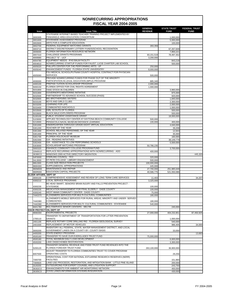| <b>Issue</b>                             | <b>Issue Title</b>                                                                                                  | <b>GENERAL</b><br><b>REVENUE</b> | <b>STATE TRUST</b><br><b>FUND</b> | <b>FEDERAL TRUST</b><br><b>FUND</b> |
|------------------------------------------|---------------------------------------------------------------------------------------------------------------------|----------------------------------|-----------------------------------|-------------------------------------|
|                                          | STATEWIDE INTERNET-BASED TEACHER TRAINING PROJECT IMPLEMENTED BY                                                    |                                  |                                   |                                     |
| 3000305                                  | PANHANDLE AREA EDUCATION CONSORTIUM                                                                                 |                                  | 1,000,000                         |                                     |
| 3001600                                  | <b>STATEWIDE ASSESSMENT PROGRAM</b><br><b>ARTS FOR A COMPLETE EDUCATION</b>                                         |                                  | 5,000,000                         |                                     |
| 3002600<br>3002700                       | <b>FEDERAL EQUIPMENT MATCHING GRANTS</b>                                                                            | 283,359                          | 100,000                           |                                     |
| 3003710                                  | DISTRICT DISCRETIONARY LOTTERY FUNDS/SCHOOL RECOGNITION                                                             |                                  | 67,267,849                        |                                     |
| 3006000                                  | <b>FLORIDA INFORMATION RESOURCE NETWORK</b>                                                                         |                                  | 7,850,221                         |                                     |
| 3007310                                  | CHALLENGE GRANTS PROGRAMS                                                                                           | 93.151.519                       | 78,497,352                        |                                     |
| 4000680                                  | PROJECT "E" - UCF                                                                                                   | 3,200,000                        |                                   |                                     |
| 4004780<br>4004810                       | EQUIPMENT NEEDS - IFAS BALM FACILITY<br>NONRECURRING STARTUP FUNDS FOR FAU/ST. LUCIE CHARTER LAB SCHOOL             |                                  | 843,218<br>500,000                |                                     |
| 4005020                                  | PHILLIPS CENTER FOR THE PERFORMING ARTS - UF                                                                        | 250,000                          |                                   |                                     |
| 4005040                                  | ENHANCEMENT FUNDS - FLORIDA STATE UNIVERSITRY                                                                       | 8,000,000                        |                                   |                                     |
| 4005060                                  | FSU MEDICAL SCHOOL/PUTNAM COUNTY HOSPITAL CONTRACT FOR PHYSICIAN<br>SERVICES                                        | 500,000                          |                                   |                                     |
|                                          | PROVIDE NONRECURRING FUNDS FOR PHASE OUT OF THE MINORITY                                                            |                                  |                                   |                                     |
| 4008300                                  | PARTICIPATION IN LEGAL EDUCATION (MPLE) PROGRAM                                                                     | 885,340                          |                                   |                                     |
| 4400100                                  | PREPAID TUITION SCHOLARSHIP PROGRAM                                                                                 | 2,000,000                        |                                   |                                     |
| 5000150<br>5031800                       | <b>FLORIDA OFFICE FOR CIVIL RIGHTS AGREEMENT</b><br><b>TAKE STOCK IN CHILDREN</b>                                   | 1,000,000                        | 3,960,000                         |                                     |
| 5031900                                  | <b>GOVERNOR'S MENTORING INITIATIVE</b>                                                                              |                                  | 875,000                           |                                     |
| 5032500                                  | PARTNERSHIP TO ADVANCE SCHOOL SUCCESS (PASS)                                                                        |                                  | 920,000                           |                                     |
| 5032600                                  | <b>BIG BROTHERS/BIG SISTERS</b>                                                                                     |                                  | 1,840,000                         |                                     |
| 5033100                                  | <b>BOYS AND GIRLS CLUBS</b>                                                                                         |                                  | 2,300,000                         |                                     |
| 5033200                                  | <b>LEARNING FOR LIFE</b>                                                                                            |                                  | 2,000,000                         |                                     |
| 5033400                                  | <b>COMMUNITIES INSCHOOLS</b>                                                                                        |                                  | 1,000,000                         |                                     |
| 5033500                                  | <b>GIRL SCOUTS OF FLORIDA</b>                                                                                       |                                  | 500,000                           |                                     |
| 5033600                                  | <b>BLACK MALE EXPLORERS PROGRAM</b><br>PUBLIC STUDENT ASSISTANCE GRANT                                              |                                  | 500,000                           |                                     |
| 5100100<br>5103000                       | APPLIED TECHNOLOGY CENTER AT DAYTONA BEACH COMMUNITY COLLEGE                                                        | 500,000                          | 18,000,000                        |                                     |
| 5210000                                  | PENSACOLA NAVAL MUSEUM DISTANCE LEARNING                                                                            | 100,000                          | 400,000                           |                                     |
| 5301000                                  | KINDERGARTEN THROUGH GRADE EIGHT VIRTUAL EDUCATION                                                                  |                                  | 4,640,000                         |                                     |
| 5301200                                  | <b>TEACHER OF THE YEAR</b>                                                                                          |                                  | 39,208                            |                                     |
| 5301300                                  | SCHOOL RELATED PERSONNEL OF THE YEAR                                                                                |                                  | 12,943                            |                                     |
| 5301400                                  | PRINCIPAL OF THE YEAR                                                                                               |                                  | 35,000                            |                                     |
| 5301700                                  | <b>FLORIDA HOLOCAUST MUSEUM</b>                                                                                     |                                  | 160,000                           |                                     |
| 5302300                                  | <b>G/A - READING INITIATIVES</b>                                                                                    |                                  | 38,149,779                        |                                     |
| 5302400                                  | G/A - ASSISTANCE TO LOW PERFORMING SCHOOLS<br>SCHOLARSHIP MATCHING PROGRAM                                          |                                  | 5,500,000                         |                                     |
| 5303000<br>5900320                       | ENHANCE COMMUNITY COLLEGE PROGRAM FUND                                                                              | 50,786,235                       | 3,700,000                         |                                     |
| 33N0010                                  | REPLACE RECURRING APPROPRIATIONS WITH NONRECURRING - ADD                                                            | 400,000                          |                                   |                                     |
| 36380C0                                  | WINDOWS 2000 ACTIVE DIRECTORY MIGRATION                                                                             |                                  |                                   | 445,320                             |
| 54F0000                                  | <b>STERLING COUNCIL - TCC</b>                                                                                       | 320,000                          |                                   |                                     |
| 54L0000                                  | ST PETE COLLEGE - LIBRARY ENHANCEMENT                                                                               | 500,000                          |                                   |                                     |
| 990J300                                  | <b>CLASS SIZE REDUCTION PROJECTS</b>                                                                                | 100,000,000                      |                                   |                                     |
| 990K000                                  | SUPPLEMENTAL APPROPRIATIONS                                                                                         | 445,000                          |                                   |                                     |
| 990M000                                  | MAINTENANCE AND REPAIR                                                                                              | 27,700,000                       | 251,885,649                       |                                     |
| 990R000<br><b>ELDER AFFAIRS, DEPT OF</b> | <b>EDUCATION CAPITAL PROJECTS</b>                                                                                   | 40,586,775                       | 521,550,086                       |                                     |
| 3000100                                  | COMPREHENSIVE ASSESSMENT AND REVIEW OF LONG TERM CARE SERVICES                                                      | 11,403                           |                                   | 34,207                              |
| 4300210                                  | LOCAL SERVICE PROGRAMS                                                                                              | 3,325,000                        |                                   |                                     |
|                                          | BE HEAD SMART, SENIORS! BRAIN INJURY AND FALLS PREVENTION PROJECT -                                                 |                                  |                                   |                                     |
| 4300230                                  | <b>STATEWIDE</b>                                                                                                    | 100,000                          |                                   |                                     |
| 4300235                                  | MEDICATION MANAGEMENT FOR FRAIL ELDERLY - DADE COUNTY                                                               | 100,000                          |                                   |                                     |
| 4300240                                  | WEST MIAMI COMMUNITY CENTER - DADE COUNTY                                                                           | 75,000                           |                                   |                                     |
| 74A0370                                  | ALZHEIMERS SERVICES FOR MULTI-CULTURAL COMMUNITIES                                                                  | 180,000                          |                                   |                                     |
| 74A0380                                  | ALZHEIMER'S MOBILE SERVICES FOR RURAL AREAS, MINORITY AND UNDER- SERVED<br><b>COMMUNITIES</b>                       | 180,000                          |                                   |                                     |
| 74A0390                                  | ALZHEIMER'S SERVICES FOR MULTI- CULTURAL COMMUNITIES - STATEWIDE                                                    | 540,000                          |                                   |                                     |
| 9A01780                                  | MULTISERVICE SENIOR CENTERS - SB1748                                                                                |                                  | 240,000                           |                                     |
| <b>ENVIR PROTECTION, DEPT OF</b>         |                                                                                                                     |                                  |                                   |                                     |
| 990E000                                  | <b>ENVIRONMENTAL PROJECTS</b>                                                                                       | 27,000,000                       | 404,232,851                       | 87,450,925                          |
|                                          | TRANSFER TO DEPARTMENT OF TRANSPORTATION FOR LITTER PREVENTION                                                      |                                  |                                   |                                     |
| 1700110                                  | <b>GRANTS</b>                                                                                                       |                                  | 1,000,000                         |                                     |
| 2401100                                  | REPLACE ROTARY CORE DRILLING RIG - FLORIDA GEOLOGICAL SURVEY                                                        |                                  | 540,000                           |                                     |
| 2401500                                  | <b>REPLACEMENT OF MOTOR VEHICLES</b>                                                                                |                                  | 986,405                           | 34,000                              |
| 3000200                                  | INVENTORY ALL FEDERAL, STATE, WATER MANAGEMENT DISTRICT, AND LOCAL<br>GOVERNMENT LANDS ON A COUNTY-BY- COUNTY BASIS |                                  | 33,000                            |                                     |
| 4400200                                  | <b>STATE ENERGY PROGRAM</b>                                                                                         |                                  |                                   | 13,683                              |
| 4500160                                  | TRANSFER TO SAVE OUR EVERGLADES TRUST FUND                                                                          | 75.000.000                       |                                   |                                     |
| 4500180                                  | TOTAL MAXIMUM DAILY LOAD DEVELOPMENT                                                                                |                                  | 6,600,000                         |                                     |
| 4500200                                  | LAKE OKEECHOBEE RESTORATION                                                                                         |                                  | 3,300,000                         |                                     |
|                                          | TRANSFER GENERAL REVENUE AND P2000 TRUST FUND REVENUES INTO THE                                                     |                                  |                                   |                                     |
| 5200120                                  | <b>FLORIDA FOREVER TRUST FUND</b>                                                                                   | 263,100,000                      | 36,900,000                        |                                     |
|                                          | ADJUST TRANSFER TO FLORIDA COMMUNITIES TRUST TO COVER PROGRAM                                                       |                                  |                                   |                                     |
| 6007500                                  | OPERATING COSTS<br>OPERATIONAL COST FOR NATIONAL ESTUARINE RESEARCH RESERVES (NERR)                                 |                                  | 29,256                            |                                     |
| 7300700                                  | <b>FACILITIES</b>                                                                                                   |                                  | 151,984                           |                                     |
| 7300920                                  | LAND USE PROCEEDS, RESTORATION, AND MITIGATION BANK - LITTLE PINE ISLAND                                            |                                  | 200,000                           |                                     |
| 33J0200                                  | OUTSOURCING FOR EXPERT COUNSEL AND LITIGATION SUPPORT                                                               |                                  | 243,750                           |                                     |
| 36302C0                                  | ENHANCEMENTS FOR AMBIENT AIR MONITORING NETWORK                                                                     |                                  | 450,000                           |                                     |
| 36305C0                                  | STATE LANDS INFORMATION SYSTEMS INTEGRATION                                                                         |                                  | 430,000                           |                                     |

Fiscal Analysis in Brief **Fiscal Analysis in Brief** Page 14 **FY 2004-2005**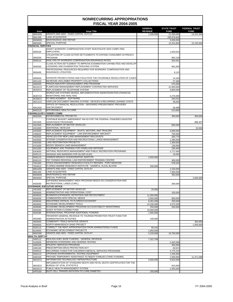|                           |                                                                                                                      | <b>GENERAL</b>          | <b>STATE TRUST</b>      | <b>FEDERAL TRUST</b> |
|---------------------------|----------------------------------------------------------------------------------------------------------------------|-------------------------|-------------------------|----------------------|
| <b>Issue</b>              | <b>Issue Title</b>                                                                                                   | <b>REVENUE</b>          | <b>FUND</b>             | <b>FUND</b>          |
| 990G000                   | <b>GRANTS AND AIDS - FIXED CAPITAL OUTLAY</b>                                                                        | 1,200,000               | 21,200,000              | 14,241,500           |
| 990L000                   | <b>LAND ACQUISITION</b><br>MAINTENANCE AND REPAIR                                                                    |                         | 295,876,600             |                      |
| 990M000<br>990S000        | <b>SPECIAL PURPOSE</b>                                                                                               |                         | 9.450.000<br>13,252,858 | 22,150,000           |
| <b>FINANCIAL SERVICES</b> |                                                                                                                      |                         |                         |                      |
|                           | ASSIST WORKERS' COMPENSATION STAFF INVESTIGATE NON COMPLYING                                                         |                         |                         |                      |
| 3000100                   | <b>EMPLOYERS</b>                                                                                                     |                         | 1.020.810               |                      |
|                           | UTILIZATION OF CLASS ACTION SETTLEMENTS TO EXPAND CONSUMER OUTREACH.                                                 |                         |                         |                      |
| 3000200                   | <b>PROGRAM</b>                                                                                                       |                         | 862,218                 |                      |
| 3000210                   | ANALYSIS OF WORKERS COMPENSATION INSURANCE RATES                                                                     |                         | 504,561                 |                      |
|                           | CLASS ACTION SETTLEMENT TO IMPROVE EXAMINATION CAPABILITIES AND DEVELOP<br>LICENSING AND EXAMINATION TRACKING SYSTEM |                         |                         |                      |
| 3000300                   | PROFESSIONAL RESOURCES REQUIRED FOR WORKERS' COMPENSATION AND                                                        |                         | 991,000                 |                      |
| 3000400                   | INSURANCE LITIGATION                                                                                                 |                         | 9,122                   |                      |
|                           |                                                                                                                      |                         |                         |                      |
| 3000630                   | EXPEDITE PROSECUTIONS AND FACILITATE THE FAVORABLE RESOLUTION OF CASES                                               |                         | 14,183                  |                      |
| 3001100                   | INCREASE UNCLAIMED PROPERTY COLLECTIONS                                                                              |                         | 27,366                  |                      |
| 4000200                   | PRISON INDUSTRY ENHANCEMENT (PIE) PROGRAM                                                                            |                         | 575,000                 |                      |
| 36101C0                   | FLAIR/CASH MANAGEMENT REPLACEMENT CONTRACTED SERVICES                                                                |                         | 41,500,000              |                      |
| 36202C0                   | REPLACEMENT OF TELEPHONE SYSTEM                                                                                      |                         | 3,600,000               |                      |
|                           | WORKFLOW SYSTEMS DESIGN, IMPLEMENTATION ANDINTEGRATION (FINANCIAL<br>MONITORING AND ANALYSIS)                        |                         |                         |                      |
| 36307C0<br>36309C0        | PC REPLACEMENT - SOFTWARE                                                                                            |                         | 2,275,000<br>200,915    |                      |
| 36311C0                   | VISIFLOW DOCUMENT IMAGING SYSTEM - DEVICES & RECURRING LEASING COSTS                                                 |                         | 48,000                  |                      |
|                           | OFFICE OF FINANCIAL REGULATION - DEFERRED PRESENTMENT PROVIDER                                                       |                         |                         |                      |
| 4001A00                   | <b>ENFORCEMENT</b>                                                                                                   |                         | 36,488                  |                      |
| 9A00120                   | AFFORDABLE HEALTH CARE                                                                                               |                         | 513,683                 |                      |
|                           | FISH/WILDLIFE CONSERV COMM                                                                                           |                         |                         |                      |
| 990E000                   | <b>ENVIRONMENTAL PROJECTS</b>                                                                                        |                         | 300,000                 | 300,000              |
|                           | CONTINUE BUDGET AMENDMENT #04-03 FOR THE FEDERAL FISHERIES DISASTER                                                  |                         |                         |                      |
| 1601600<br>2401500        | ASSISTANCE PROGRAMS<br>REPLACEMENT OF MOTOR VEHICLES                                                                 |                         | 800,000                 | 898,307              |
| 2401800                   | <b>ADDITIONAL VEHICLES</b>                                                                                           |                         |                         | 33,565               |
| 2402500                   | REPLACEMENT EQUIPMENT - BOATS, MOTORS, AND TRAILERS                                                                  |                         | 4,000,000               |                      |
| 2406020                   | REPLACEMENT EQUIPMENT - LAW ENFORCEMENT AIRCRAFT                                                                     |                         | 700,000                 |                      |
| 4402630                   | VEHICLES FOR NEW LAND MANAGEMENT BIOLOGISTS                                                                          |                         | 260,770                 |                      |
| 4403550                   | <b>INTERIM CONSERVATION AND RECREATIONAL LANDS MANAGEMENT</b>                                                        |                         | 1,296,000               |                      |
| 4404200                   | <b>LAKE RESTORATION PROJECTS</b>                                                                                     |                         | 1,400,000               |                      |
| 4701000                   | MOODY BRANCH LAND MANAGEMENT                                                                                         |                         | 136,000                 |                      |
| 5501000                   | EQUIPMENT AND TRAINING FOR HOMELAND DEFENSE                                                                          |                         | 239,400                 |                      |
| 6303000<br>6500110        | NATURAL RESOURCE MANAGEMENT AND PUBLIC RECREATION PROGRAMS<br>SIGNAGE AND MARKERS FOR SILVER GLEN                    |                         | 2,717,000<br>18,000     |                      |
| 6500115                   | HARBOR BRANCH OCENOGRAPHIC INSITUTE                                                                                  | 2,000,000               |                         |                      |
| 6500120                   | PAT THOMAS REGIONAL LAW ENFORCEMENT TRAINING CENTER                                                                  |                         | 400,000                 |                      |
| 7001500                   | STOCK ENHANCEMENT RESEARCH FACILITY REPAIRS - PORT MANATEE                                                           |                         | 578,342                 |                      |
| 7004510                   | FLORIDA MARINE RESEARCH INSTITUTE - HARMFUL ALGAL BLOOM                                                              | 500,000                 |                         |                      |
| 990G000                   | <b>GRANTS AND AIDS - FIXED CAPITAL OUTLAY</b>                                                                        |                         | 2,150,000               |                      |
| 990L000                   | <b>LAND ACQUISITION</b>                                                                                              |                         | 7,000,000               |                      |
| 990M000                   | <b>MAINTENANCE AND REPAIR</b>                                                                                        |                         | 350,000                 |                      |
| 990S000                   | SPECIAL PURPOSE                                                                                                      |                         |                         | 2,000,000            |
|                           | EXPANDED MANAGEMENT AREA PROGRAM NEEDS ON CONSERVATION AND<br>RECREATIONAL LANDS (CARL)                              |                         |                         |                      |
| 4402640                   | <b>GOVERNOR, EXECUTIVE OFFICE</b>                                                                                    |                         | 300,000                 |                      |
| 2401500                   | REPLACEMENT OF MOTOR VEHICLES                                                                                        | 25,000                  |                         |                      |
| 3005000                   | ADMINISTRATIVE AND OPERATIONAL COST                                                                                  |                         | 100,000                 |                      |
| 4500020                   | BUSINESS EXPANSION, RETENTION AND RECRUITMENT                                                                        | 11,000,000              |                         |                      |
| 4500030                   | COMMUNITIES WITH SPECIAL NEEDS                                                                                       | 2,055,000               | 900,000                 |                      |
| 4500040                   | INDUSTRIES CRITICAL TO FLORIDA'S ECONOMY                                                                             | 8,353,296               | 250,000                 |                      |
| 4500050                   | ECONOMIC DEVELOPMENT TOOLS                                                                                           | 22,330,000              | 4,575,500               |                      |
| 4500090                   | ECONOMIC DEVELOPMENT PROGRAM ACCOUNTABILITY MONITORING<br>QUICK ACTION CLOSING FUND                                  | 250,000                 | 250,000                 |                      |
| 4500260<br>4500280        | INTERNATIONAL PROGRAM ADDITIONAL FUNDING                                                                             | 10,000,000<br>1,000,000 |                         |                      |
|                           | TRANSFER GENERAL REVENUE TO TOURISM PROMOTION TRUST FUND FOR                                                         |                         |                         |                      |
| 4502080                   | <b>ADMINISTRATIVE ACTIVITIES</b>                                                                                     | 100,000                 |                         |                      |
| 4900000                   | <b>COMMUNITY TRIALS INITIATIVE GRANTS</b>                                                                            |                         |                         | 350,000              |
| 5000000                   | NORTH MIAMI BEACH GANG PROJECT                                                                                       |                         |                         | 1,000,000            |
| 5300110                   | CORRECT THE RENT APPROPRIATION FROM ADMINISTERED FUNDS                                                               | 69,316                  |                         |                      |
| 60J0000                   | ECONOMIC DEVELOPMENT PROJECTS                                                                                        | 1,950,000               |                         |                      |
| 990G000                   | <b>GRANTS AND AIDS - FIXED CAPITAL OUTLAY</b>                                                                        | 5,150,000               | 16,750,000              |                      |
| <b>HEALTH, DEPT OF</b>    | REALIGN AHEC BASE FUNDING - GENERAL REVENUE                                                                          |                         |                         |                      |
| 3400112<br>4100030        | NEWBORN SCREENING AND HEARING TESTING                                                                                | 7,322,789               | 2,464,596               |                      |
| 4300100                   | <b>EPILEPSY SERVICES PROGRAM</b>                                                                                     |                         | 300.000                 |                      |
| 4300160                   | PRESCRIPTION DRUG PROTECTION ACT                                                                                     |                         | 49,913                  |                      |
| 5300010                   | RECURRING FUNDS FOR CHILDREN'S MEDICAL SERVICES PROGRAMS                                                             |                         | 4,775,319               |                      |
| 5500110                   | UPGRADE ENVIRONMENTAL TESTING EQUIPMENT                                                                              |                         | 1,335,000               |                      |
| 6400100                   | PROVIDE TEMPORARY ASSISTANCE TO NEEDY FAMILIES (TANF) FUNDING                                                        |                         | 1,500,000               | 11,371,588           |
| 36024C0                   | INFORMATION TECHNOLOGY INFRASTRUCTURE                                                                                | 5,000,000               | 5,910,509               |                      |
|                           | IMPLEMENTATION OF STANDARD DEATH AND FETAL DEATH CERTIFICATES FOR THE<br><b>BUREAU OF VITAL STATISTICS</b>           |                         |                         |                      |
| 36029C0<br>36032C0        | PUBLIC HEALTH MANAGEMENT SYSTEM                                                                                      |                         | 815,000<br>2,350,000    |                      |
| 64P0160                   | ISLET CELL TRANSPLANTATION TO CURE DIABETES                                                                          | 250,000                 |                         |                      |
|                           |                                                                                                                      |                         |                         |                      |

Fiscal Analysis in Brief **Fiscal Analysis in Brief** Page 15 FY 2004-2005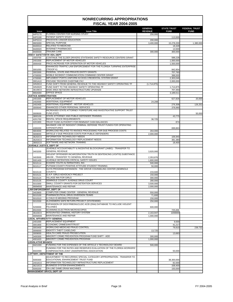|                               |                                                                                           | <b>GENERAL</b>       | <b>STATE TRUST</b> | <b>FEDERAL TRUST</b> |
|-------------------------------|-------------------------------------------------------------------------------------------|----------------------|--------------------|----------------------|
| <b>Issue</b>                  | <b>Issue Title</b>                                                                        | <b>REVENUE</b>       | <b>FUND</b>        | <b>FUND</b>          |
| 64P0170                       | <b>FLORIDA CENTER FOR NURSING STUDY</b>                                                   | 250,000              |                    |                      |
| 64P0190                       | <b>PATIENT SAFETY STUDY</b>                                                               |                      | 113,500            |                      |
| 64P0210                       | PROSTATE CANCER EDUCATION                                                                 | 200,000              |                    |                      |
| 990S000                       | <b>SPECIAL PURPOSE</b>                                                                    | 3,400,000            | 15,278,200         | 1,380,000            |
| 9A00010                       | <b>RELATED TO MEDICAID</b><br><b>INTERNET PHARMACIES</b>                                  |                      | 18,328             |                      |
| 9A00020<br>9A00030            | <b>TRAUMA CARE</b>                                                                        | 300,000              | 13,500<br>300,000  |                      |
|                               | HIWAY SAFETY/MTR VEH, DEPT                                                                |                      |                    |                      |
| 1603700                       | CONTINUE THE ELDER DRIVERS STATEWIDE SAFETY RESOURCE CENTERS GRANT                        |                      | 588,228            |                      |
| 2401500                       | <b>REPLACEMENT OF MOTOR VEHICLES</b>                                                      |                      | 1,000,000          |                      |
| 3000430                       | <b>PRICE INCREASE FOR OPERATION OF MOTOR VEHICLES</b>                                     |                      | 1,500,000          |                      |
|                               | ENHANCED TRAFFIC LAW ENFORCEMENT FOR THE FLORIDA TURNPIKE ENTERPRISE                      |                      |                    |                      |
| 3001050                       | (TROOP K)                                                                                 |                      | 942,954            |                      |
| 3003300                       | FEDERAL, STATE AND PRIVATE ENTITY GRANTS                                                  |                      | 707,760            |                      |
| 4700050                       | MOBILE INCIDENT COMMUNICATION COMMAND CENTER GRANT                                        |                      | 388,500            |                      |
| 4700060                       | IMPLEMENT PORTS UNIFORM ACCESS CREDENTIAL SYSTEM GRANT                                    |                      | 2,303,046          |                      |
| 3001A10                       | <b>PROVIDE TROOPER OVERTIME PAY</b>                                                       |                      | 2,000,000          |                      |
| 34N3010                       | FUND SHIFT FROM GENERAL REVENUE TO THE HIGHWAY SAFETY OPERATING TF                        | (1,714,875)          |                    |                      |
| 34N3020                       | FUND SHIFT TO THE HIGHWAY SAFETY OPERATING TF<br>WIDE AREA NETWORK INFRASTRUCTURE UPGRADE |                      | 1,714,875          |                      |
| 36109C0<br>990A000            | <b>OFFICE SPACE</b>                                                                       |                      | 707,350            |                      |
| <b>JUSTICE ADMINISTRATION</b> |                                                                                           |                      | 3,189,011          |                      |
| 2401500                       | <b>REPLACEMENT OF MOTOR VEHICLES</b>                                                      |                      | 627,826            | 20,000               |
| 2402000                       | <b>ADDITIONAL EQUIPMENT</b>                                                               | 24,208               |                    |                      |
| 2402400                       | ADDITIONAL EQUIPMENT - MOTOR VEHICLES                                                     |                      | 276,308            | 126,252              |
| 3000640                       | ENHANCED OTHER PERSONAL SERVICES                                                          |                      | 378,990            |                      |
|                               | INCREASED STATE ATTORNEY FORFEITURE AND INVESTIGATIVE SUPPORT TRUST                       |                      |                    |                      |
| 3009500                       | <b>FUND (FIST)</b>                                                                        |                      |                    | 50,000               |
| 3800100                       | STATE ATTORNEY AND PUBLIC DEFENDER TRAINING                                               |                      | 43,775             |                      |
| 4201700                       | <b>RENTAL SPACE REQUIREMENTS</b>                                                          | 36,725               |                    |                      |
| 4201900                       | TRUST FUND AUTHORITY FOR REMNANT CASH BALANCES                                            |                      | 874                |                      |
|                               | MAXIMIZE USE OF INDIGENT CRIMINAL DEFENSE TRUST FUNDS FOR OPERATING                       |                      |                    |                      |
| 4300200                       | <b>EXPENDITURES</b><br>WORKLOAD RELATED TO INVOICE PROCESSING FOR DUE PROCESS COSTS       |                      | 699,863            |                      |
| 5804000<br>5808000            | ARTICLE V DUE PROCESS COSTS FOR PUBLIC DEFENDERS                                          | 264,000<br>2,000,000 |                    |                      |
| 36202C0                       | <b>INFORMATION TECHNOLOGY NEEDS</b>                                                       |                      | 106,940            |                      |
| 36203C0                       | <b>INFORMATION TECHNOLOGY REPLACEMENT NEEDS</b>                                           |                      | 391,380            |                      |
| 38002C0                       | SOFTWARE AND NETWORK TRAINING                                                             |                      | 18,400             |                      |
|                               | JUVENILE JUSTICE, DEPT OF                                                                 |                      |                    |                      |
|                               | JUVENILE ACCOUNTABILITY & INCENTIVE BLOCKGRANT (JAIBG) - TRANSFER TO                      |                      |                    |                      |
| 3403200                       | <b>GENERAL REVENUE</b>                                                                    | 3,920,000            |                    |                      |
|                               | VIOLENT OFFENDER INCARCERATION/ TRUTH IN SENTENCING (VOI/TIS) SUBSTANCE                   |                      |                    |                      |
| 3403500                       | ABUSE - TRANSFER TO GENERAL REVENUE                                                       | 2,353,876            |                    |                      |
| 5001400                       | JUVENILE DETENTION CRITICAL SAFETY ISSUES                                                 | 1.800.000            |                    |                      |
| 5010114                       | <b>ECKERD YOUTH ALTERNATIVES, INC.</b>                                                    | 500,000              |                    |                      |
| 5010117                       | PUTNAM COUNTY POSITIVE ATTITUDE STUDENT TRAINING                                          | 50,000               |                    |                      |
|                               | GUYS PROGRAM EXPANSION - THE GROVE COUNSELING CENTER (SEMINOLE                            |                      |                    |                      |
| 5010119<br>5010121            | COUNTY)<br><b>G.A.P. GIRLS ADVOCACY PROJECT</b>                                           | 233,600<br>150,000   |                    |                      |
| 5010124                       | <b>VILLAGE INN FOR GIRLS</b>                                                              | 300.000              |                    |                      |
| 5010135                       | SEMINOLE COUNTY JUVENILE DRUG COURT                                                       | 280,000              |                    |                      |
| 5010300                       | SMALL COUNTY GRANTS FOR DETENTION SERVICES                                                | 3,500,000            |                    |                      |
| 990M000                       | MAINTENANCE AND REPAIR                                                                    | 2,000,000            |                    |                      |
|                               | <b>LAW ENFORCEMENT, DEPT OF</b>                                                           |                      |                    |                      |
| 3403900                       | COMPUTER CRIME CENTER - GENERAL REVENUE                                                   | 550,000              |                    |                      |
| 5010100                       | PHARMACEUTICAL DRUG DIVERSION TEAMS                                                       | 71,600               |                    |                      |
| 5010310                       | A CHILD IS MISSING PROGRAM                                                                | 150,000              |                    |                      |
| 5010330                       | ALZHEIMERS SAFE RETURN PROJECT (STATEWIDE)                                                | 250,000              |                    |                      |
|                               | EXPANSION OF DIOXYRIBONUCLEIC ACID (DNA) DATABASE TO INCLUDE VIOLENT                      |                      |                    |                      |
| 5200000                       | <b>IFELONIES</b>                                                                          | 600,000              |                    |                      |
| 8502000                       | <b>SCANNING ELECTRON MICROSCOPES</b>                                                      |                      | 725,000            |                      |
| 36103C0                       | INTEGRATED CRIMINAL HISTORY SYSTEM                                                        | 2,163,947            | 2200000            |                      |
| 990M000                       | MAINTENANCE AND REPAIR                                                                    | 1,000,000            |                    |                      |
| 2401000                       | <b>LEGAL AFFAIRS/ATTY GENERAL</b><br><b>REPLACEMENT EQUIPMENT</b>                         |                      | 9,500              |                      |
| 3001900                       | ECONOMIC CRIMES/ANTITRUST                                                                 |                      | 41,217             |                      |
| 3003400                       | WORKLOAD-MEDICAID FRAUD CONTROL                                                           |                      | 79,910             | 239,732              |
| 3006000                       | <b>IDENTITY THEFT CASELOAD</b>                                                            | 13,725               |                    |                      |
| 3009000                       | <b>HEALTH CARE FRAUD PROSECUTION</b>                                                      |                      | 13,683             |                      |
| 3400300                       | MINORITY CRIME PREVENTION PROGRAM FUND SHIFT - ADD                                        | 300,000              |                    |                      |
| 4001620                       | MINORITY CRIME PREVENTION PROGRAM                                                         | 1,000,000            |                    |                      |
| <b>LEGISLATIVE BRANCH</b>     |                                                                                           |                      |                    |                      |
| 9A01000                       | FUNDING FOR THE EXPENSES OF THE ARTICLE V TECHNOLOGY BOARD                                | 500,000              |                    |                      |
|                               | FUNDING FOR THE RATES AND RESERVES EVALUATION OF THE FLORIDA WORKERS'                     |                      |                    |                      |
| 9A02000                       | COMPENSATION JOINT UNDERWRITING ASSOCIATION                                               |                      | 50,000             |                      |
|                               | LOTTERY, DEPARTMENT OF THE                                                                |                      |                    |                      |
|                               | ADJUSTMENT TO RECURRING SPECIAL CATEGORY APPROPRIATION - TRANSFER TO                      |                      |                    |                      |
| 5000300                       | EDUCATIONAL ENHANCEMENT TRUST FUND                                                        |                      | 38,300,000         |                      |
| 24010C0                       | INFORMATION TECHNOLOGY INFRASTRUCTURE REPLACEMENT                                         |                      | 82,000             |                      |
| 36210C0                       | <b>BUSINESS SYSTEM ENHANCEMENTS</b>                                                       |                      | 338,400            |                      |
| 5000200                       | ON-LINE GAME DRAW MACHINES                                                                |                      | 150,000            |                      |
|                               | <b>MANAGEMENT SRVCS, DEPT OF</b>                                                          |                      |                    |                      |

Fiscal Analysis in Brief **Fiscal Analysis in Brief** Page 16 FY 2004-2005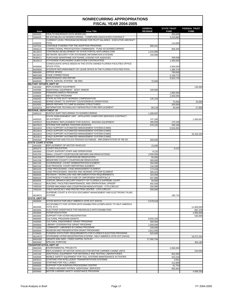|                           |                                                                                                                     | <b>GENERAL</b>      | <b>STATE TRUST</b> | <b>FEDERAL TRUST</b> |
|---------------------------|---------------------------------------------------------------------------------------------------------------------|---------------------|--------------------|----------------------|
| <b>Issue</b>              | <b>Issue Title</b>                                                                                                  | <b>REVENUE</b>      | <b>FUND</b>        | <b>FUND</b>          |
| 3000300                   | <b>HEALTH INSURANCE DATA MODELING</b>                                                                               |                     | 250,000            |                      |
| 3300020                   | RE-ESTABLISH AS NONRECURRING - COMPUTER ASSOCIATES CONTRACT                                                         |                     | 4,243,860          |                      |
|                           | CURRENT LEVEL PROGRAM INCREASE FOR PILOT SALARIES - EXECUTIVE AIRCRAFT<br><b>POOL</b>                               |                     |                    |                      |
| 4100220<br>4107510        | CONTINUE FUNDING FOR THE ADOPTION PROGRAM                                                                           | 906,441             | 114,000            |                      |
| 33N0110                   | CORRECTIONAL PRIVATIZATION COMMISSION - FUND AS NONRECURRING                                                        |                     | 859,405            |                      |
| 36120C0                   | CONTINUED DEVELOPMENT OF STATE PORTAL-MYFLORIDA.COM                                                                 | 1,215,000           |                    |                      |
| 36126C0                   | NETWORK SECURITY FOR STATEWIDE INFORMATION SYSTEMS                                                                  | 150.000             |                    |                      |
| 36300C1                   | PURCHASE MAINFRAME SOFTWARE LICENSE FOR AGENCIES                                                                    |                     | 339,508            |                      |
| 36320C0                   | STATEWIDE PURCHASING SUBSYSTEM CONTINUATION                                                                         |                     | 1,400,000          |                      |
|                           | CONSOLIDATE SPACE NEEDS IN THE STATE-OWNED FLORIDA FACILITIES OFFICE-                                               |                     |                    |                      |
| 6H00000                   | <b>SPACE POOL</b>                                                                                                   |                     | 2,000,000          |                      |
| 8H00000                   | INTERIOR REFURBISHMENT OF LEASE SPACE IN THE FLORIDA FACILITIES POOL                                                |                     | 1,386,376          |                      |
| 990A000                   | <b>OFFICE SPACE</b>                                                                                                 |                     | 700,000            |                      |
| 990C000                   | <b>CODE CORRECTIONS</b>                                                                                             |                     | 2,149,773          |                      |
| 990M000                   | MAINTENANCE AND REPAIR                                                                                              |                     | 5,823,735          |                      |
| 9A00020                   | STATE JUDICIAL SYSTEM - SB 2962                                                                                     | 75,000              |                    |                      |
| 2401000                   | <b>MILITARY AFFAIRS, DEPT OF</b><br><b>REPLACEMENT EQUIPMENT</b>                                                    |                     |                    | 135,000              |
| 2402080                   | ADDITIONAL EQUIPMENT - BODY ARMOR                                                                                   | 100,000             |                    |                      |
| 4200500                   | FORWARD MARCH PROGRAM                                                                                               |                     | 1,800,000          |                      |
| 4200600                   | <b>ABOUT FACE PROGRAM</b>                                                                                           |                     | 2,500,000          |                      |
| 4300400                   | <b>STATE ACTIVE DUTY WORKER COMPENSATION</b>                                                                        | 135,164             |                    |                      |
| 4400400                   | BYRNE GRANT TO SUPPORT COUNTERDRUG OPERATIONS                                                                       |                     | 75,000             | 25,000               |
| 5003050                   | MINOR REPAIRS TO CAMP BLANDING STRUCTURES                                                                           |                     | 205,000            |                      |
| 24010C0                   | INFORMATION TECHNOLOGY INFRASTRUCTURE REPLACEMENT                                                                   | 86,218              | 30,000             | 27,950               |
|                           | <b>REVENUE, DEPARTMENT OF</b>                                                                                       |                     |                    |                      |
| 3300110                   | <b>SUNTAX SHIFT RECURRING TO NONRECURRING</b>                                                                       | 1,308,097           |                    |                      |
|                           | ISTATE DISBURSEMENT UNIT - AFFILIATED COMPUTER SERVICES CONTRACT                                                    |                     |                    |                      |
| 4400320                   | ADJUSTMENT                                                                                                          | 747,330             |                    | 1,450,647            |
| 24020C0                   | EQUIPMENT REPLACEMENT FOR SUNTAX - IMAGING EQUIPMENT                                                                | 396,900             | 170,100            |                      |
| 36078C0                   | SYSTEM FOR UNIFIED TAXATION (SUNTAX)                                                                                | 676,232             | 430,166            |                      |
| 36319C0                   | CHILD SUPPORT AUTOMATED MANAGEMENT SYSTEM (CAMS)                                                                    |                     | 5,533,455          |                      |
| 36319C0                   | CHILD SUPPORT AUTOMATED MANAGEMENT SYSTEM (CAMS)                                                                    |                     |                    |                      |
| 36319C0                   | CHILD SUPPORT AUTOMATED MANAGEMENT SYSTEM (CAMS)                                                                    |                     |                    | 10,316,154           |
| 36319C0                   | CHILD SUPPORT AUTOMATED MANAGEMENT SYSTEM (CAMS)                                                                    |                     |                    |                      |
| 9A00200                   | FIREFIGHTER AND POLICE PENSION DATABASE - IMPLEMENTATION OF HB 251                                                  | 300,000             |                    |                      |
| <b>STATE COURT SYSTEM</b> |                                                                                                                     |                     |                    |                      |
| 2401500                   | <b>REPLACEMENT OF MOTOR VEHICLES</b>                                                                                | 15,000              |                    |                      |
| 3000270                   | <b>COURT EDUCATION</b><br>COURT SUPPORT STAFF AND OPERATIONS                                                        |                     | 9,122              |                      |
| 3003000                   | SMALL COUNTY COURTHOUSE REPAIRS AND RENOVATIONS                                                                     | 9,122               |                    |                      |
| 5401234<br>5401235        | <b>DESOTO COUNTY COURTHOUSE RENOVATION</b>                                                                          | 3,500,000<br>50,000 |                    |                      |
| 5401236                   | <b>BRADFORD COUNTY COURTHOUSE RENOVATION</b>                                                                        | 300,000             |                    |                      |
| 5801100                   | GOVERNANCE: COURT ADMINISTRATION ELEMENT                                                                            | 294,935             |                    |                      |
| 5802100                   | DUE PROCESS: COURT REPORTING ELEMENT                                                                                | 132,266             |                    |                      |
| 5803100                   | CASE PROCESSING: CASE MANAGEMENT ELEMENT                                                                            | 173,318             |                    |                      |
| 5803200                   | CASE PROCESSING: MASTER AND HEARING OFFICER ELEMENT                                                                 | 395,423             |                    |                      |
| 5806000                   | REVISION 7 WORKLOAD AND IMPLEMENTATION REQUIREMENTS                                                                 | 164,059             |                    |                      |
| 5808100                   | CONTINGENCY FUND IN CASE OF UNFORSEEN SHORTFALLS                                                                    | 637,866             |                    |                      |
| 6800500                   | JUDICIAL BRANCH-SECURITY/SAFETY OF FLORIDA'S SUPREME COURT                                                          | 56,000              |                    |                      |
| 7000210                   | BUILDING, FACILITIES MAINTENANCE, AND OPERATIONAL UPKEEP                                                            | 492,500             |                    |                      |
| 7000230                   | COPIER MACHINES AND COURTROOM RENOVATIONS - 17TH CIRCUIT                                                            | 250,000             |                    |                      |
| 7000240                   | CHILD ADVOCACY AND PROTECTION CENTER - 13TH CIRCUIT                                                                 | 500,000             |                    |                      |
|                           | SUPREME COURT & 4TH DCA DOCUMENT MANAGEMENT AND ELECTRONIC FILING                                                   |                     |                    |                      |
| 36230C0                   | <b>SYSTEM</b>                                                                                                       |                     | 190,715            |                      |
| <b>STATE, DEPT OF</b>     |                                                                                                                     |                     |                    |                      |
| 4600000                   | STATE MATCH FOR HELP AMERICA VOTE ACT (HAVA)                                                                        | 5,578,018           |                    |                      |
|                           | ACCESSIBILITY FOR VOTERS WITH DISABILITIES (COMPLIANCE TO HELP AMERICA                                              |                     |                    |                      |
| 4602000                   | VOTE ACT)                                                                                                           |                     |                    | 11,600,000           |
| 4602050                   | ELECTIONS ASSISTANCE FOR INDIVIDUALS WITH DISABILITIES                                                              |                     |                    | 687,278              |
| 4603000                   | <b>VOTER EDUCATION</b>                                                                                              |                     |                    | 2,900,000            |
| 4604000                   | <b>SUPPORT FOR VOTER REGISTRATION</b>                                                                               |                     |                    | 530,000              |
| 4900000                   | <b>CULTURAL PROGRAM GRANTS</b>                                                                                      | 8,633,154           |                    |                      |
| 5400000                   | <b>CULTURAL ENDOWMENT GRANT PROGRAM</b>                                                                             | 480,000             |                    |                      |
| 5600000                   | LIBRARY COOPERATIVE GRANT PROGRAM                                                                                   | 1,500,000           |                    |                      |
| 5701000                   | COMMUNITY LIBRARIES IN CARING PROGRAM                                                                               | 100,000             |                    |                      |
| 6000000                   | MUSEUM AND PRESERVATION GRANT PROGRAMS                                                                              | 2,812,500           |                    |                      |
| 6700000                   | FUNDING STATUTORY REQUIREMENTS FOR FLORIDA'S ELECTION PROGRAM                                                       | 825,000             |                    |                      |
| 36103C0                   | STATEWIDE VOTER REGISTRATION SYSTEM - HELP AMERICA VOTE ACT (HAVA)<br><b>GRANTS AND AIDS - FIXED CAPITAL OUTLAY</b> |                     |                    | 10,271,231           |
| 990G000                   | <b>SPECIAL PURPOSE</b>                                                                                              | 27,466,794          |                    |                      |
| 990S000                   |                                                                                                                     |                     |                    | 394,185              |
|                           | <b>TRANSPORTATION, DEPT OF</b><br><b>ENVIRONMENTAL PROJECTS</b>                                                     |                     |                    |                      |
| 990E000                   | REPLACEMENT OF MOTOR VEHICLES FOR MOTOR CARRIER CANINE UNITS                                                        |                     | 2,060,000          |                      |
| 2401510                   | ADDITIONAL EQUIPMENT FOR MATERIALS AND TESTING LABORATORIES                                                         |                     |                    | 234,500              |
| 2402190<br>2402500        | MOBILE SAFETY EQUIPMENT FOR TOLL SYSTEMS MAINTENANCE ACTIVITIES                                                     |                     | 602,000            |                      |
|                           | STAFFING FOR INTELLIGENT TRANSPORTATION SYSTEMS                                                                     |                     | 423,318            |                      |
| 3003010<br>3005000        | <b>STAFFING FOR TOLL LANES</b>                                                                                      |                     | 4,561<br>212,800   |                      |
| 3006000                   | SUPPORT FOR SUNPASS PROCESSING CENTER                                                                               |                     |                    |                      |
| 6001030                   | FLORIDA HIGHWAY PATROL ADDITIONAL SERVICES                                                                          |                     | 61,754<br>955,904  |                      |
| 6009990                   | MOTOR CARRIER SAFETY ASSISTANCE PROGRAM                                                                             |                     |                    | 4,068,256            |
|                           |                                                                                                                     |                     |                    |                      |

Fiscal Analysis in Brief **Fiscal Analysis in Brief** Page 17 FY 2004-2005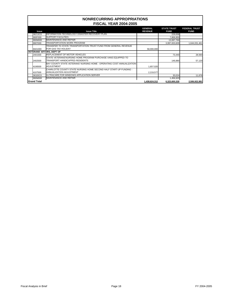| <b>Issue</b>       | <b>Issue Title</b>                                                     | <b>GENERAL</b><br><b>REVENUE</b> | <b>STATE TRUST</b><br><b>FUND</b> | <b>FEDERAL TRUST</b><br><b>FUND</b> |
|--------------------|------------------------------------------------------------------------|----------------------------------|-----------------------------------|-------------------------------------|
| 36213C0            | INFORMATION TECHNOLOGY DISASTER RECOVERY PLAN                          |                                  | 229,008                           |                                     |
| 990F000            | <b>SUPPORT FACILITIES</b>                                              |                                  | 7,806,950                         |                                     |
| 990M000            | <b>MAINTENANCE AND REPAIR</b>                                          |                                  | 13,697,766                        |                                     |
| l990T000           | TRANSPORTATION WORK PROGRAM                                            |                                  | 3,997,833,609                     | 1,644,031,461                       |
|                    | TRANSFER TO STATE TRANSPORTATION TRUST FUND FROM GENERAL REVENUE       |                                  |                                   |                                     |
| 9A01000            | IFOR GAS TAX HOLIDAY                                                   | 58,000,000                       |                                   |                                     |
|                    | <b>VETERANS' AFFAIRS, DEPT OF</b>                                      |                                  |                                   |                                     |
| 2401500            | IREPLACEMENT OF MOTOR VEHICLES                                         |                                  | 73,440                            | 28,560                              |
|                    | STATE VETERANS'NURSING HOME PROGRAM PURCHASE VANS EQUIPPED TO          |                                  |                                   |                                     |
| 2402500            | TRANSPORT HANDICAPPED RESIDENTS                                        |                                  | 146.880                           | 57,120                              |
|                    | BAY COUNTY STATE VETERANS' NURSING HOME - OPERATING COST ANNUALIZATION |                                  |                                   |                                     |
| 4106500            | <b>ADJUSTMENT</b>                                                      | 1,657,020                        |                                   |                                     |
|                    | CHARLOTTE COUNTY STATE NURSING HOME SECOND HALF START-UP FUNDING -     |                                  |                                   |                                     |
| 4107500            | ANNUALIZATION ADJUSTMENT                                               | 2,219,577                        |                                   |                                     |
| 36320C0            | ULTRACARE FOR WINDOWS APPLICATION SERVER                               |                                  | 30,024                            | 11.676                              |
| 990M000            | <b>MAINTENANCE AND REPAIR</b>                                          |                                  | 1,456,920                         |                                     |
| <b>Grand Total</b> |                                                                        | 1,438,624,312                    | 6,323,600,328                     | 2,506,922,981                       |

Fiscal Analysis in Brief **Fiscal Analysis in Brief** Page 18 FY 2004-2005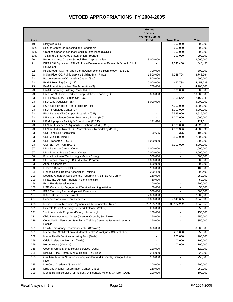|                 |                                                                                           | General<br>Revenue/<br><b>Working Capital</b> |                          |              |
|-----------------|-------------------------------------------------------------------------------------------|-----------------------------------------------|--------------------------|--------------|
| Line #          | <b>Title</b>                                                                              | <b>Fund</b>                                   | <b>Trust Fund</b>        | <b>Total</b> |
| 10              | Storytellers Ink                                                                          | $\overline{a}$                                | 300,000                  | 300,000      |
| 10 C            | Schultz Center for Teaching and Leadership                                                |                                               | 600,000                  | 600,000      |
| 10 <sub>D</sub> | Creating Opportunities that Result in Excellence (CORE)                                   |                                               | 900,000                  | 900,000      |
| 10 D            | To Nurture Small Group Intervention Program                                               |                                               | 290,000                  | 290,000      |
| 20              | Performing Arts Charter School Fixed Capital Outlay                                       | 3,000,000                                     |                          | 3,000,000    |
| 21              | DRS 2 Mill Equivalent: FAU-St. Lucie Developmental Research School - 2 Mill<br>Equivalent |                                               | 1,046,450                | 1,046,450    |
| 22              | Hillsborough CC: Rem/Ren Clsrms/Labs Science Technology-Plant City                        | 300,000                                       | $\overline{a}$           | 300,000      |
| 22              | Indian River CC: Public Service Building-Main Partial                                     | 1,500,000                                     | 7,248,764                | 8,748,764    |
| 22              | Pasco-Hernando CC: Wesley Chapel (Spc)                                                    | 500,000                                       |                          | 500,000      |
| 23              | FAMU Teaching Gym (C,E)                                                                   | 10,000,000                                    | 4,457,738                | 14,457,738   |
| 23              | FAMU Land Acquisition/Site Acquisition (S)                                                | 4,700,000                                     |                          | 4,700,000    |
| 23              | FAMU Pharmacy Building Phase II (C,E)                                                     |                                               | 500,000                  | 500,000      |
| 23              | FAU Port St. Lucie - Partner Campus Phase II partial (P,C,E)                              | 10,000,000                                    |                          | 10,000,000   |
| 23              | FIU Public Safety Building UP (P,C,E)                                                     |                                               | 2,168,542                | 2,168,542    |
| 23              | FSU Land Acquisition (S)                                                                  | 5,000,000                                     |                          | 5,000,000    |
| 23              | FSU Isabelle Collier Reed Facility (P,C,E)                                                |                                               | 5,000,000                | 5,000,000    |
| 23              | FSU Psychology Center (C)                                                                 |                                               | 5,000,000                | 5,000,000    |
| 23              | FSU Panama City Campus Expansion (C,E)                                                    |                                               | 2,525,000                | 2,525,000    |
| 23              | UF Health Science Center Emergency Power (P,C)                                            | ä,                                            | 1,000,000                | 1,000,000    |
| 23              | UF Multipurpose Facility & Greenhouse (P,C,E)                                             | 121,614                                       |                          | 121,614      |
| 23              | UF/IFAS Fisheries & Aquaculture Fisheries #64 (P,C,E)                                     |                                               | 4,828,000                | 4,828,000    |
| 23              | UF/IFAS Indian River REC Renovations & Remodeling (P,C,E)                                 |                                               | 4,989,396                | 4,989,396    |
| 23              | UNF Land/Site Acquisition (S)                                                             | 99,625                                        | 375                      | 100,000      |
| 23              | USF Music Building (P)                                                                    |                                               | 2,500,000                | 2,500,000    |
| 23              | USF-Bradenton (P,C,E)                                                                     | 1,000,000                                     |                          | 1,000,000    |
| 23              | USF Bio-Tech Park (P,C,E)                                                                 |                                               | 8,900,000                | 8,900,000    |
| 57              | UM - Sylvester Cancer Center                                                              | 1,000,000                                     |                          | 1,000,000    |
| 57              | <b>UM - Braman Breast Cancer Center</b>                                                   | 2,000,000                                     |                          | 2,000,000    |
| 58              | Florida Institute of Technology - Marine Biology                                          | 500,000                                       | ä,                       | 500,000      |
| 58              | St. Thomas University - BS Education Program                                              | 1,000,000                                     | $\overline{\phantom{0}}$ | 1,000,000    |
| 93              | Adopt a Classroom                                                                         | 500,000                                       | ۰                        | 500,000      |
| 93              | I Have a Dream Foundation                                                                 | 100,000                                       | $\overline{a}$           | 100,000      |
| 105             | Florida School Boards Association Training                                                | 290,400                                       | $\blacksquare$           | 290,400      |
| 109             | Douglas Anderson School of the Performing Arts in Duval County                            | 250,000                                       | $\blacksquare$           | 250,000      |
| 109             | Kinad, Inc., African-American historical exhibit                                          | 50,000                                        |                          | 50,000       |
| 156             | FAU: Florida-Israel Institute                                                             | 200,000                                       |                          | 200,000      |
| 156             | USF: Community Engagement/Service Learning Initiative                                     | 50,000                                        |                          | 50,000       |
| 157             | IFAS Teaching Partnerships with Extensions                                                | 500,000                                       |                          | 500,000      |
| 157             | IFAS: Citrus Genome Project                                                               | 2,000,000                                     |                          | 2,000,000    |
| 227             | <b>Enhanced Assistive Care Services</b>                                                   | 1,000,000                                     | 2,649,635                | 3,649,635    |
| 238             | Include Special Medicaid Payments in HMO Capitation Rates                                 | 23, 155, 763                                  | 33,184,292               | 56,340,055   |
| 321             | Emerald Coast Advocacy Center (Okaloosa, Walton)                                          | 250,000                                       |                          | 250,000      |
| 321             | Youth Advocate Program (Duval, Hillsborough)                                              | 150,000                                       | $\frac{1}{2}$            | 150,000      |
| 321             | Child Developmental Center (Orange, Osceola, Seminole)                                    | 250,000                                       | $\overline{\phantom{0}}$ | 250,000      |
| 329             | Controlled Multisensory Stimulation Training Center at Jackson Memorial<br>Hospital       | 350,000                                       | ä,                       | 350,000      |
| 359             | Family Emergency Treatment Center (Broward)                                               | 3,000,000                                     |                          | 3,000,000    |
| 359             | Intervention Stabilization and Mental Health VisionQuest (Okeechobee)                     |                                               | 250,000                  | 250,000      |
| 359             | Mental Health Services Working Poor (Dade)                                                |                                               | 200,000                  | 200,000      |
| 359             | Crisis Assistance Program (Dade)                                                          |                                               | 100,000                  | 100,000      |
| 359             | Heron House (Monroe)                                                                      |                                               | 100,000                  | 100,000      |
| 365             | Coconut Grove Mental Health Services (Dade)                                               | 120,000                                       | L.                       | 120,000      |
| 365             | Kids NET, Inc. - Infant Mental Health (Clay, Baker)                                       | 225,000                                       | $\blacksquare$           | 225,000      |
| 385             | One Family - One Solution Visionquest (Brevard, Osceola, Orange, Indian                   | 250,000                                       | $\overline{\phantom{0}}$ | 250,000      |
|                 | River)                                                                                    |                                               |                          |              |
| 385             | Life Corp. Academy (Statewide)                                                            | 200,000                                       |                          | 200,000      |
| 388             | Drug and Alcohol Rehabilitation Center (Dade)                                             | 250,000                                       |                          | 250,000      |
| 399             | Mental Health Services for Indigent, Uninsurable Minority Children (Dade)                 | 100,000                                       |                          | 100,000      |
|                 |                                                                                           |                                               |                          |              |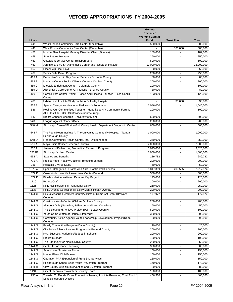|                  |                                                                                                                                  | General<br>Revenue/<br><b>Working Capital</b> |                                  |                   |
|------------------|----------------------------------------------------------------------------------------------------------------------------------|-----------------------------------------------|----------------------------------|-------------------|
| Line #           | <b>Title</b>                                                                                                                     | <b>Fund</b>                                   | <b>Trust Fund</b>                | <b>Total</b>      |
| 441              | West Florida Community Care Center (Escambia)                                                                                    | 500,000                                       |                                  | 500,000           |
| 441              | West Florida Community Care Center (Escambia)                                                                                    |                                               | 500,000                          | 500.000           |
| 458              | Morton Plant Hospital Memory Disorder Clinic (Pinellas)                                                                          | 189,000                                       |                                  | 189,000           |
| 459              | Safe Return Program                                                                                                              | 250,000                                       |                                  | 250,000           |
| 463              | Outpatient Service Center (Hillsborough)                                                                                         | 500,000                                       |                                  | 500,000           |
| 463              | Johnnie B. Byrd Sr. Alzheimer's Center and Research Institute                                                                    | 12,000,000                                    |                                  | 12,000,000        |
| 467              | Elder Help Line (Bay)                                                                                                            | 50,000                                        |                                  | 50,000            |
| 467              | Senior Safe Driver Program                                                                                                       | 250,000                                       | $\blacksquare$                   | 250,000           |
| 469 A            | Dementia-Specific Day Center Service - St. Lucie County                                                                          | 80,000                                        | $\blacksquare$                   | 80,000            |
| 469 B            | Madison County Senior Citizens Center - Madison County                                                                           | 200,000                                       |                                  | 200,000           |
| 469 C            | Lifestyle Enrichment Center - Columbia County                                                                                    | 100,000                                       | $\blacksquare$                   | 100,000           |
| 469 <sub>D</sub> | Alzheimer's Care Center Of Titusville - Brevard County                                                                           | 80,000                                        | $\overline{\phantom{a}}$         | 80,000            |
| 469 E            | Cares Elfers Center Project - Pasco And Pinellas Counties- Fixed Capital<br>Outlay                                               | 123,000                                       | ÷                                | 123,000           |
| 488              | Urban Land Institute Study on the A.G. Holley Hospital                                                                           |                                               | 30,000                           | 30,000            |
| 525 A            | Special Categories - National Parkinson's Foundation                                                                             | 1,046,000                                     |                                  | 1,046,000         |
| 536              | Healing Our Communities Together: Hepatitis & HIV Community Forums -<br>AIDS Institute - USF (Statewide) (nonrecurring)          | 100,000                                       |                                  | 100,000           |
| 540              | Breast Cancer Research (University of Miami)                                                                                     | 500,000                                       | $\blacksquare$                   | 500,000           |
| 548 H            | League Against Cancer (Dade)                                                                                                     | 200,000                                       | $\blacksquare$                   | 200,000           |
| 548 M            | St. Joseph Care of Florida/Gulf County Health Department Diagnostic Center                                                       | 600,000                                       |                                  | 600,000           |
| 548 P            | The Pepin Heart Institute At The University Community Hospital - Tampa<br><b>Hillsborough County</b>                             | 1,000,000                                     | $\blacksquare$                   | 1,000,000         |
| 548 Q            | Florida Community Health Center, Inc. (Okeechobee)                                                                               | 350,000                                       |                                  | 350,000           |
| 556 A            | Mayo Clinic Cancer Research Initiative                                                                                           | 2,000,000                                     |                                  | 2,000,000         |
| 557 A            | James and Esther King Biomedical Research Program                                                                                | 3,025,000                                     |                                  | 3,025,000         |
| 558AB            | St. Joseph's Heart Center                                                                                                        | 1,000,000                                     | $\blacksquare$                   | 1,000,000         |
| 652 A            | Salaries and Benefits                                                                                                            | 289,782                                       | $\overline{\phantom{a}}$         | 289,782           |
| 771 A            | Project Hope (Healthy Options Promoting Esteem)                                                                                  | 200,000                                       | $\blacksquare$                   | 200,000           |
| 786              | <b>Hepatitis C Virus Study</b>                                                                                                   | 50,000                                        |                                  | 50,000            |
| 1079 A           | Special Categories - Grants And Aids - Contracted Services                                                                       | 1,817,389                                     | 400,585                          | 2,217,974         |
| 1079K            | Crosswinds Juvenile Assessment Center-Brevard                                                                                    | 500,000                                       |                                  | 500,000           |
| 1079 P           | Pinellas Marine Institute - Panama Key Project                                                                                   | 125,000                                       |                                  | 125,000           |
| 1126             | <b>Project Craft</b>                                                                                                             | 200,000                                       |                                  | 200,000           |
| 1126             | Kelly Hall Residential Treatment Facility                                                                                        | 250,000                                       |                                  | 250,000           |
| 1138             | Polk Juvenile Correctional Facility Mental Health Overlay<br>Sexual Assault Treatment Center/Victims of Crime Act Grant (Broward | 200,000                                       |                                  | 200,000           |
| 1141 G           | County)                                                                                                                          | 177,972                                       | $\overline{\phantom{a}}$         | 177,972           |
| 1141 G           | Overtown Youth Center (Children's Home Society)                                                                                  | 200,000                                       | $\blacksquare$                   | 200,000           |
| 1141 G           | All About Girls (Gadsden, Jefferson, and Leon Counties)                                                                          | 50,000                                        | $\blacksquare$                   | 50,000            |
| 1141 G           | The Believe and Achieve Project (Palm Beach County)                                                                              | 500,000                                       | $\blacksquare$                   | 500,000           |
| 1141 G<br>1141 G | Youth Crime Watch of Florida (Statewide)<br>Community Action Agency Youth Leadership Development Project (Dade                   | 300,000<br>90,000                             | $\blacksquare$<br>$\blacksquare$ | 300,000<br>90,000 |
|                  | County)                                                                                                                          |                                               |                                  |                   |
| 1141 G<br>1141 G | Family Connection Program (Dade County)<br>City Police Athletic League Programs in Brevard County                                | 20,000<br>200,000                             |                                  | 20,000<br>200,000 |
| 1141 G           | PAC Success Academies/Judges in Schools                                                                                          | 200,000                                       |                                  | 200,000           |
| 1141 G           | Program Smart                                                                                                                    | 100,000                                       | $\overline{\phantom{a}}$         | 100,000           |
| 1141 G           | The Sanctuary for Kids in Duval County                                                                                           | 250,000                                       | $\overline{\phantom{a}}$         | 250,000           |
| 1141 G           | Center for Advanced Learning                                                                                                     | 300,000                                       | $\blacksquare$                   | 300,000           |
| 1141G            | Safe House Substance Abuse                                                                                                       | 150,000                                       | $\blacksquare$                   | 150,000           |
| 1141 G           | Master Plan - Club Esteem                                                                                                        | 150,000                                       | $\blacksquare$                   | 150,000           |
| 1141 G           | Operation PAR Expansion of Front-End Services                                                                                    | 150,000                                       | $\blacksquare$                   | 150,000           |
| 1141 G           | Hillsborough School Aged Youth Prevention Program                                                                                | 170,000                                       | $\blacksquare$                   | 170,000           |
| 1141H            | Clay County Juvenile Intervention and Diversion Program                                                                          | 80,000                                        | $\blacksquare$                   | 80,000            |
| 1191             | City of Clearwater Volunteer Security Team                                                                                       | 100,000                                       | $\overline{\phantom{a}}$         | 100,000           |
| 1250 A           | Transfer To Florida Crime Prevention Training Institute Revolving Trust Fund /<br>School Resource Officers                       | 406,560                                       |                                  | 406,560           |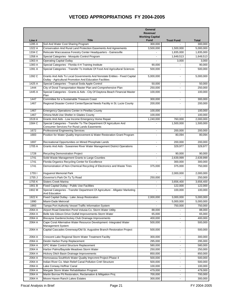|        |                                                                                                                                        | General<br>Revenue/<br><b>Working Capital</b> |                      |              |
|--------|----------------------------------------------------------------------------------------------------------------------------------------|-----------------------------------------------|----------------------|--------------|
| Line # | <b>Title</b>                                                                                                                           | <b>Fund</b>                                   | <b>Trust Fund</b>    | <b>Total</b> |
| 1285 A | Soil And Water Cost Sharing Program                                                                                                    | 300,000                                       |                      | 300,000      |
| 1322 A | Conservation And Rural Land Protection Easements And Agreements                                                                        | 3,500,000                                     | 1,500,000            | 5,000,000    |
| 1334 C | Relocate Waccasassa Forestry Center Headquarters - Gainesville                                                                         |                                               | 1,835,000            | 1,835,000    |
| 1358 A | Special Categories - Mosquito Control Program                                                                                          |                                               | 1,649,513            | 1,649,513    |
| 1363 A | <b>Operating Capital Outlay</b>                                                                                                        |                                               | 3,000                | 3,000        |
| 1383 A | Special Categories - Florida 4-H Training Institute                                                                                    | 90,000                                        |                      | 90,000       |
| 1391 A | Special Categories - Transfer To Institute Of Food And Agricultural Sciences                                                           | 500,000                                       |                      | 500,000      |
| 1392 C | Grants And Aids To Local Governments And Nonstate Entities - Fixed Capital<br>Outlay - Agricultural Promotion And Education Facilities | 5,000,000                                     | $\blacksquare$       | 5,000,000    |
| 1425 A | Special Categories - Tropical Soda Apple Control                                                                                       | 50,000                                        | $\ddot{\phantom{0}}$ | 50,000       |
| 1444   | City of Doral Transportation Master Plan and Comprehensive Plan                                                                        | 250,000                                       | $\blacksquare$       | 250,000      |
| 1445 A | Special Categories - Grants & Aids - City Of Daytona Beach Financial Master<br>Plan                                                    | 100,000                                       |                      | 100,000      |
| 1447   | Committee for a Sustainable Treasure Coast                                                                                             | 300,000                                       |                      | 300,000      |
| 1467   | Regional Disaster Control Center/Special Needs Facility in St. Lucie County                                                            | 200,000                                       |                      | 200,000      |
| 1467   | <b>Emergency Operations Center in Pinellas County</b>                                                                                  | 100,000                                       | $\blacksquare$       | 100,000      |
| 1467   | Ortona Multi-Use Shelter in Glades County                                                                                              | 100,000                                       |                      | 100,000      |
| 1519 A | Grants And Aids - Low Income Emergency Home Repair                                                                                     | 1,240,000                                     | 760,000              | 2,000,000    |
| 1584 C | Special Categories - Transfer To The Department Of Agriculture And<br><b>Consumer Services For Rural Lands Easements</b>               |                                               | 1,500,000            | 1,500,000    |
| 1672   | <b>Professional Engineering Services</b>                                                                                               | $\blacksquare$                                | 200,000              | 200,000      |
| 1683   | Position for Water Quality Improvement & Water Restoration Grant Program                                                               |                                               | 80,094               | 80,094       |
| 1697   | Recreational Opportunities on Mined Phosphate Lands                                                                                    |                                               | 200,000              | 200,000      |
| 1705 A | Grants And Aids - Suwannee River Water Management District Operations                                                                  |                                               | 329,977              | 329,977      |
| 1728   | <b>Recycling Demonstration Project</b>                                                                                                 | $\blacksquare$                                | 90,000               | 90,000       |
| 1741   | Solid Waste Management Grants to Large Counties                                                                                        | $\blacksquare$                                | 2,639,999            | 2,639,999    |
| 1741   | Florida Organics Recycling Center for Excellence                                                                                       |                                               | 300,000              | 300,000      |
| 1741   | Demonstration of Non-Chemical Recycling of Electronics and Waste Tires                                                                 | 375,000                                       | 375,000              | 750,000      |
| 17551  | <b>Huguenot Memorial Park</b>                                                                                                          |                                               | 2,000,000            | 2,000,000    |
| 1755 J | Governor's Park On Ty Ty Road                                                                                                          | 250,000                                       |                      | 250,000      |
| 1755K  | <b>Sisters Creek Marina</b>                                                                                                            |                                               | 3,656,400            | 3,656,400    |
| 1901 B | Fixed Capital Outlay - Public Use Facilities                                                                                           |                                               | 122,000              | 122,000      |
| 1902 M | Special Categories - Transfer Department Of Agriculture - Alligator Marketing<br>And Education                                         |                                               | 100,000              | 100,000      |
| 1922 K | Fixed Capital Outlay - Lake Jesup Restoration                                                                                          | 2,000,000                                     | 3,000,000            | 5,000,000    |
| 1990   | Miami-Dade Metrorail                                                                                                                   |                                               | 5,000,000            | 5,000,000    |
| 1993   | Tampa Port Authority Vessel Traffic Information System                                                                                 |                                               | 750,000              | 750,000      |
| 2064 A | Airport Road Detention Pond-Volusia Co. Storm Water Utility                                                                            | 88,000                                        |                      | 88,000       |
| 2064 A | Belle Isle-Gibson Drive Outfall Improvements-Storm Water                                                                               | 65,000                                        | $\blacksquare$       | 65,000       |
| 2064 A | Biscayne Gardens/Jockey Club Drainage Improvements                                                                                     | 400,000                                       | $\blacksquare$       | 400,000      |
| 2064 A | Cape Coral Alternative Water Resource Development -Integrated Water<br>Management System                                               | 500,000                                       | ÷                    | 500,000      |
| 2064 A | Capital Cascades Greenway/Old St. Augustine Branch Restoration Project                                                                 | 500,000                                       |                      | 500,000      |
| 2064 A | Crescent Lake Regional Storm Water Treatment Facility                                                                                  | 300,000                                       | $\blacksquare$       | 300,000      |
| 2064 A | Destin Harbor Pump Replacement                                                                                                         | 295,000                                       | $\blacksquare$       | 295,000      |
| 2064 A | GPC Water Control Structure Replacement                                                                                                | 580,000                                       | $\blacksquare$       | 580,000      |
| 2064 A | Harbor Palms/Bayside Meadows Storm Water                                                                                               | 250,000                                       | $\blacksquare$       | 250,000      |
| 2064 A | Hickory Ditch Basin Drainage Improvements                                                                                              | 850,000                                       | $\blacksquare$       | 850,000      |
| 2064 A | Homosassa Southfork Water Quality Imprvmnt Project-Phase 4                                                                             | 500,000                                       | $\blacksquare$       | 500,000      |
| 2064 A | Indian River Co. Main Relief Canal Pollution Cntrl Structure                                                                           | 500,000                                       | $\blacksquare$       | 500,000      |
| 2064 A | Lake Conway Hoffner Canal                                                                                                              | 100,000                                       |                      | 100,000      |
| 2064 A | Margate Storm Water Rehabilitation Program                                                                                             | 479,000                                       |                      | 479,000      |
| 2064 A | Martin Borrow Pit Restoration, Reclamation & Mitigation Proj                                                                           | 700,000                                       |                      | 700,000      |
| 2064 A | Moore Haven Ranch Lakes Estates                                                                                                        | 300,000                                       |                      | 300,000      |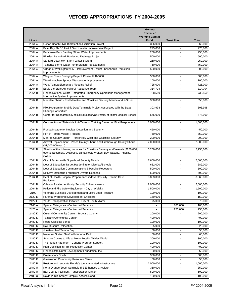|        |                                                                                                                                                                       | General<br>Revenue/<br><b>Working Capital</b> |                          |              |
|--------|-----------------------------------------------------------------------------------------------------------------------------------------------------------------------|-----------------------------------------------|--------------------------|--------------|
| Line # | <b>Title</b>                                                                                                                                                          | <b>Fund</b>                                   | <b>Trust Fund</b>        | <b>Total</b> |
| 2064 A | Ocean Beach Blvd. Bioretention/Exfiltration Project                                                                                                                   | 366,000                                       |                          | 366,000      |
| 2064 A | Palm Bay PMCC Unit 4 Storm Water Improvement Project                                                                                                                  | 275,000                                       |                          | 275,000      |
| 2064 A | Pembroke Park Sanitary Storm Water Improvements                                                                                                                       | 250,000                                       |                          | 250,000      |
| 2064 A | Pinellas Park--Park Boulevard Drainage Project                                                                                                                        | 500,000                                       |                          | 500,000      |
| 2064 A | Sanford Downtown Storm Water System                                                                                                                                   | 250,000                                       |                          | 250,000      |
| 2064 A | Tamarac Storm Water Pump Station Replacements                                                                                                                         | 750,000                                       |                          | 750,000      |
| 2064 A | Village of Wellington/ACME Improvement District Phosphorus Reduction<br>Improvements                                                                                  | 500,000                                       |                          | 500,000      |
| 2064 A | Wagner Creek Dredging Project, Phase III, B-5688                                                                                                                      | 500,000                                       | $\blacksquare$           | 500,000      |
| 2064 A | Weeki Wachee Springs Wastewater Improvements                                                                                                                          | 100,000                                       |                          | 100,000      |
| 2064 A | West Tampa Elementary Flooding Relief                                                                                                                                 | 725,000                                       |                          | 725,000      |
| 2064 B | Equip the State Agricultural Response Team                                                                                                                            | 314,704                                       |                          | 314,704      |
| 2064 B | Florida National Guard - Integrated Emergency Operations Management<br>Information System Improvements                                                                | 738,550                                       |                          | 738,550      |
| 2064 B | Manatee Sheriff - Port Manatee and Coastline Security Marine and K-9 Unit                                                                                             | 350,000                                       |                          | 350,000      |
| 2064 B | Pilot Program for Mobile Data Terminals Project Associated with the Data                                                                                              | 303,998                                       |                          | 303,998      |
|        | <b>Sharing Consortium</b>                                                                                                                                             |                                               |                          |              |
| 2064 B | Center for Research in Medical Education/University of Miami Medical School                                                                                           | 575,000                                       | $\blacksquare$           | 575,000      |
| 2064 B | Construction of Statewide Anti-Terrorist Training Center for First Responders                                                                                         | 1,000,000                                     | $\overline{\phantom{a}}$ | 1,000,000    |
| 2064 B | Florida Institute for Nuclear Detection and Security                                                                                                                  | 450,000                                       |                          | 450,000      |
| 2064 B | Port of Tampa Vessel Tracking                                                                                                                                         | 750,000                                       |                          | 750,000      |
| 2064 B | Monroe County Sheriff - Port of Key West and Coastline Security                                                                                                       | 200,000                                       |                          | 200,000      |
| 2064 B | Aircraft Replacement - Pasco County Sheriff and Hillsborough County Sheriff<br>(\$1,000,000 each)                                                                     | 2,000,000                                     |                          | 2,000,000    |
| 2064 B | Sheriffs of the following counties for Coastline Security and Vessels (\$250,000<br>each): Escambia, Okaloosa, Santa Rosa, Walton, Bay, Nassau, Pinellas,<br>Collier, | 5,250,000                                     |                          | 5,250,000    |
| 2064 B | City of Jacksonville Superbowl Security Needs                                                                                                                         | 7,600,000                                     |                          | 7,600,000    |
| 2064 B | Dept of Education-Target Hardening for Districts/Schools                                                                                                              | 682,000                                       |                          | 682,000      |
| 2064 B | Dept of Education-Communications & Passive Repeaters                                                                                                                  | 500,000                                       | $\blacksquare$           | 500,000      |
| 2064 B | <b>DHSMV-Detecting Fraudulent Drivers Licenses</b>                                                                                                                    | 500,000                                       | $\blacksquare$           | 500,000      |
| 2064 B | Dept of Health-Hospital Preparedness/Mass Casualty Trauma Care                                                                                                        | 3,863,000                                     | $\overline{\phantom{a}}$ | 3,863,000    |
| 2064 B | Equipment<br><b>Orlando Aviation Authority Security Enhancements</b>                                                                                                  | 2,000,000                                     |                          | 2,000,000    |
|        |                                                                                                                                                                       |                                               |                          |              |
| 2064 B | Police and Fire Safety Equipment - City of Welaka                                                                                                                     | 1,500,000                                     |                          | 1,500,000    |
| 2100   | Veterans Business Development and Micro Loan Program                                                                                                                  | 100,000                                       |                          | 100,000      |
| 2122 E | Parental Workforce Development Childcare                                                                                                                              | 150,000                                       |                          | 150,000      |
| 2122 E | Youth Transportation Initiative - City of South Miami                                                                                                                 | 75,000                                        |                          | 75,000       |
| 2140 A | Special Categories - Contracted Services                                                                                                                              |                                               | 100,000                  | 100,000      |
| 2423 A | Special Categories - Contracted Services                                                                                                                              |                                               | 250,000                  | 250,000      |
| 2480K  | <b>Cultural Community Center - Broward County</b>                                                                                                                     | 200,000                                       |                          | 200,000      |
| 2480K  | <b>Tamiami Community Center</b>                                                                                                                                       | 400,000                                       |                          | 400,000      |
| 2480K  | <b>Roots Classical Series</b>                                                                                                                                         | 100,000                                       | $\overline{\phantom{a}}$ | 100,000      |
| 2480K  | Dali Museum Relocation                                                                                                                                                | 25,000                                        |                          | 25,000       |
| 2480K  | Juneteenth of Tampa Bay                                                                                                                                               | 50,000                                        | $\overline{\phantom{a}}$ | 50,000       |
| 2480K  | Naval Air Station Sanford Memorial Park                                                                                                                               | 60,000                                        | $\overline{\phantom{a}}$ | 60,000       |
| 2480K  | Science Comes to Life at Metro Zoo/Dr. Wildes World                                                                                                                   | 300,000                                       |                          | 300,000      |
| 2480K  | The Florida Aquarium - General Program Support                                                                                                                        | 100,000                                       |                          | 100,000      |
| 2480K  | High Definition in Film Production Center                                                                                                                             | 400,000                                       |                          | 400,000      |
| 2480K  | Florida State Rural Development Foundation, Inc                                                                                                                       | 50,000                                        |                          | 50,000       |
| 2480K  | Dreamspark South                                                                                                                                                      | 300,000                                       | $\blacksquare$           | 300,000      |
| 2480K  | <b>Greenwood Community Resource Center</b>                                                                                                                            | 50,000                                        | $\overline{\phantom{a}}$ | 50,000       |
| 2480 P | Restore and renovate Florida's tourism related infrastructure                                                                                                         | 1,000,000                                     | $\blacksquare$           | 1,000,000    |
| 2480 U | North Orange/South Seminole ITS Enhanced Circulator                                                                                                                   | 350,000                                       |                          | 350,000      |
| 2480 U | Bay County Intelligent Transportation System                                                                                                                          | 500,000                                       |                          | 500,000      |
| 2480 U | Davie Public Safety Complex Access Road                                                                                                                               | 100,000                                       |                          | 100,000      |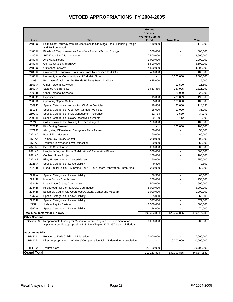|                          |                                                                                                                                                        | General<br>Revenue/<br><b>Working Capital</b> |                          |              |
|--------------------------|--------------------------------------------------------------------------------------------------------------------------------------------------------|-----------------------------------------------|--------------------------|--------------|
| Line #                   | <b>Title</b>                                                                                                                                           | <b>Fund</b>                                   | <b>Trust Fund</b>        | <b>Total</b> |
| 2480 U                   | Palm Coast Parkway from Boulder Rock to Old Kings Road - Planning Design<br>and Environmental                                                          | 140.000                                       |                          | 140,000      |
| 2480 U                   | Pinellas & Tarpon Avenues Resurface Project - Tarpon Springs                                                                                           | 300,000                                       |                          | 300,000      |
| 2480 U                   | SW 62nd - SW 24th Connector                                                                                                                            | 2,500,000                                     |                          | 2,500,000    |
| 2480 U                   | Ave Maria Roads                                                                                                                                        | 1,000,000                                     | $\blacksquare$           | 1,000,000    |
| 2480 U                   | Gulf Coast to Bay Highway                                                                                                                              | 5,500,000                                     | $\blacksquare$           | 5,500,000    |
| 2480 U                   | Gulfcoast Parkway                                                                                                                                      | 4,500,000                                     | $\blacksquare$           | 4,500,000    |
| 2480 U                   | Crawfordville Highway - Four Lane from Tallahassee to US 98                                                                                            | 400,000                                       | $\overline{a}$           | 400,000      |
| 2480 U                   | University Area Community - N. 22nd Main Street                                                                                                        |                                               | 3,000,000                | 3,000,000    |
| 2498                     | Purchase of radios for the Florida Highway Patrol Auxiliary                                                                                            | 425,000                                       |                          | 425,000      |
| 2503 A                   | <b>Other Personal Services</b>                                                                                                                         |                                               | 11,500                   | 11,500       |
| 2509 A                   | <b>Salaries And Benefits</b>                                                                                                                           | 1,653,385                                     | 157,905                  | 1,811,290    |
| 2509 B                   | <b>Other Personal Services</b>                                                                                                                         |                                               | 25,000                   | 25,000       |
| 2509 C                   | Expenses                                                                                                                                               | 15,000                                        | 478,069                  | 493,069      |
| 2509 D                   | <b>Operating Capital Outlay</b>                                                                                                                        | 5,000                                         | 100,000                  | 105,000      |
| 2509 E                   | Special Categories - Acquisition Of Motor Vehicles                                                                                                     | 19,838                                        | 95,000                   | 114,838      |
| 2509 F                   | Special Categories - Operation Of Motor Vehicles                                                                                                       | 25,000                                        | 10,000                   | 35,000       |
| 2509 G                   | Special Categories - Risk Management Insurance                                                                                                         | 31,734                                        | 2,539                    | 34,273       |
| 2509 H                   | Special Categories - Salary Incentive Payments                                                                                                         | 39,190                                        | 1,112                    | 40,302       |
| 2524                     | Collision Avoidance Training for Teens Project                                                                                                         | 100,000                                       |                          | 100,000      |
| 2871 P                   | Kids Voting Broward                                                                                                                                    |                                               | 100,000                  | 100,000      |
| 2871 R                   | Abrogating Offensive or Derogatory Place Names                                                                                                         | 50,000                                        |                          | 50,000       |
| 2871AA                   | Bay of Pigs Museum                                                                                                                                     | 60,000                                        |                          | 60,000       |
| 2871AA                   | Tampa Bay History Center                                                                                                                               | 200,000                                       |                          | 200,000      |
| 2871AB                   | Trenton Old Wooden Gym-Relocation                                                                                                                      | 50,000                                        |                          | 50,000       |
| 2871AB                   | <b>DeSoto Court House</b>                                                                                                                              | 200,000                                       |                          | 200,000      |
| 2871AB                   | Langford-Kingston Home Stabilization & Restoration Phase II                                                                                            | 300,000                                       | $\sim$                   | 300,000      |
| 2871AB                   | Coulson Home Project                                                                                                                                   | 100,000                                       | $\sim$                   | 100,000      |
| 2871AB                   | Riley House Learning Center/Museum                                                                                                                     | 250,000                                       | $\blacksquare$           | 250,000      |
| 2925 A                   | Special Categories - Leave Liability                                                                                                                   | 9,800                                         | $\overline{\phantom{a}}$ | 9,800        |
| 2925 B                   | Fixed Capital Outlay - Supreme Court - Court Room Renovation - DMS Mgd                                                                                 | 250,000                                       | $\blacksquare$           | 250,000      |
| 2932 A                   | Special Categories - Leave Liability                                                                                                                   | 66,500                                        | $\blacksquare$           | 66,500       |
| 2934 B                   | Martin County Courthouse                                                                                                                               | 250,000                                       | $\overline{\phantom{a}}$ | 250,000      |
| 2934 B                   | Miami-Dade County Courthouse                                                                                                                           | 500,000                                       |                          | 500,000      |
| 2934 B                   | Hillsborough for the Plant City Courthouse                                                                                                             | 5,000,000                                     |                          | 5,000,000    |
| 2934 B                   | Escambia County Old Courthouse/Cultural Center and Museum                                                                                              | 1,000,000                                     | $\blacksquare$           | 1,000,000    |
| 2942 A                   | Special Categories - Leave Liability                                                                                                                   | 65,000                                        | $\blacksquare$           | 65,000       |
| 2956 B                   | Special Categories - Leave Liability                                                                                                                   | 577,000                                       | $\blacksquare$           | 577,000      |
| 2957                     | Judicial Inquiry System                                                                                                                                | 1,500,000                                     | $\overline{\phantom{a}}$ | 1,500,000    |
| 2962 A                   | Special Categories - Leave Liability                                                                                                                   | 74,000                                        |                          | 74,000       |
|                          | <b>Total Line Items Vetoed in GAA</b>                                                                                                                  | 190,353,804                                   | 120,090,885              | 310,444,689  |
| <b>Other Sections</b>    |                                                                                                                                                        |                                               |                          |              |
| Section 23               | Reappropriate funding for Mosquito Control Program - replacement of an<br>airplane - specific appropriation 1332B of Chapter 2003-397, Laws of Florida | 1,200,000                                     |                          | 1,200,000    |
| <b>Substantive Bills</b> |                                                                                                                                                        |                                               |                          |              |
| HB 821                   | Relating to Early Childhood Education                                                                                                                  | 7,000,000                                     | $\overline{a}$           | 7,000,000    |
| <b>HB 1251</b>           | Direct Appropriation to Workers' Compensation Joint Underwriting Association                                                                           |                                               | 10,000,000               | 10,000,000   |
| SB 1762                  | Trauma Care                                                                                                                                            | 20,700,000                                    |                          | 20,700,000   |
| <b>Grand Total</b>       |                                                                                                                                                        | 219,253,804                                   | 130,090,885              | 349,344,689  |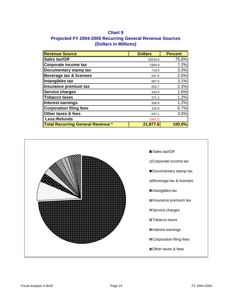## **Chart 9 Projected FY 2004-2005 Recurring General Revenue Sources (Dollars in Millions)**

| <b>Revenue Source</b>                    | <b>Dollars</b> | <b>Percent</b> |
|------------------------------------------|----------------|----------------|
| <b>Sales tax/GR</b>                      | 16534.6        | 75.6%          |
| Corporate income tax                     | 1584.9         | 7.2%           |
| Documentary stamp tax                    | 718.5          | 3.3%           |
| <b>Beverage tax &amp; licenses</b>       | 547.6          | 2.5%           |
| Intangibles tax                          | 687.5          | 3.1%           |
| Insurance premium tax                    | 505.7          | 2.3%           |
| <b>Service charges</b>                   | 343.9          | 1.6%           |
| <b>Tobacco taxes</b>                     | 271.2          | 1.2%           |
| Interest earnings                        | 260.9          | 1.2%           |
| <b>Corporation filing fees</b>           | 155.9          | 0.7%           |
| Other taxes & fees                       | 647.1          | 3.0%           |
| Less:Refunds                             | (380.2)        |                |
| <b>Total Recurring General Revenue</b> * | 21,877.6       | 100.0%         |

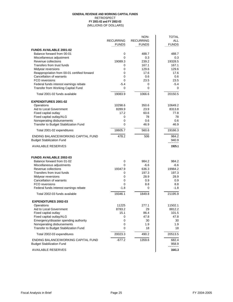#### (MILLIONS OF DOLLARS) **GENERAL REVENUE AND WORKING CAPITAL FUNDS** RETROSPECT **FY 2001-02 and FY 2002-03**

|                                                                         | <b>RECURRING</b><br><b>FUNDS</b> | NON-<br><b>RECURRING</b><br><b>FUNDS</b> | <b>TOTAL</b><br><b>ALL</b><br><b>FUNDS</b> |
|-------------------------------------------------------------------------|----------------------------------|------------------------------------------|--------------------------------------------|
| <b>FUNDS AVAILABLE 2001-02</b>                                          |                                  |                                          |                                            |
| Balance forward from 00-01                                              | 0                                | 488.7                                    | 488.7                                      |
| Miscellaneous adjustment                                                | 0                                | 0.3                                      | 0.3                                        |
| Revenue collections                                                     | 19089.3                          | 239.2                                    | 19328.5                                    |
| Transfers from trust funds                                              | 0                                | 167.1                                    | 167.1                                      |
| Midyear reversions                                                      | 0                                | 129.6                                    | 129.6                                      |
| Reappropriation from 00-01 certified forward                            | 0                                | 17.6                                     | 17.6                                       |
| Cancellation of warrants                                                | 0                                | 0.6                                      | 0.6                                        |
| FCO reversions                                                          | 0                                | 23.5                                     | 23.5                                       |
| Federal funds interest earnings rebate                                  | $-5.4$                           | 0                                        | $-5.4$                                     |
| Transfer from Working Capital Fund                                      | 0                                | 0                                        | 0                                          |
| Total 2001-02 funds available                                           | 19083.9                          | 1066.6                                   | 20150.5                                    |
| <b>EXPENDITURES 2001-02</b>                                             |                                  |                                          |                                            |
| Operations                                                              | 10298.6                          | 350.6                                    | 10649.2                                    |
| Aid to Local Government                                                 | 8289.9                           | 23.9                                     | 8313.8                                     |
| Fixed capital outlay                                                    | 17.2                             | 60.6                                     | 77.8                                       |
| Fixed capital outlay/ALG                                                | 0                                | 78                                       | 78                                         |
| Nonoperating disbursements                                              | 0                                | 0.6                                      | 0.6                                        |
| Transfer to Budget Stabilization Fund                                   | 0                                | 46.9                                     | 46.9                                       |
| Total 2001-02 expenditures                                              | 18605.7                          | 560.6                                    | 19166.3                                    |
| ENDING BALANCE/WORKING CAPITAL FUND<br><b>Budget Stabilization Fund</b> | 478.2                            | 506                                      | 984.2<br>940.9<br>======                   |
| <b>AVAILABLE RESERVES</b>                                               |                                  |                                          | 1925.1                                     |
|                                                                         |                                  |                                          |                                            |
| <b>FUNDS AVAILABLE 2002-03</b><br>Balance forward from 01-02            |                                  |                                          | 984.2                                      |
|                                                                         | 0<br>0                           | 984.2<br>$-6.6$                          | $-6.6$                                     |
| Miscellaneous adjustments<br>Revenue collections                        | 19347.9                          | 636.3                                    | 19984.2                                    |
| Transfers from trust funds                                              | 0                                | 197.3                                    | 197.3                                      |
| Midyear reversions                                                      | 0                                | 28.9                                     | 28.9                                       |
| <b>Cancellation of warrants</b>                                         | 0                                | 0.9                                      | 0.9                                        |
| FCO reversions                                                          | 0                                | 8.8                                      | 8.8                                        |
| Federal funds interest earnings rebate                                  | $-1.8$                           | 0                                        | $-1.8$                                     |
| Total 2002-03 funds available                                           | 19346.1                          | 1849.8                                   | 21195.9                                    |
| <b>EXPENDITURES 2002-03</b>                                             |                                  |                                          |                                            |
| Operations                                                              | 11225                            | 277.1                                    | 11502.1                                    |
| Aid to Local Government                                                 | 8783.2                           | 29                                       | 8812.2                                     |
| Fixed capital outlay                                                    | 15.1                             | 86.4                                     | 101.5                                      |
| Fixed capital outlay/ALG                                                | 0                                | 47.8                                     | 47.8                                       |
| Emergency/disaster spending authority                                   | 0                                | 30                                       | 30                                         |
| Nonoperating disbursements                                              | 0                                | 1.9                                      | 1.9                                        |
| Transfer to Budget Stabilization Fund                                   | 0                                | 18                                       | 18                                         |
| Total 2002-03 expenditures                                              | 20023.3                          | 490.2                                    | 20513.5                                    |
| ENDING BALANCE/WORKING CAPITAL FUND<br><b>Budget Stabilization Fund</b> | $-677.2$                         | 1359.6                                   | 682.4<br>958.9<br>======                   |
| <b>AVAILABLE RESERVES</b>                                               |                                  |                                          | 1641.3                                     |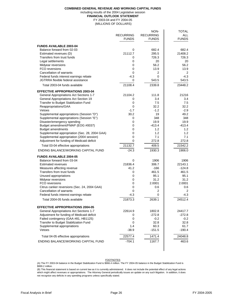#### **COMBINED GENERAL REVENUE AND WORKING CAPITAL FUNDS** including results of the 2004 Legislative session **FINANCIAL OUTLOOK STATEMENT**

FY 2003-04 and FY 2004-05

(MILLIONS OF DOLLARS)

|                                                                           | <b>RECURRING</b><br><b>FUNDS</b> | NON-<br><b>RECURRING</b><br><b>FUNDS</b> | <b>TOTAL</b><br><b>ALL</b><br><b>FUNDS</b> |
|---------------------------------------------------------------------------|----------------------------------|------------------------------------------|--------------------------------------------|
| <b>FUNDS AVAILABLE 2003-04</b>                                            |                                  |                                          |                                            |
| Balance forward from 02-03                                                | 0                                | 682.4                                    | 682.4                                      |
| Estimated revenues (D)                                                    | 21112.7                          | 295.5                                    | 21408.2                                    |
| Transfers from trust funds                                                | 0                                | 726.3                                    | 726.3                                      |
| Legal settlements                                                         | 0                                | 20                                       | 20                                         |
| Midyear reversions                                                        | 0                                | 56.2                                     | 56.2                                       |
| FCO reversions                                                            | 0                                | 13.9                                     | 13.9                                       |
| <b>Cancellation of warrants</b>                                           | 0                                | 2                                        | $\overline{2}$                             |
| Federal funds interest earnings rebate                                    | $-4.3$                           | 0                                        | $-4.3$                                     |
| JGTRRA flexible federal assistance                                        | 0                                | 543.5                                    | 543.5                                      |
| Total 2003-04 funds available                                             | 21108.4                          | 2339.8                                   | 23448.2                                    |
| <b>EFFECTIVE APPROPRIATIONS 2003-04</b>                                   |                                  |                                          |                                            |
| <b>General Appropriations Act Sections 1-7</b>                            | 21104.2                          | 111.8                                    | 21216                                      |
| <b>General Appropriations Act Section 19</b>                              | 0                                | 3.4                                      | 3.4                                        |
| Transfer to Budget Stabilization Fund                                     | 0                                | 7.5                                      | 7.5                                        |
| Reappropriations/GAA                                                      | $\Omega$                         | 32.2                                     | 32.2                                       |
| Vetoes                                                                    | $-1.7$                           | $-1.2$                                   | $-2.9$                                     |
| Supplemental appropriations (Session "D")                                 | 30.2                             | 19                                       | 49.2                                       |
| Supplemental appropriations (Session "E")                                 | 0                                | 348                                      | 348                                        |
| Disaster/emergency spending                                               | 0                                | 19.9                                     | 19.9                                       |
| Budget amendment/FMAP (EOG #0037)<br><b>Budget amendments</b>             | 0<br>0                           | $-413.4$<br>1.2                          | $-413.4$<br>1.2                            |
| Supplemental appropriation (Sec. 28, 2004 GAA)                            | 0                                | 1.2                                      | 1.2                                        |
| Supplemental appropriation (2004 session)                                 | 0                                | 7.1                                      | 7.1                                        |
| Adjustment for funding of Medicaid deficit                                | 0                                | 272.8                                    | 272.8                                      |
| Total 03-04 effective appropriations                                      | 21132.7                          | 409.5                                    | 21542.2                                    |
| ENDING BALANCE/WORKING CAPITAL FUND                                       | $-24.3$                          | 1930.3                                   | 1906.0                                     |
| <b>FUNDS AVAILABLE 2004-05</b>                                            |                                  |                                          |                                            |
| Balance forward from 03-04                                                | 0                                | 1906                                     | 1906                                       |
| <b>Estimated revenues</b>                                                 | 21836.4                          | 306.7                                    | 22143.1                                    |
| Measures affecting revenue                                                | 41.2                             | $-166$                                   | $-124.8$                                   |
| Transfers from trust funds                                                | 0                                | 461.5                                    | 461.5                                      |
| Unused appropriations                                                     | 0                                | 95.1                                     | 95.1                                       |
| Midyear reversions                                                        | 0                                | 31.2                                     | 31.2                                       |
| FCO reversions                                                            | 0                                | 2.0001                                   | 2.0001                                     |
| Citrus canker reversions (Sec. 24, 2004 GAA)                              | 0                                | 0.6                                      | 0.6                                        |
| <b>Cancellation of warrants</b><br>Federal funds interest earnings rebate | 0                                | 2                                        | 2<br>$-4.3$                                |
| Total 2004-05 funds available                                             | $-4.3$<br>21873.3                | 0<br>2639.1                              | 24512.4                                    |
|                                                                           |                                  |                                          |                                            |
| <b>EFFECTIVE APPROPRIATIONS 2004-05</b>                                   |                                  |                                          |                                            |
| <b>General Appropriations Act Sections 1-7</b>                            | 22614.9                          | 1802.8                                   | 24417.7                                    |
| Adjustment for funding of Medicaid deficit                                | 0                                | $-272.8$                                 | $-272.8$                                   |
| Failed contingency (GAA #81, HB1125)                                      | 0                                | $-0.2$                                   | $-0.2$                                     |
| Transfer to Budget Stabilization Fund<br>Supplemental appropriations      | $\Omega$<br>1.4                  | 32.8<br>60.3                             | 32.8<br>61.7                               |
| Vetoes                                                                    | $-38.9$                          | $-151.5$                                 | $-190.4$                                   |
| Total 04-05 effective appropriations                                      | 22577.4                          | 1471.4                                   | 24048.8                                    |
| ENDING BALANCE/WORKING CAPITAL FUND                                       | $-704.1$                         | 1167.7                                   | 463.6                                      |
|                                                                           |                                  |                                          |                                            |

FOOTNOTES

(A) The FY 2003-04 balance in the Budget Stabilization Fund is \$966.4 million. The FY 2004-05 balance in the Budget Stabilization Fund is \$999.2 million.

(B) This financial statement is based on current law as it is currently administered. It does not include the potential effect of any legal actions which might affect revenues or appropriations. The Attorney General periodically issues an update on any such litigation. In addition, it does not recognize any deficits in any spending programs unless specifically stated.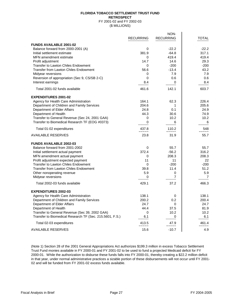#### **FLORIDA TOBACCO SETTLEMENT TRUST FUND RETROSPECT** FY 2001-02 and FY 2002-03 (\$ MILLIONS)

|                                                          | <b>RECURRING</b> | NON-<br><b>RECURRING</b> | <b>TOTAL</b>               |
|----------------------------------------------------------|------------------|--------------------------|----------------------------|
| <b>FUNDS AVAILABLE 2001-02</b>                           |                  |                          |                            |
| Balance forward from 2000-2001 (A)                       | 0                | $-22.2$                  | $-22.2$                    |
| Initial settlement estimate                              | 381.9            | $-64.8$                  | 317.1                      |
| MFN amendment estimate                                   | 0                | 419.4                    | 419.4                      |
| Profit adjustment                                        | 14.7             | 14.6                     | 29.3                       |
| Transfer to Lawton Chiles Endowment                      | $\mathbf{0}$     | $-200$                   | $-200$                     |
| <b>Transfer from Lawton Chiles Endowment</b>             | 56.6             | $-13.4$                  | 43.2                       |
| Midyear reversions                                       | 0                | 7.9                      | 7.9                        |
| Reversion of appropriation (Sec 9, CS/SB 2-C)            | 0                | 0.6                      | 0.6                        |
| Interest earnings                                        | 8.4              | 0                        | 8.4                        |
| Total 2001-02 funds available                            | 461.6            | 142.1                    | 603.7                      |
| <b>EXPENDITURES 2001-02</b>                              |                  |                          |                            |
| Agency for Health Care Administration                    | 164.1            | 62.3                     | 226.4                      |
| Department of Children and Family Services               | 204.6            | 1                        | 205.6                      |
| Department of Elder Affairs                              | 24.8             | 0.1                      | 24.9                       |
| Department of Health                                     | 44.3             | 30.6                     | 74.9                       |
| Transfer to General Revenue (Sec 24, 2001 GAA)           | 0                | 10.2                     | 10.2                       |
| Transfer to Biomedical Research TF (EOG #0373)           | 0                | 6                        | 6                          |
| Total 01-02 expenditures                                 | 437.8<br>=====   | 110.2<br>=====           | 548<br>$=$ $=$ $=$ $=$ $=$ |
| <b>AVAILABLE RESERVES</b>                                | 23.8             | 31.9                     | 55.7                       |
| <b>FUNDS AVAILABLE 2002-03</b>                           |                  |                          |                            |
| Balance forward from 2001-2002                           | 0                | 55.7                     | 55.7                       |
| Initial settlement actual payment                        | 372.4            | $-56.2$                  | 316.2                      |
| MFN amendment actual payment                             | 0                | 208.3                    | 208.3                      |
| Profit adjustment expected payment                       | 11               | 11                       | 22                         |
| <b>Transfer to Lawton Chiles Endowment</b>               | 0                | $-200$                   | $-200$                     |
| <b>Transfer from Lawton Chiles Endowment</b>             | 39.8             | 11.4                     | 51.2                       |
| Other nonoperating revenue                               | 5.9              | 0                        | 5.9                        |
| Midyear reversions                                       | 0                | 7                        | 7                          |
| Total 2002-03 funds available                            | 429.1            | 37.2                     | 466.3                      |
| <b>EXPENDITURES 2002-03</b>                              |                  |                          |                            |
| Agency for Health Care Administration                    | 138.1            | 0                        | 138.1                      |
| Department of Children and Family Services               | 200.2            | 0.2                      | 200.4                      |
| Department of Elder Affairs                              | 24.7             | 0                        | 24.7                       |
| Department of Health                                     | 44.4             | 37.5                     | 81.9                       |
| Transfer to General Revenue (Sec 39, 2002 GAA)           | 0                | 10.2                     | 10.2                       |
| Transfer to Biomedical Research TF (Sec. 215.5601, F.S.) | 6.1              | 0                        | 6.1                        |
| Total 02-03 expenditures                                 | 413.5<br>=====   | 47.9<br>=====            | 461.4<br>=====             |
| <b>AVAILABLE RESERVES</b>                                | 15.6             | $-10.7$                  | 4.9                        |

(Note 1) Section 28 of the 2001 General Appropriations Act authorizes \$199.3 million in excess Tobacco Settlement Trust Fund monies available in FY 2000-01 and FY 2001-02 to be used to fund a projected Medicaid deficit for FY 2000-01. While the authorization to disburse these funds falls into FY 2000-01, thereby creating a \$22.2 million deficit in that year, under normal administrative practices a sizable portion of these disbursements will not occur until FY 2001- 02 and will be funded from FY 2001-02 excess funds available.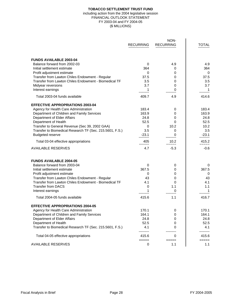#### **TOBACCO SETTLEMENT TRUST FUND**

#### FINANCIAL OUTLOOK STATEMENT FY 2003-04 and FY 2004-05 (\$ MILLIONS) including action from the 2004 legislative session

|                                                          | <b>RECURRING</b> | NON-<br><b>RECURRING</b> | <b>TOTAL</b>   |
|----------------------------------------------------------|------------------|--------------------------|----------------|
| <b>FUNDS AVAILABLE 2003-04</b>                           |                  |                          |                |
| Balance forward from 2002-03                             | 0                | 4.9                      | 4.9            |
| Initial settlement estimate                              | 364              | 0                        | 364            |
| Profit adjustment estimate                               | 0                | 0                        | $\Omega$       |
| Transfer from Lawton Chiles Endowment - Regular          | 37.5             | 0                        | 37.5           |
| Transfer from Lawton Chiles Endowment - Biomedical TF    | 3.5              | 0                        | 3.5            |
| Midyear reversions                                       | 3.7              | 0                        | 3.7            |
| Interest earnings                                        |                  | 0                        |                |
| Total 2003-04 funds available                            | 409.7            | 4.9                      | 414.6          |
| <b>EFFECTIVE APPROPRIATIONS 2003-04</b>                  |                  |                          |                |
| Agency for Health Care Administration                    | 183.4            | 0                        | 183.4          |
| Department of Children and Family Services               | 163.9            | 0                        | 163.9          |
| Department of Elder Affairs                              | 24.8             | 0                        | 24.8           |
| Department of Health                                     | 52.5             | 0                        | 52.5           |
| Transfer to General Revenue (Sec 39, 2002 GAA)           | 0                | 10.2                     | 10.2           |
| Transfer to Biomedical Research TF (Sec. 215.5601, F.S.) | 3.5              | 0                        | 3.5            |
| <b>Budgeted reserve</b>                                  | $-23.1$          | 0                        | $-23.1$        |
| Total 03-04 effective appropriations                     | 405<br>=====     | 10.2<br>=====            | 415.2<br>===== |
| <b>AVAILABLE RESERVES</b>                                | 4.7              | $-5.3$                   | $-0.6$         |
| <b>FUNDS AVAILABLE 2004-05</b>                           |                  |                          |                |
| Balance forward from 2003-04                             | 0                | 0                        | 0              |
| Initial settlement estimate                              | 367.5            | 0                        | 367.5          |
| Profit adjustment estimate                               | 0                | 0                        | 0              |
| Transfer from Lawton Chiles Endowment - Regular          | 43               | 0                        | 43             |
| Transfer from Lawton Chiles Endowment - Biomedical TF    | 4.1              | 0                        | 4.1            |
| <b>Transfer from DACS</b>                                | 0                | 1.1                      | 1.1            |
| Interest earnings                                        | 1                | 0                        | 1              |
| Total 2004-05 funds available                            | 415.6            | 1.1                      | 416.7          |
| <b>EFFECTIVE APPROPRIATIONS 2004-05</b>                  |                  |                          |                |
| Agency for Health Care Administration                    | 170.1            | 0                        | 170.1          |
| Department of Children and Family Services               | 164.1            | 0                        | 164.1          |
| Department of Elder Affairs                              | 24.8             | 0                        | 24.8           |
| Department of Health                                     | 52.5             | 0                        | 52.5           |
| Transfer to Biomedical Research TF (Sec. 215.5601, F.S.) | 4.1              | 0                        | 4.1            |
| Total 04-05 effective appropriations                     | 415.6            | 0                        | 415.6          |
| <b>AVAILABLE RESERVES</b>                                | =====<br>0       | =====<br>1.1             | =====<br>1.1   |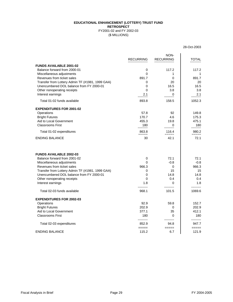#### **EDUCATIONAL ENHANCEMENT (LOTTERY) TRUST FUND RETROSPECT** FY2001-02 and FY 2002-03

(\$ MILLIONS)

|                                                                                | <b>RECURRING</b>   | NON-<br><b>RECURRING</b>   | <b>TOTAL</b>     |
|--------------------------------------------------------------------------------|--------------------|----------------------------|------------------|
| <b>FUNDS AVAILABLE 2001-02</b>                                                 |                    |                            |                  |
| Balance forward from 2000-01                                                   | 0                  | 117.2                      | 117.2            |
| Miscellaneous adjustments                                                      | $\Omega$           | 1                          |                  |
| Revenues from ticket sales<br>Transfer from Lottery Admin TF (#1981, 1999 GAA) | 891.7<br>0         | 0<br>20                    | 891.7<br>20      |
| Unencumbered DOL balance from FY 2000-01                                       | 0                  | 16.5                       | 16.5             |
| Other nonoperating receipts                                                    | 0                  | 3.8                        | 3.8              |
| Interest earnings                                                              | 2.1                | 0                          | 2.1              |
| Total 01-02 funds available                                                    | 893.8              | 158.5                      | 1052.3           |
| <b>EXPENDITURES FOR 2001-02</b>                                                |                    |                            |                  |
| Operations                                                                     | 57.8               | 92                         | 149.8            |
| <b>Bright Futures</b>                                                          | 170.7              | 4.6                        | 175.3            |
| Aid to Local Government                                                        | 455.3              | 19.8                       | 475.1            |
| <b>Classrooms First</b>                                                        | 180                | $\Omega$                   | 180              |
| Total 01-02 expenditures                                                       | 863.8<br>=====     | 116.4<br>=====             | 980.2<br>=====   |
| <b>ENDING BALANCE</b>                                                          | 30                 | 42.1                       | 72.1             |
| <b>FUNDS AVAILABLE 2002-03</b>                                                 |                    |                            |                  |
| Balance forward from 2001-02                                                   | 0                  | 72.1                       | 72.1             |
| Miscellaneous adjustments                                                      | 0                  | $-0.8$                     | $-0.8$           |
| Revenues from ticket sales                                                     | 966.3              | 0                          | 966.3            |
| Transfer from Lottery Admin TF (#1981, 1999 GAA)                               | 0                  | 15                         | 15               |
| Unencumbered DOL balance from FY 2000-01                                       | 0                  | 14.8<br>0.4                | 14.8             |
| Other nonoperating receipts<br>Interest earnings                               | 0<br>1.8           | 0                          | 0.4<br>1.8       |
|                                                                                |                    |                            |                  |
| Total 02-03 funds available                                                    | 968.1              | 101.5                      | 1069.6           |
| <b>EXPENDITURES FOR 2002-03</b>                                                |                    |                            |                  |
| Operations                                                                     | 92.9               | 59.8                       | 152.7            |
| <b>Bright Futures</b>                                                          | 202.9              | 0                          | 202.9            |
| Aid to Local Government                                                        | 377.1              | 35                         | 412.1            |
| <b>Classrooms First</b>                                                        | 180                | 0                          | 180<br>--------- |
| Total 02-03 expenditures                                                       | ---------<br>852.9 | 94.8                       | 947.7            |
| <b>ENDING BALANCE</b>                                                          | =====<br>115.2     | $=$ $=$ $=$ $=$ $=$<br>6.7 | =====<br>121.9   |
|                                                                                |                    |                            |                  |

28-Oct-2003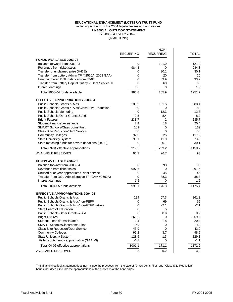#### **EDUCATIONAL ENHANCEMENT (LOTTERY) TRUST FUND**

#### including action from the 2004 legislative session and vetoes

**FINANCIAL OUTLOOK STATEMENT**

FY 2003-04 and FY 2004-05

(\$ MILLIONS)

|                                                                             | <b>RECURRING</b> | NON-<br><b>RECURRING</b> | <b>TOTAL</b>  |
|-----------------------------------------------------------------------------|------------------|--------------------------|---------------|
| <b>FUNDS AVAILABLE 2003-04</b>                                              |                  |                          |               |
| Balance forward from 2002-03                                                | 0                | 121.9                    | 121.9         |
| Revenues from ticket sales                                                  | 984.3            | 0                        | 984.3         |
| Transfer of unclaimed prize (H43E)                                          | 0                | 30.1                     | 30.1          |
| Transfer from Lottery Admin TF (#2560A, 2003 GAA)                           | 0                | 20                       | 20            |
| Unencumbered DOL balance from 02-03                                         | 0                | 33.9                     | 33.9          |
| Transfer from Lottery Capital Outlay & Debt Service TF                      | 0                | 60                       | 60            |
| Interest earnings                                                           | 1.5              | 0                        | 1.5           |
| Total 2003-04 funds available                                               | 985.8            | 265.9                    | 1251.7        |
| <b>EFFECTIVE APPROPRIATIONS 2003-04</b>                                     |                  |                          |               |
| Public Schools/Grants & Aids                                                | 186.9            | 101.5                    | 288.4         |
| Public Schools/Grants & Aids/Class Size Reduction                           | 80               | 0                        | 80            |
| <b>Public Schools/Mentoring</b>                                             | 0                | 12.3                     | 12.3          |
| Public Schools/Other Grants & Aid                                           | 0.5              | 8.4                      | 8.9           |
| <b>Bright Futures</b>                                                       | 233.7            | 2                        | 235.7         |
| <b>Student Financial Assistance</b>                                         | 2.4              | 18                       | 20.4          |
| <b>SMART Schools/Classrooms First</b>                                       | 169              | 0                        | 169           |
| <b>Class Size Reduction/Debt Service</b>                                    | 56               | 0                        | 56            |
| <b>Community Colleges</b>                                                   | 92.9             | 25                       | 117.9         |
| <b>State University System</b>                                              | 98.1             | 41.9                     | 140           |
| State matching funds for private donations (H43E)                           | 0                | 30.1                     | 30.1          |
| Total 03-04 effective appropriations                                        | 919.5            | 239.2                    | 1158.7        |
| <b>AVAILABLE RESERVES</b>                                                   | 66.3             | 26.7                     | 93            |
| <b>FUNDS AVAILABLE 2004-05</b>                                              |                  |                          |               |
| Balance forward from 2003-04                                                | 0                | 93                       | 93            |
| Revenues from ticket sales                                                  | 997.6            | 0                        | 997.6         |
| Unused prior year appropriated debt service                                 | 0                | 45                       | 45            |
| Transfer from DOL Administrative TF (GAA #2602A)                            | 0                | 38.3                     | 38.3          |
| Interest earnings                                                           | 1.5              | 0                        | 1.5           |
| Total 2004-05 funds available                                               | 999.1            | 176.3                    | 1175.4        |
| <b>EFFECTIVE APPROPRIATIONS 2004-05</b>                                     |                  |                          |               |
| Public Schools/Grants & Aids                                                | 294              | 67.3                     | 361.3         |
| Public Schools/Grants & Aids/non-FEFP                                       | 0                | 69                       | 69            |
| Public Schools/Grants & Aids/non-FEFP vetoes                                | 0                | $-2.1$                   | $-2.1$        |
| <b>State Board of Education</b>                                             | 0                | 5                        | 5             |
| Public Schools/Other Grants & Aid                                           | 0                | 8.9                      | 8.9           |
| <b>Bright Futures</b>                                                       | 269.2            | 0                        | 269.2         |
| <b>Student Financial Assistance</b>                                         | 2.4              | 18                       | 20.4          |
| <b>SMART Schools/Classrooms First</b>                                       | 169              | 0                        | 169           |
| <b>Class Size Reduction/Debt Service</b>                                    | 43.9             | 0                        | 43.9          |
| <b>Community Colleges</b>                                                   | 95.2<br>128.5    | 3.7<br>1.3               | 98.9<br>129.8 |
| <b>State University System</b><br>Failed contingency appropriation (GAA #3) | $-1.1$           | 0                        | $-1.1$        |
| Total 04-05 effective appropriations                                        | 1001.1           | 171.1                    | 1172.2        |
| <b>AVAILABLE RESERVES</b>                                                   | $-2$             | 5.2                      | 3.2           |
|                                                                             |                  |                          |               |

This financial outlook statement does not include the proceeds from the sale of "Classrooms First" and "Class Size Reduction" bonds, nor does it include the appropriations of the proceeds of the bond sales.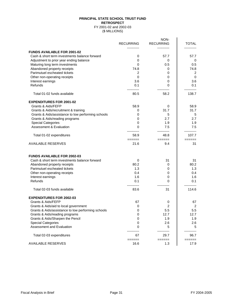#### FY 2001-02 and 2002-03 (\$ MILLIONS) **RETROSPECT PRINCIPAL STATE SCHOOL TRUST FUND**

|                                                    | <b>RECURRING</b> | NON-<br><b>RECURRING</b>   | <b>TOTAL</b>   |
|----------------------------------------------------|------------------|----------------------------|----------------|
| <b>FUNDS AVAILABLE FOR 2001-02</b>                 |                  |                            |                |
| Cash & short term investments balance forward      | 0                | 57.7                       | 57.7           |
| Adjustment to prior year ending balance            | 0                | 0                          | $\mathbf 0$    |
| Maturing long term investments                     | 0                | 0.5                        | 0.5            |
| Abandoned property receipts                        | 74.8             | 0                          | 74.8           |
| Parimutuel escheated tickets                       | 2                | 0                          | $\overline{2}$ |
| Other non-operating receipts                       | $\Omega$         | 0                          | 0              |
| Interest earnings                                  | 3.6              | 0                          | 3.6            |
| Refunds                                            | 0.1              | 0                          | 0.1            |
| Total 01-02 funds available                        | 80.5             | 58.2                       | 138.7          |
| <b>EXPENDITURES FOR 2001-02</b>                    |                  |                            |                |
| Grants & Aids/FEFP                                 | 58.9             | 0                          | 58.9           |
| Grants & Aids/recruitment & training               | 0                | 31.7                       | 31.7           |
| Grants & Aids/assistance to low performing schools | 0                | 5                          | 5              |
| Grants & Aids/reading programs                     | 0                | 2.7                        | 2.7            |
| <b>Special Categories</b>                          | 0                | 1.9                        | 1.9            |
| <b>Assessment &amp; Evaluation</b>                 | $\Omega$         | 7.5                        | 7.5            |
| Total 01-02 expenditures                           | 58.9             | 48.8                       | 107.7          |
| <b>AVAILABLE RESERVES</b>                          | ======<br>21.6   | $=$ $=$ $=$ $=$ $=$<br>9.4 | ======<br>31   |
| <b>FUNDS AVAILABLE FOR 2002-03</b>                 |                  |                            |                |
| Cash & short term investments balance forward      | 0                | 31                         | 31             |
| Abandoned property receipts                        | 80.2             | 0                          | 80.2           |
| Parimutuel escheated tickets                       | 1.3              | 0                          | 1.3            |
| Other non-operating receipts                       | 0.4              | 0                          | 0.4            |
| Interest earnings                                  | 1.6              | 0                          | 1.6            |
| Refunds                                            | 0.1              | 0                          | 0.1            |
| Total 02-03 funds available                        | 83.6             | 31                         | 114.6          |
| <b>EXPENDITURES FOR 2002-03</b>                    |                  |                            |                |
| Grants & Aids/FEFP                                 | 67               | 0                          | 67             |
| Grants & Aids/aid to local government              | 0                | 2                          | $\overline{2}$ |
| Grants & Aids/assistance to low performing schools | 0                | 5.5                        | 5.5            |
| Grants & Aids/reading programs                     | 0                | 12.7                       | 12.7           |
| Grants & Aids/Sharpen the Pencil                   | 0                | 1.9                        | 1.9            |
| <b>Special Categories</b>                          | 0                | 2.6                        | 2.6            |
| Assessment and Evaluation                          | 0                | 5                          | 5              |
| Total 02-03 expenditures                           | 67<br>======     | 29.7                       | 96.7           |
| <b>AVAILABLE RESERVES</b>                          | 16.6             | ======<br>1.3              | ======<br>17.9 |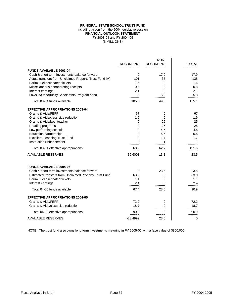#### **PRINCIPAL STATE SCHOOL TRUST FUND** including action from the 2004 legislative session **FINANCIAL OUTLOOK STATEMENT** FY 2003-04 and FY 2004-05 (\$ MILLIONS)

|                                                         |                  | NON-                 |                |
|---------------------------------------------------------|------------------|----------------------|----------------|
|                                                         | <b>RECURRING</b> | <b>RECURRING</b>     | <b>TOTAL</b>   |
| <b>FUNDS AVAILABLE 2003-04</b>                          |                  |                      |                |
| Cash & short term investments balance forward           | $\mathbf 0$      | 17.9                 | 17.9           |
| Actual transfers from Unclaimed Property Trust Fund (A) | 101              | 37                   | 138            |
| Parimutuel escheated tickets                            | 1.6              | 0                    | 1.6            |
| Miscellaneous nonoperating receipts                     | 0.8              | 0                    | 0.8            |
| Interest earnings                                       | 2.1              | 0                    | 2.1            |
| Lawsuit/Opportunity Scholarship Program bond            | $_{---}^{\ 0}$   | $-5.3$               | $-5.3$         |
| Total 03-04 funds available                             | 105.5            | 49.6                 | 155.1          |
| <b>EFFECTIVE APPROPRIATIONS 2003-04</b>                 |                  |                      |                |
| Grants & Aids/FEFP                                      | 67               | 0                    | 67             |
| Grants & Aids/class size reduction                      | 1.9              | 0                    | 1.9            |
| Grants & Aids/best teacher                              | 0                | 25                   | 25             |
| Reading programs                                        | 0                | 25                   | 25             |
| Low performing schools                                  | 0                | 4.5                  | 4.5            |
| <b>Education partnerships</b>                           | 0                | 5.5                  | 5.5            |
| <b>Excellent Teaching Trust Fund</b>                    | 0                | 1.7                  | 1.7            |
| <b>Instruction Enhancement</b>                          | 0                | <u>1</u><br>-------- |                |
| Total 03-04 effective appropriations                    | 68.9<br>=====    | 62.7<br>=====        | 131.6<br>===== |
| <b>AVAILABLE RESERVES</b>                               | 36.6001          | $-13.1$              | 23.5           |
| <b>FUNDS AVAILABLE 2004-05</b>                          |                  |                      |                |
| Cash & short term investments balance forward           | 0                | 23.5                 | 23.5           |
| Estimated transfers from Unclaimed Property Trust Fund  | 63.9             | 0                    | 63.9           |
| Parimutuel escheated tickets                            | 1.1              | 0                    | 1.1            |
| Interest earnings                                       | 2.4              | 0                    | 2.4            |
| Total 04-05 funds available                             | 67.4             | 23.5                 | 90.9           |
| <b>EFFECTIVE APPROPRIATIONS 2004-05</b>                 |                  |                      |                |
| Grants & Aids/FEFP                                      | 72.2             | 0                    | 72.2           |
| Grants & Aids/class size reduction                      | 18.7             | 0                    | 18.7           |
| Total 04-05 effective appropriations                    | 90.9<br>$=====$  | $\Omega$<br>=====    | 90.9<br>=====  |
| <b>AVAILABLE RESERVES</b>                               | $-23.4999$       | 23.5                 | 0              |

NOTE: The trust fund also owns long term investments maturing in FY 2005-06 with a face value of \$800,000.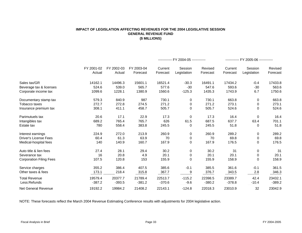#### **IMPACT OF LEGISLATION AFFECTING REVENUES FOR THE 2004 LEGISLATIVE SESSION GENERAL REVENUE FUND (\$ MILLIONS)**

|                                |            |            |            |          | ------------ FY 2004-05 ------------ |          |          | ------------ FY 2005-06 ------------ |          |
|--------------------------------|------------|------------|------------|----------|--------------------------------------|----------|----------|--------------------------------------|----------|
|                                | FY 2001-02 | FY 2002-03 | FY 2003-04 | Current  | Session                              | Revised  | Current  | Session                              | Revised  |
|                                | Actual     | Actual     | Forecast   | Forecast | Legislation                          | Forecast | Forecast | Legislation                          | Forecast |
| Sales tax/GR                   | 14162.1    | 14496.3    | 15601.1    | 16521.4  | $-30.3$                              | 16491.1  | 17434.2  | $-0.4$                               | 17433.8  |
| Beverage tax & licenses        | 524.6      | 539.0      | 565.7      | 577.6    | $-30$                                | 547.6    | 593.6    | $-30$                                | 563.6    |
| Corporate income tax           | 1099.6     | 1228.1     | 1380.9     | 1560.6   | $-125.3$                             | 1435.3   | 1743.9   | 6.7                                  | 1750.6   |
| Documentary stamp tax          | 579.3      | 840.9      | 987        | 730.1    | $\mathbf 0$                          | 730.1    | 663.8    | $\mathbf 0$                          | 663.8    |
| Tobacco taxes                  | 272.7      | 272.8      | 274.5      | 271.2    | $\mathbf 0$                          | 271.2    | 273.1    | 0                                    | 273.1    |
| Insurance premium tax          | 308.1      | 411.1      | 458.7      | 505.7    | $\mathbf 0$                          | 505.7    | 524.6    | $\overline{0}$                       | 524.6    |
| Parimutuels tax                | 20.6       | 17.1       | 22.9       | 17.3     | $\mathbf 0$                          | 17.3     | 16.4     | $\overline{0}$                       | 16.4     |
| Intangibles tax                | 689.2      | 765.4      | 765.7      | 626      | 61.5                                 | 687.5    | 637.7    | 63.4                                 | 701.1    |
| Estate tax                     | 780        | 558.4      | 383.8      | 245.5    | $\mathbf 0$                          | 245.5    | 51.8     | $\overline{0}$                       | 51.8     |
| Interest earnings              | 224.9      | 272.0      | 213.9      | 260.9    | $\mathbf 0$                          | 260.9    | 289.2    | $\mathbf 0$                          | 289.2    |
| <b>Driver's License Fees</b>   | 60.4       | 61.3       | 63.9       | 70       | $\mathbf 0$                          | 70       | 69.8     | $\overline{0}$                       | 69.8     |
| Medical-hospital fees          | 140        | 140.9      | 160.7      | 167.9    | $\mathbf 0$                          | 167.9    | 176.5    | $\overline{0}$                       | 176.5    |
| Auto title & lien fees         | 27.4       | 28.1       | 29.4       | 30.2     | $\mathbf 0$                          | 30.2     | 31       | $\mathbf 0$                          | 31       |
| Severance tax                  | 16         | 20.8       | 4.9        | 20.1     | $\boldsymbol{0}$                     | 20.1     | 20.1     | $\mathbf 0$                          | 20.1     |
| <b>Corporation Filing Fees</b> | 107.5      | 120.8      | 153        | 155.9    | $\Omega$                             | 155.9    | 158.9    | $\Omega$                             | 158.9    |
| Service charges                | 355.2      | 386.4      | 407.5      | 385.6    | $-0.1$                               | 385.5    | 361.6    | $-0.1$                               | 361.5    |
| Other taxes & fees             | 173.1      | 218.4      | 315.8      | 367.7    | _________9                           | 376.7    | 343.5    | 2.8                                  | 346.3    |
| <b>Total Revenue</b>           | 19579.4    | 20377.7    | 21789.4    | 22513.7  | $-115.2$                             | 22398.5  | 23389.7  | 42.4                                 | 23432.1  |
| Less:Refunds                   | $-387.2$   | $-393.5$   | $-381.2$   | $-370.6$ | $-9.6$                               | $-380.2$ | $-378.8$ | $-10.4$                              | $-389.2$ |
| <b>Net General Revenue</b>     | 19192.2    | 19984.2    | 21408.2    | 22143.1  | $-124.8$                             | 22018.3  | 23010.9  | 32                                   | 23042.9  |

NOTE: These forecasts reflect the March 2004 Revenue Estimating Conference results with adjustments for 2004 legislative action.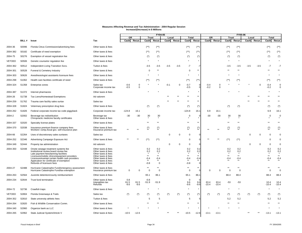|               |              |                                                                                                                                                                                                                                                                                                 |                                                                                                                                                        | <b>FY04-05</b>        |                                    |                                  |                                                                                  |            |             |                                                  |                                                       |                  | <b>FY05-06</b>                |                                                   |                                                   |                 |        |                                                 |                                                       |
|---------------|--------------|-------------------------------------------------------------------------------------------------------------------------------------------------------------------------------------------------------------------------------------------------------------------------------------------------|--------------------------------------------------------------------------------------------------------------------------------------------------------|-----------------------|------------------------------------|----------------------------------|----------------------------------------------------------------------------------|------------|-------------|--------------------------------------------------|-------------------------------------------------------|------------------|-------------------------------|---------------------------------------------------|---------------------------------------------------|-----------------|--------|-------------------------------------------------|-------------------------------------------------------|
|               |              |                                                                                                                                                                                                                                                                                                 |                                                                                                                                                        | <b>GR</b>             |                                    | <b>Trust</b>                     |                                                                                  | Local      |             | <b>Total</b>                                     |                                                       | <b>GR</b>        |                               | <b>Trust</b>                                      |                                                   | Local           |        | <b>Total</b>                                    |                                                       |
|               | <b>BILL#</b> | <b>Issue</b>                                                                                                                                                                                                                                                                                    | Tax                                                                                                                                                    | $\textsf{Cash}$       | Recur.                             |                                  | Cash Recur.                                                                      | $\sf Cash$ | Recur.      | Cash Recur.                                      |                                                       | $\sf Cash$       | Recur.                        | $\textsf{Cash}$                                   | Recur.                                            | $\textsf{Cash}$ | Recur. | Cash Recur.                                     |                                                       |
| 2004-36       | S0096        | Florida Citrus Commission/advertising fees                                                                                                                                                                                                                                                      | Other taxes & fees                                                                                                                                     |                       |                                    | $(**)$                           | $(**)$                                                                           |            |             | $(**)$                                           | $(**)$                                                |                  |                               | $(**)$                                            | $(**)$                                            |                 |        | $(**)$                                          | $(\hbox{}^{\ast}\hbox{}^{\ast})$                      |
| 2004-382      | S0182        | Certificate of need exemption                                                                                                                                                                                                                                                                   | Other taxes & fees                                                                                                                                     |                       |                                    | $(**)$                           | $(**)$                                                                           |            |             | $(**)$                                           | $(**)$                                                |                  |                               | $(**)$                                            | $(**)$                                            |                 |        | $(**)$                                          | $(\ast \ast)$                                         |
| 2004-75       | S0276        | Exemption of vessel registration fee                                                                                                                                                                                                                                                            | Other taxes & fees                                                                                                                                     |                       |                                    | $(\dot{z})$                      | $(\dot{a})$                                                                      |            |             | $(*)$                                            | $(\dot{a})$                                           |                  |                               | $(*)$                                             | $(\dot{z})$                                       |                 |        | $(*)$                                           | $(\dot{\phantom{a}})$                                 |
| <b>VETOED</b> | S0506        | Genetic counselor regulation fee                                                                                                                                                                                                                                                                | Other taxes & fees                                                                                                                                     |                       |                                    |                                  |                                                                                  |            |             |                                                  |                                                       |                  |                               | $\star$                                           |                                                   |                 |        |                                                 | $\star$                                               |
| 2004-362      | S0512        | <b>Independent Living Transition Svcs.</b>                                                                                                                                                                                                                                                      | Tuition & fees                                                                                                                                         |                       |                                    | $-3.5$                           | $-3.5$                                                                           | $-3.5$     | $-3.5$      | $-7$                                             | -7                                                    |                  |                               | $-3.5$                                            | $-3.5$                                            | $-3.5$          | $-3.5$ | $-7$                                            | -7                                                    |
| 2004-301      | S0528        | Funeral & Cemetery Industry                                                                                                                                                                                                                                                                     | Other taxes & fees                                                                                                                                     |                       |                                    |                                  | $***$                                                                            |            |             | $\overline{0}$                                   | **                                                    |                  |                               | $***$                                             | **                                                |                 |        |                                                 |                                                       |
| 2004-303      | S0626        | Anesthesiologist assistants licensure fees                                                                                                                                                                                                                                                      | Other taxes & fees                                                                                                                                     |                       |                                    |                                  |                                                                                  |            |             |                                                  |                                                       |                  |                               |                                                   |                                                   |                 |        |                                                 |                                                       |
| 2004-298      | S1062        | Health care facilities certificate of need                                                                                                                                                                                                                                                      | Other taxes & fees                                                                                                                                     |                       |                                    | $(**)$                           | $(**)$                                                                           |            |             | $(**)$                                           | $(**)$                                                |                  |                               | $(**)$                                            | $(**)$                                            |                 |        | $(**)$                                          | $(\overline{\phantom{a}}^*)$                          |
| 2004-324      | S1358        | Enterprise zones                                                                                                                                                                                                                                                                                | Sales tax<br>Corporate income tax                                                                                                                      | $-0.6$<br>$-0.5$      | $\boldsymbol{0}$<br>$\overline{0}$ |                                  |                                                                                  | $-0.1$     | $\Omega$    | $-0.7$<br>$-0.5$                                 | $\overline{0}$<br>$\Omega$                            | $-0.4$<br>$-0.2$ | $\mathbf 0$<br>$\overline{0}$ |                                                   |                                                   |                 |        | $-0.4$<br>$-0.2$                                | $\mathbf 0$<br>$\mathbf 0$                            |
| 2004-387      | S1372        | Internet pharmacies                                                                                                                                                                                                                                                                             | Other taxes & fees                                                                                                                                     |                       |                                    |                                  |                                                                                  |            |             | $\star$                                          | *                                                     |                  |                               |                                                   |                                                   |                 |        |                                                 |                                                       |
| 2004-26       | S1738        | Tax Liens/Homestead Exemptions                                                                                                                                                                                                                                                                  | Ad valorem                                                                                                                                             |                       |                                    |                                  |                                                                                  |            |             | $***$                                            | **                                                    |                  |                               |                                                   |                                                   |                 |        |                                                 |                                                       |
| 2004-259      | S1762        | Trauma care facility sales surtax                                                                                                                                                                                                                                                               | Sales tax                                                                                                                                              |                       |                                    |                                  |                                                                                  |            |             | $***$                                            | **                                                    |                  |                               |                                                   |                                                   |                 |        |                                                 |                                                       |
| 2004-328      | S1824        | Veterinary prescription drug fees                                                                                                                                                                                                                                                               | Other taxes & fees                                                                                                                                     |                       |                                    | $(\dot{z})$                      | $(\dot{z})$                                                                      |            |             | $(*)$                                            | $(\dot{\phantom{a}})$                                 |                  |                               | $(*)$                                             | $(\dot{z})$                                       |                 |        | $(*)$                                           | $(\dot{\phantom{a}})$                                 |
| 2004-262      | S1826        | Federal corporate income tax code piggyback                                                                                                                                                                                                                                                     | Corporate income tax                                                                                                                                   | $-124.8$              | 16.1                               |                                  |                                                                                  |            |             | $-124.8$                                         | 16.1                                                  | 6.9              | 16.1                          |                                                   |                                                   |                 |        | 6.9                                             | 16.1                                                  |
| 2004-2        | S2002        | Beverage tax redistribution<br>Chiropractic medicine faculty certificates                                                                                                                                                                                                                       | Beverage tax<br>Other taxes & fees                                                                                                                     | -30                   | -30                                | 30                               | 30                                                                               |            |             |                                                  |                                                       | -30              | $-30$                         | 30                                                | 30                                                |                 |        |                                                 |                                                       |
| 2004-337      | S2020        | Specialty license plates                                                                                                                                                                                                                                                                        | Other taxes & fees                                                                                                                                     |                       |                                    | $***$                            |                                                                                  |            |             | $***$                                            | **                                                    |                  |                               | $**$                                              |                                                   |                 |        |                                                 |                                                       |
| 2004-370      | S2038        | Insurance premium finance company fees<br>Workers' comp./local gov. self-insurance plan                                                                                                                                                                                                         | Other taxes & fees<br>Insurance premium tax                                                                                                            |                       |                                    | $\binom{*}{*}$                   | $\binom{*}{**}$                                                                  |            |             | $\binom{*}{*}$                                   | $\binom{*}{*}$                                        | $**$             | $**$                          | **                                                | $\binom{*}{*}$                                    |                 |        | ∗∗                                              | $\binom{*}{**}$                                       |
| 2004-66       | S2264        | Uses of discretionary sales surtaxes                                                                                                                                                                                                                                                            | Sales tax                                                                                                                                              |                       |                                    |                                  |                                                                                  |            |             |                                                  |                                                       |                  |                               |                                                   |                                                   |                 |        |                                                 |                                                       |
| 2004-252      | S2346        | Advertising Campaign Exposure Act                                                                                                                                                                                                                                                               | Other taxes & fees                                                                                                                                     |                       |                                    |                                  | $(**)$                                                                           |            |             |                                                  |                                                       | $**$             |                               |                                                   | $(**)$                                            |                 |        |                                                 |                                                       |
| 2004-349      | S2444        | Property tax administration                                                                                                                                                                                                                                                                     | Ad valorem                                                                                                                                             |                       |                                    |                                  |                                                                                  |            |             |                                                  |                                                       |                  |                               |                                                   |                                                   |                 |        |                                                 |                                                       |
| 2004-350      | S2448        | Onsite sewage treatment systems fee<br>Institutional review board review fee<br>Late payment fees/tanning facilities<br>Licensure/mobile clinics/equipment providers<br>Licensure/exempt certain health care providers<br>Application for certificate of exemption<br>Refunds of licensure fees | Other taxes & fees<br>Other taxes & fees<br>Other taxes & fees<br>Other taxes & fees<br>Other taxes & fees<br>Other taxes & fees<br>Other taxes & fees |                       |                                    | 0.2<br>$-0.4$<br>$***$<br>$-0.8$ | $\begin{array}{c} 0.2 \\ 0.2 \end{array}$<br>$\star$<br>$***$<br>$-0.4$<br>$***$ |            |             | 0.2<br>0.2<br>$***$<br>$-0.4$<br>$***$<br>$-0.8$ | $0.2$<br>$0.2$<br>$\star$<br>$***$<br>$-0.4$<br>$***$ |                  |                               | 0.2<br>0.2<br>$\star$<br>$***$<br>$-0.4$<br>$***$ | 0.2<br>0.2<br>$\star$<br>$***$<br>$-0.4$<br>$***$ |                 |        | 0.2<br>0.2<br>$\star$<br>$***$<br>-0.4<br>$***$ | $0.2$<br>$0.2$<br>$\star$<br>$***$<br>$-0.4$<br>$***$ |
| 2004-27       | S2488        | Hurricane Catastrophe Fund/emergency assessment<br>Hurricane Catastrophe Fund/tax exemption                                                                                                                                                                                                     | Other taxes & fees<br>Insurance premium tax                                                                                                            | $\Omega$              |                                    | $***$                            | $***$                                                                            |            |             | $***$                                            | $***$                                                 |                  |                               | $***$                                             | **                                                |                 |        |                                                 |                                                       |
| 2004-263      | S2564        | Juvenile detention/county reimbursement                                                                                                                                                                                                                                                         | Other taxes & fees                                                                                                                                     |                       |                                    | 65.1                             | 86.1                                                                             |            |             | 65.1                                             | 86.1                                                  |                  |                               | 88.4                                              | 88.4                                              |                 |        | 88.4                                            | 88.4                                                  |
| 2004-234      | S2644        | Trust fund termination                                                                                                                                                                                                                                                                          | Other taxes & fees<br>Intangibles tax<br>Refunds                                                                                                       | 0.8<br>61.5<br>$-9.6$ | 61.5<br>$-9.6$                     | $-0.8$<br>$-51.9$                | $-51.9$                                                                          |            |             | $9.6 - 9.6$                                      | $\begin{bmatrix} 9.6 \\ -9.6 \end{bmatrix}$           | 63.4<br>$-10.4$  | 63.4<br>$-10.4$               | $-53$                                             | $-53$                                             |                 |        | 10.4<br>$-10.4$                                 | 10.4<br>$-10.4$                                       |
| 2004-72       | S2736        | Crawfish traps                                                                                                                                                                                                                                                                                  | Other taxes & fees                                                                                                                                     |                       |                                    |                                  |                                                                                  |            |             | $\star$                                          |                                                       |                  |                               |                                                   |                                                   |                 |        |                                                 | $\star$                                               |
| <b>VETOED</b> | S2804        | Florida Greenways & Trails                                                                                                                                                                                                                                                                      | Sales tax                                                                                                                                              | $(\dot{\phantom{a}})$ | $(\dot{z})$                        | $(*)$                            | $(\dot{z})$                                                                      |            | $(\dot{z})$ | $(*)$                                            |                                                       | $(*)$            | $(*)$                         | $(*)$                                             | $(*)$                                             |                 | $(*)$  | $(*)$                                           | $(\dot{\phantom{a}})$                                 |
| 2004-352      | S2810        | State university athletic fees                                                                                                                                                                                                                                                                  | Tuition & fees                                                                                                                                         |                       |                                    |                                  |                                                                                  |            |             |                                                  |                                                       |                  |                               | 5.2                                               | 5.2                                               |                 |        | 5.2                                             | 5.2                                                   |
| 2004-264      | S2820        | Fish & Wildlife Conservation Comm.                                                                                                                                                                                                                                                              | Other taxes & fees                                                                                                                                     |                       |                                    | **                               |                                                                                  |            |             | **                                               | $**$                                                  |                  |                               | $***$                                             |                                                   |                 |        |                                                 |                                                       |
| 2004-340      | S2960        | Organize bank as LLC                                                                                                                                                                                                                                                                            | Other taxes & fees                                                                                                                                     |                       |                                    |                                  |                                                                                  |            |             | $\star$                                          |                                                       | $\star$          |                               | $\star$                                           | $\star$                                           |                 |        |                                                 |                                                       |
| 2004-265      | S2962        | State Judicial System/Article V                                                                                                                                                                                                                                                                 | Other taxes & fees                                                                                                                                     | $-10.5$               | $-12.6$                            |                                  |                                                                                  | $***$      | $***$       | $-10.5$                                          | $-12.6$                                               | $-13.1$          | $-13.1$                       |                                                   |                                                   | $***$           | $***$  | $-13.1$                                         | $-13.1$                                               |
|               |              |                                                                                                                                                                                                                                                                                                 |                                                                                                                                                        |                       |                                    |                                  |                                                                                  |            |             |                                                  |                                                       |                  |                               |                                                   |                                                   |                 |        |                                                 |                                                       |

### **Measures Affecting Revenue and Tax Administration - 2004 Regular Session Increase/(Decrease) in \$ Millions**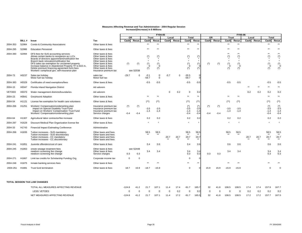### **Measures Affecting Revenue and Tax Administration - 2004 Regular Session Increase/(Decrease) in \$ Millions**

|               |              |                                                                                                                                                                                                                                                                                                                                                                                             |                                                                                                                                                                                 | <b>FY04-05</b>  |                          |                                                        |                                       |                |               |                             |                                     |                 |                       |                                                     |                                       |               | <b>FY05-06</b> |                                |                                                               |  |  |
|---------------|--------------|---------------------------------------------------------------------------------------------------------------------------------------------------------------------------------------------------------------------------------------------------------------------------------------------------------------------------------------------------------------------------------------------|---------------------------------------------------------------------------------------------------------------------------------------------------------------------------------|-----------------|--------------------------|--------------------------------------------------------|---------------------------------------|----------------|---------------|-----------------------------|-------------------------------------|-----------------|-----------------------|-----------------------------------------------------|---------------------------------------|---------------|----------------|--------------------------------|---------------------------------------------------------------|--|--|
|               |              |                                                                                                                                                                                                                                                                                                                                                                                             |                                                                                                                                                                                 | <b>GR</b>       |                          | <b>Trust</b>                                           |                                       | Local          |               | <b>Total</b>                |                                     | <b>GR</b>       |                       | <b>Trust</b>                                        |                                       | Local         |                | <b>Total</b>                   |                                                               |  |  |
|               | <b>BILL#</b> | <b>Issue</b>                                                                                                                                                                                                                                                                                                                                                                                | Tax                                                                                                                                                                             | $\sf Cash$      | Recur.                   | $\cosh$                                                | Recur.                                | <b>Cash</b>    | Recur.        | $\textsf{Cash}$             | Recur.                              | $\sf Cash$      | Recur.                | $\mathsf{Cash}$                                     | Recur.                                | $\cosh$       | Recur.         | $\textsf{Cash}$                | Recur.                                                        |  |  |
| 2004-353      | S2984        | <b>Condo &amp; Community Associations</b>                                                                                                                                                                                                                                                                                                                                                   | Other taxes & fees                                                                                                                                                              |                 |                          | $***$                                                  | $***$                                 |                |               | $***$                       | $***$                               |                 |                       | $***$                                               | $***$                                 |               |                | $***$                          | $***$                                                         |  |  |
| 2004-295      | S2986        | <b>Education Personnel</b>                                                                                                                                                                                                                                                                                                                                                                  | Other taxes & fees                                                                                                                                                              |                 |                          | $***$                                                  |                                       |                |               | $***$                       | $**$                                |                 |                       | $***$                                               | $**$                                  |               |                |                                | $***$                                                         |  |  |
| 2004-390      | S2994        | DFS fees for SUS accounting services<br>Allows certain banks to reorganize as LLCs<br>Boards of directors appointment/notification fee<br>Branch bank relocation/notification fee<br>DFS sales tax exemption for unclaimed property<br>Increase balance in Abandoned Property TF to \$15 m.<br>Delete premium financing agreement form fees<br>Workers' comp/local gov. self-insurance plan | Other taxes & fees<br>Other taxes & fees<br>Other taxes & fees<br>Other taxes & fees<br>Other taxes & fees<br>Other taxes & fees<br>Other taxes & fees<br>Insurance premium tax |                 | $(\dot{a})$<br>see S2038 | $\binom{*}{*}$<br>$(\dot{z})$<br>$(\dot{\phantom{a}})$ | $(\dot{\phantom{a}})$<br>- 0<br>$(*)$ |                |               | $(*)$                       | $(\dot{z})$<br>$(*)$<br>$(\star)$   | $(*)$           | $(\dot{a})$           | $***$<br>$(\dot{\phantom{a}})$<br>$\Omega$<br>$(*)$ | $***$<br>$(*)$<br>$(*)$<br>0<br>$(*)$ |               |                | $***$<br>$(*)$                 | $***$<br>$\binom{*}{*}$<br>$\star$<br>$\binom{4}{0}$<br>$(*)$ |  |  |
| 2004-73       | H0237        | Sales tax holiday<br>Motor fuel tax holiday                                                                                                                                                                                                                                                                                                                                                 | sales tax<br>Motor fuel tax                                                                                                                                                     | $-29.7$         |                          | $-0.1$<br>$-59.7$                                      | $\mathbf 0$<br>$\overline{0}$         | $-5.7$         |               | $-35.5$<br>$-59.7$          |                                     |                 |                       |                                                     |                                       |               |                |                                |                                                               |  |  |
| 2004-383      | H0329        | Certificates of need exemptions/fees                                                                                                                                                                                                                                                                                                                                                        | Other taxes & fees                                                                                                                                                              |                 |                          | $-0.5$                                                 | $-0.5$                                |                |               | $-0.5$                      | $-0.5$                              |                 |                       | $-0.5$                                              | $-0.5$                                |               |                | $-0.5$                         |                                                               |  |  |
| 2004-15       | H0347        | <b>Florida Inland Navigation District</b>                                                                                                                                                                                                                                                                                                                                                   | Ad valorem                                                                                                                                                                      |                 |                          |                                                        |                                       |                |               |                             |                                     |                 |                       |                                                     |                                       | $***$         |                |                                |                                                               |  |  |
| <b>VETOED</b> | H0373        | Water management districts/boundaries                                                                                                                                                                                                                                                                                                                                                       | Ad valorem                                                                                                                                                                      |                 |                          |                                                        |                                       | $\overline{0}$ | 0.2           |                             | 0.2                                 |                 |                       |                                                     |                                       | 0.2           | 0.2            | 0.2                            | 0.2                                                           |  |  |
| 2004-23       | H0941        | <b>Greyhound Adoption</b>                                                                                                                                                                                                                                                                                                                                                                   | Other taxes & fees                                                                                                                                                              |                 |                          |                                                        |                                       |                |               | $***$                       | **                                  |                 |                       | $***$                                               | $**$                                  |               |                | $***$                          | $***$                                                         |  |  |
| 2004-54       | H1121        | License fee exemption for health care volunteers                                                                                                                                                                                                                                                                                                                                            | Other taxes & fees                                                                                                                                                              |                 |                          | $(**)$                                                 | $(**)$                                |                |               | $(**)$                      | $(**)$                              |                 |                       | $(***)$<br>$\sqrt{ }$                               | $(**)$                                |               |                | $(**)$                         | $(**)$                                                        |  |  |
| 2004-266      | H1251        | Workers' Compensation/underwriting plan<br>impact on Special Disability Trust Fund<br>impact on Workers' Compensation Trust Fund<br>Workers' Compensation/underwriting plan                                                                                                                                                                                                                 | Insurance premium tax<br>Insurance premium tax<br>Insurance premium tax<br>Service charges                                                                                      | $(*)$<br>$-0.4$ | $(\dot{z})$<br>$-0.4$    | $-3.5$<br>$-1.4$                                       | $-3.5$<br>$-1.4$                      |                |               | $-3.5$<br>$-1.4$<br>$-0.4$  | $(*)$<br>$-3.5$<br>$-1.4$<br>$-0.4$ | $(*)$<br>$-0.4$ | $(\dot{z})$<br>$-0.4$ | $-3.5$<br>$-1.4$                                    | $-3.5$<br>$-1.4$                      |               |                | $-3.5$<br>$-1.4$<br>$-0.4$     | $\binom{*}{-3.5}$<br>$-1.4$<br>$-0.4$                         |  |  |
| 2004-64       | H1307        | Agricultural labor contractor/fee increase                                                                                                                                                                                                                                                                                                                                                  | Other taxes & fees                                                                                                                                                              |                 |                          | 0.2                                                    | 0.2                                   |                |               | 0.2                         | 0.2                                 |                 |                       | 0.2                                                 | 0.2                                   |               |                | 0.2                            | 0.2                                                           |  |  |
| 2004-297      | H1629        | Discount Medical Plan Organization license fee                                                                                                                                                                                                                                                                                                                                              | Other taxes & fees                                                                                                                                                              |                 |                          | $\star$                                                |                                       |                |               | $\star$                     |                                     |                 |                       | $\star$                                             |                                       |               |                |                                |                                                               |  |  |
| 2004-33       | H1743        | <b>Financial Impact Estimating Conference</b>                                                                                                                                                                                                                                                                                                                                               | Administrative                                                                                                                                                                  |                 |                          |                                                        |                                       |                |               |                             |                                     |                 |                       |                                                     |                                       |               |                |                                |                                                               |  |  |
| 2004-268      | H1835        | Tuition increases - SUS mandatory<br>Tuition increases - SUS discretionary<br>Tuition increases - CC mandatory<br>Tuition increases - CC discretionary                                                                                                                                                                                                                                      | Other taxes and fees<br>Other taxes and fees<br>Other taxes and fees<br>Other taxes and fees                                                                                    |                 |                          | 58.5<br>$***$                                          | 58.5<br>$***$                         | 20.7<br>$***$  | 20.7<br>$***$ | 58.5<br>**<br>20.7<br>$***$ | 58.5<br>$***$<br>20.7<br>**         |                 |                       | 58.5<br>$***$                                       | 58.5<br>$***$                         | 20.7<br>$***$ | 20.7<br>$***$  | 58.5<br>$***$<br>20.7<br>$***$ | 58.5<br>$***$<br>20.7<br>$***$                                |  |  |
| 2004-241      | H1851        | Juvenile offenders/cost of care                                                                                                                                                                                                                                                                                                                                                             | Other taxes & fees                                                                                                                                                              |                 |                          | 0.4                                                    | 0.6                                   |                |               | 0.4                         | 0.6                                 |                 |                       | 0.6                                                 | 0.6                                   |               |                | 0.6                            | 0.6                                                           |  |  |
| 2004-245      | H1863        | onsite sewage treatment fees<br>newborn screening fee change<br>newborn screening fee change                                                                                                                                                                                                                                                                                                | Other taxes & fees<br>Other taxes & fees<br>Service charges                                                                                                                     | 0.3             | see S2448<br>0.3         | 3.4                                                    | 3.4                                   |                |               | 3.4<br>0.3                  | 3.4<br>0.3                          | 0.3             | 0.3                   | 3.4                                                 | 3.4                                   |               |                | 3.4<br>0.3                     | 3.4<br>0.3                                                    |  |  |
| 2004-271      | H1867        | Limit tax credits for Scholarship Funding Org.                                                                                                                                                                                                                                                                                                                                              | Corporate income tax                                                                                                                                                            | $\overline{0}$  | $\overline{0}$           |                                                        |                                       |                |               | $\overline{0}$              |                                     |                 |                       |                                                     |                                       |               |                |                                |                                                               |  |  |
| 2004-248      | H1875        | Inmate banking services fees                                                                                                                                                                                                                                                                                                                                                                | Other taxes & fees                                                                                                                                                              |                 |                          | **                                                     | $***$                                 |                |               | $***$                       | **                                  |                 |                       | $***$                                               | $***$                                 |               |                |                                |                                                               |  |  |
| 2004-251      | H1881        | Trust fund termination                                                                                                                                                                                                                                                                                                                                                                      | Other taxes & fees                                                                                                                                                              | 18.7            | 15.9                     | $-18.7$                                                | $-15.9$                               |                |               | $\Omega$                    |                                     | 15.9            | 15.9                  | $-15.9$                                             | $-15.9$                               |               |                |                                |                                                               |  |  |
|               |              | <b>TOTAL SESSION TAX LAW CHANGES</b>                                                                                                                                                                                                                                                                                                                                                        |                                                                                                                                                                                 |                 |                          |                                                        |                                       |                |               |                             |                                     |                 |                       |                                                     |                                       |               |                |                                |                                                               |  |  |
|               |              | TOTAL ALL MEASURES AFFECTING REVENUE                                                                                                                                                                                                                                                                                                                                                        |                                                                                                                                                                                 | $-124.8$        | 41.2                     | 21.7                                                   | 107.1                                 | 11.4           | 17.4          | $-91.7$                     | 165.7                               | 32              | 41.8                  | 108.5                                               | 108.5                                 | 17.4          | 17.4           | 157.9                          | 167.7                                                         |  |  |
|               |              | LESS: VETOES                                                                                                                                                                                                                                                                                                                                                                                |                                                                                                                                                                                 |                 |                          |                                                        | -0                                    | $\overline{0}$ | 0.2           |                             | 0.2                                 |                 |                       | $\Omega$                                            | 0                                     | 0.2           | 0.2            | 0.2                            | 0.2                                                           |  |  |
|               |              | NET MEASURES AFFECTING REVENUE                                                                                                                                                                                                                                                                                                                                                              |                                                                                                                                                                                 | $-124.8$        | 41.2                     | 21.7                                                   | 107.1                                 | 11.4           | 17.2          | $-91.7$                     | 165.5                               | 32              | 41.8                  | 108.5                                               | 108.5                                 | 17.2          | 17.2           | 157.7                          | 167.5                                                         |  |  |

|                                                                                                                                                                                                                                                                                                                                                                                             |                                                                                                                                                                                 |                 |                                    |                       | <b>FY04-05</b>                                                     |                       |               |                                |                                     |                 |                                 |                                |                                                                     |                 |               |                                |                                                                               |
|---------------------------------------------------------------------------------------------------------------------------------------------------------------------------------------------------------------------------------------------------------------------------------------------------------------------------------------------------------------------------------------------|---------------------------------------------------------------------------------------------------------------------------------------------------------------------------------|-----------------|------------------------------------|-----------------------|--------------------------------------------------------------------|-----------------------|---------------|--------------------------------|-------------------------------------|-----------------|---------------------------------|--------------------------------|---------------------------------------------------------------------|-----------------|---------------|--------------------------------|-------------------------------------------------------------------------------|
|                                                                                                                                                                                                                                                                                                                                                                                             |                                                                                                                                                                                 |                 | <b>GR</b><br><b>Trust</b>          |                       |                                                                    | <b>Total</b><br>Local |               |                                |                                     | <b>GR</b>       |                                 | <b>Trust</b>                   |                                                                     |                 | Local         |                                | <b>Total</b>                                                                  |
| <b>Issue</b>                                                                                                                                                                                                                                                                                                                                                                                | Tax                                                                                                                                                                             | $\sf Cash$      | Recur.                             | $\textsf{Cash}$       | Recur.                                                             | $\sf Cash$            | Recur.        | Cash                           | Recur.                              | $\sf Cash$      | Recur.                          | Cash                           | Recur.                                                              | $\textsf{Cash}$ | Recur.        | $\textsf{Cash}$                | Recur.                                                                        |
| <b>Condo &amp; Community Associations</b>                                                                                                                                                                                                                                                                                                                                                   | Other taxes & fees                                                                                                                                                              |                 |                                    | $***$                 | $***$                                                              |                       |               | $***$                          | $***$                               |                 |                                 | $***$                          | $***$                                                               |                 |               | $***$                          | $***$                                                                         |
| <b>Education Personnel</b>                                                                                                                                                                                                                                                                                                                                                                  | Other taxes & fees                                                                                                                                                              |                 |                                    | **                    | **                                                                 |                       |               | $***$                          | $**$                                |                 |                                 | $***$                          | $***$                                                               |                 |               | $***$                          | $***$                                                                         |
| DFS fees for SUS accounting services<br>Allows certain banks to reorganize as LLCs<br>Boards of directors appointment/notification fee<br>Branch bank relocation/notification fee<br>DFS sales tax exemption for unclaimed property<br>Increase balance in Abandoned Property TF to \$15 m.<br>Delete premium financing agreement form fees<br>Workers' comp/local gov. self-insurance plan | Other taxes & fees<br>Other taxes & fees<br>Other taxes & fees<br>Other taxes & fees<br>Other taxes & fees<br>Other taxes & fees<br>Other taxes & fees<br>Insurance premium tax | $(*)$           | $(\dot{\phantom{a}})$<br>see S2038 | $(\dot{\phantom{a}})$ | $\binom{*}{*}$<br>$(\dot{\phantom{a}})$<br>$\overline{0}$<br>$(*)$ |                       |               | $(*)$                          | $(\dot{r})$<br>$(*)$<br>$(*)$       | $(*)$           | $(\dot{\phantom{a}})$           | $***$<br>$(\dot{\phantom{a}})$ | $***$<br>$(\hbox{}^*)$<br>$\star$<br>$(\dot{\phantom{a}})$<br>$(*)$ |                 |               | $***$                          | $***$<br>$\binom{*}{*}$<br>$\star$<br>$\binom{4}{0}$<br>$(\dot{\phantom{a}})$ |
| Sales tax holiday<br>Motor fuel tax holiday                                                                                                                                                                                                                                                                                                                                                 | sales tax<br>Motor fuel tax                                                                                                                                                     | $-29.7$         |                                    | $-0.1$<br>$-59.7$     | $\overline{0}$<br>$\overline{0}$                                   | $-5.7$                | $\Omega$      | $-35.5$<br>$-59.7$             |                                     |                 |                                 |                                |                                                                     |                 |               |                                |                                                                               |
| Certificates of need exemptions/fees                                                                                                                                                                                                                                                                                                                                                        | Other taxes & fees                                                                                                                                                              |                 |                                    | $-0.5$                | $-0.5$                                                             |                       |               | $-0.5$                         | $-0.5$                              |                 |                                 | $-0.5$                         | $-0.5$                                                              |                 |               | $-0.5$                         | $-0.5$                                                                        |
| <b>Florida Inland Navigation District</b>                                                                                                                                                                                                                                                                                                                                                   | Ad valorem                                                                                                                                                                      |                 |                                    |                       |                                                                    |                       |               |                                |                                     |                 |                                 |                                |                                                                     |                 |               | $***$                          | $***$                                                                         |
| Water management districts/boundaries                                                                                                                                                                                                                                                                                                                                                       | Ad valorem                                                                                                                                                                      |                 |                                    |                       |                                                                    | $\Omega$              | 0.2           | $\overline{0}$                 | 0.2                                 |                 |                                 |                                |                                                                     | 0.2             | 0.2           | 0.2                            | 0.2                                                                           |
| <b>Greyhound Adoption</b>                                                                                                                                                                                                                                                                                                                                                                   | Other taxes & fees                                                                                                                                                              |                 |                                    | $***$                 | **                                                                 |                       |               | $***$                          | $***$                               |                 |                                 | $***$                          | $***$                                                               |                 |               | $***$                          | $***$                                                                         |
| License fee exemption for health care volunteers                                                                                                                                                                                                                                                                                                                                            | Other taxes & fees                                                                                                                                                              |                 |                                    | $(\star\star)$        | $(**)$                                                             |                       |               | $($ **)                        | $(**)$                              |                 |                                 | $(**)$                         | $(**)$                                                              |                 |               | $^{***}$                       | $(**)$                                                                        |
| Workers' Compensation/underwriting plan<br>impact on Special Disability Trust Fund<br>impact on Workers' Compensation Trust Fund<br>Workers' Compensation/underwriting plan                                                                                                                                                                                                                 | Insurance premium tax<br>Insurance premium tax<br>Insurance premium tax<br>Service charges                                                                                      | $(*)$<br>$-0.4$ | $(\dot{\phantom{a}})$<br>$-0.4$    | $-3.5$<br>$-1.4$      | $-3.5$<br>$-1.4$                                                   |                       |               | $-3.5$<br>$-1.4$<br>$-0.4$     | $(*)$<br>$-3.5$<br>$-1.4$<br>$-0.4$ | $(*)$<br>$-0.4$ | $(\dot{\phantom{a}})$<br>$-0.4$ | $-3.5$<br>$-1.4$               | $-3.5$<br>$-1.4$                                                    |                 |               | $-3.5$<br>$-1.4$<br>$-0.4$     | $(\dot{\phantom{a}})$<br>$-3.5$<br>$-1.4$<br>$-0.4$                           |
| Agricultural labor contractor/fee increase                                                                                                                                                                                                                                                                                                                                                  | Other taxes & fees                                                                                                                                                              |                 |                                    | 0.2                   | 0.2                                                                |                       |               | 0.2                            | 0.2                                 |                 |                                 | 0.2                            | 0.2                                                                 |                 |               | 0.2                            | 0.2                                                                           |
| Discount Medical Plan Organization license fee                                                                                                                                                                                                                                                                                                                                              | Other taxes & fees                                                                                                                                                              |                 |                                    | $\star$               |                                                                    |                       |               | $\star$                        |                                     |                 |                                 | $\star$                        |                                                                     |                 |               |                                |                                                                               |
| <b>Financial Impact Estimating Conference</b>                                                                                                                                                                                                                                                                                                                                               | Administrative                                                                                                                                                                  |                 |                                    |                       |                                                                    |                       |               |                                |                                     |                 |                                 |                                |                                                                     |                 |               |                                |                                                                               |
| Tuition increases - SUS mandatory<br>Tuition increases - SUS discretionary<br>Tuition increases - CC mandatory<br>Tuition increases - CC discretionary                                                                                                                                                                                                                                      | Other taxes and fees<br>Other taxes and fees<br>Other taxes and fees<br>Other taxes and fees                                                                                    |                 |                                    | 58.5<br>$***$         | 58.5<br>$***$                                                      | 20.7<br>$***$         | 20.7<br>$***$ | 58.5<br>$***$<br>20.7<br>$***$ | 58.5<br>$***$<br>20.7<br>$***$      |                 |                                 | 58.5                           | 58.5<br>$***$                                                       | 20.7<br>$***$   | 20.7<br>$***$ | 58.5<br>$***$<br>20.7<br>$***$ | 58.5<br>$***$<br>20.7<br>$***$                                                |
| Juvenile offenders/cost of care                                                                                                                                                                                                                                                                                                                                                             | Other taxes & fees                                                                                                                                                              |                 |                                    | 0.4                   | 0.6                                                                |                       |               | 0.4                            | 0.6                                 |                 |                                 | 0.6                            | 0.6                                                                 |                 |               | 0.6                            | 0.6                                                                           |
| onsite sewage treatment fees<br>newborn screening fee change<br>newborn screening fee change                                                                                                                                                                                                                                                                                                | Other taxes & fees<br>Other taxes & fees<br>Service charges                                                                                                                     | 0.3             | see S2448<br>0.3                   | 3.4                   | 3.4                                                                |                       |               | 3.4<br>0.3                     | 3.4<br>0.3                          | 0.3             | 0.3                             | 3.4                            | 3.4                                                                 |                 |               | 3.4<br>0.3                     | $3.4$<br>$0.3$                                                                |
| Limit tax credits for Scholarship Funding Org.                                                                                                                                                                                                                                                                                                                                              | Corporate income tax                                                                                                                                                            | $\mathbf 0$     | $\overline{0}$                     |                       |                                                                    |                       |               | $\mathbf 0$                    |                                     |                 |                                 |                                |                                                                     |                 |               |                                |                                                                               |
| Inmate banking services fees                                                                                                                                                                                                                                                                                                                                                                | Other taxes & fees                                                                                                                                                              |                 |                                    | **                    | $***$                                                              |                       |               | $***$                          | $***$                               |                 |                                 | $***$                          | $***$                                                               |                 |               | $***$                          | $***$                                                                         |
| Trust fund termination                                                                                                                                                                                                                                                                                                                                                                      | Other taxes & fees                                                                                                                                                              | 18.7            | 15.9                               | $-18.7$               | $-15.9$                                                            |                       |               | $\mathbf 0$                    |                                     | 15.9            | 15.9                            | $-15.9$                        | $-15.9$                                                             |                 |               |                                |                                                                               |
| <b>X LAW CHANGES</b>                                                                                                                                                                                                                                                                                                                                                                        |                                                                                                                                                                                 |                 |                                    |                       |                                                                    |                       |               |                                |                                     |                 |                                 |                                |                                                                     |                 |               |                                |                                                                               |
| TOTAL ALL MEASURES AFFECTING REVENUE                                                                                                                                                                                                                                                                                                                                                        |                                                                                                                                                                                 | $-124.8$        | 41.2                               | 21.7                  | 107.1                                                              | 11.4                  | 17.4          | $-91.7$                        | 165.7                               | 32              | 41.8                            | 108.5                          | 108.5                                                               | 17.4            | 17.4          | 157.9                          | 167.7                                                                         |
| <b>LESS: VETOES</b>                                                                                                                                                                                                                                                                                                                                                                         |                                                                                                                                                                                 | $\overline{0}$  | $\mathbf 0$                        | $\overline{0}$        | $\overline{0}$                                                     | $\overline{0}$        | 0.2           | $\overline{0}$                 | 0.2                                 | $\mathbf 0$     | $\mathbf 0$                     | 0                              | $\overline{0}$                                                      | 0.2             | 0.2           | 0.2                            | 0.2                                                                           |
| NET MEASURES AFFECTING REVENUE                                                                                                                                                                                                                                                                                                                                                              |                                                                                                                                                                                 | $-124.8$        | 41.2                               | 21.7                  | 107.1                                                              | 11.4                  | 17.2          | $-91.7$                        | 165.5                               | 32              | 41.8                            | 108.5                          | 108.5                                                               | 17.2            | 17.2          | 157.7                          | 167.5                                                                         |